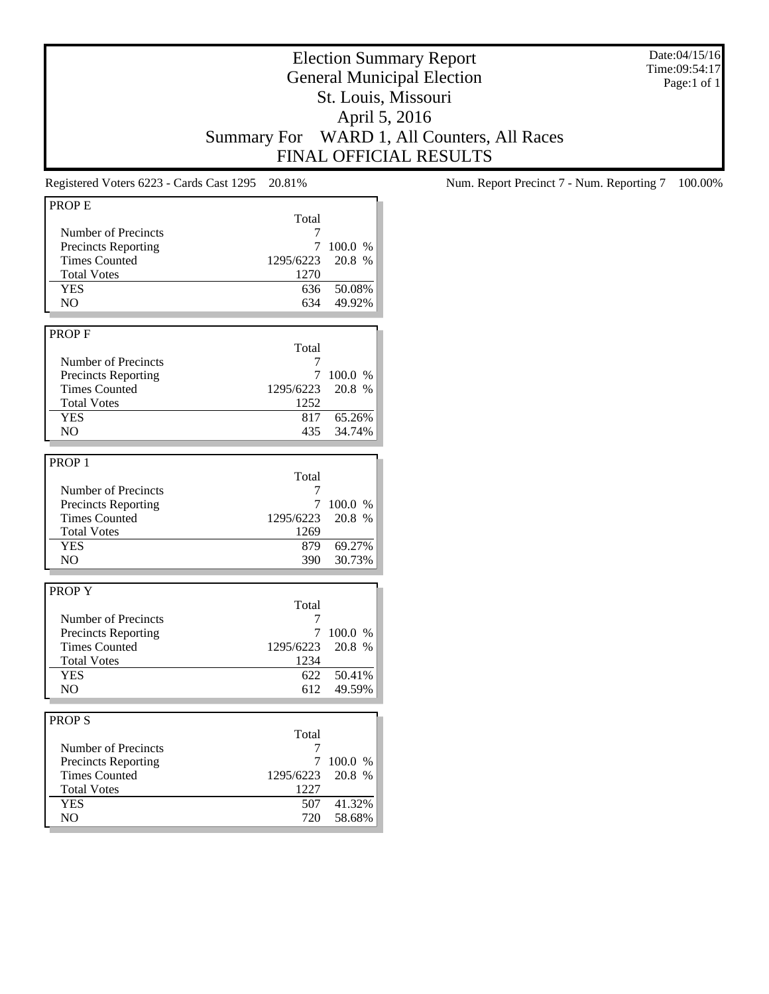Date:04/15/16 Time:09:54:17 Page:1 of 1

## Election Summary Report General Municipal Election St. Louis, Missouri April 5, 2016 Summary For WARD 1, All Counters, All Races FINAL OFFICIAL RESULTS

| Total<br>Number of Precincts<br>7<br>7<br><b>Precincts Reporting</b><br>100.0 %<br><b>Times Counted</b><br>1295/6223<br>20.8 %<br><b>Total Votes</b><br>1270<br><b>YES</b><br>50.08%<br>636<br>49.92%<br>NO<br>634<br>Total<br>Number of Precincts<br>7<br>7<br>100.0 %<br><b>Precincts Reporting</b><br>20.8 %<br><b>Times Counted</b><br>1295/6223<br><b>Total Votes</b><br>1252<br><b>YES</b><br>65.26%<br>817<br>N <sub>O</sub><br>435<br>34.74%<br>Total<br>Number of Precincts<br>7<br>7<br><b>Precincts Reporting</b><br>100.0 %<br><b>Times Counted</b><br>1295/6223<br>20.8 %<br><b>Total Votes</b><br>1269<br><b>YES</b><br>69.27%<br>879<br>NO<br>390<br>30.73%<br>Total<br>Number of Precincts<br>7<br>7<br><b>Precincts Reporting</b><br>100.0%<br><b>Times Counted</b><br>1295/6223<br>20.8 %<br><b>Total Votes</b><br>1234<br><b>YES</b><br>50.41%<br>622<br>N <sub>O</sub><br>612<br>49.59%<br><b>PROPS</b><br>Total<br>Number of Precincts<br>7<br>7<br><b>Precincts Reporting</b><br>100.0 %<br><b>Times Counted</b><br>1295/6223<br>20.8 %<br><b>Total Votes</b><br>1227<br><b>YES</b><br>41.32%<br>507<br>NO.<br>720<br>58.68% | <b>PROPE</b>      |  |
|----------------------------------------------------------------------------------------------------------------------------------------------------------------------------------------------------------------------------------------------------------------------------------------------------------------------------------------------------------------------------------------------------------------------------------------------------------------------------------------------------------------------------------------------------------------------------------------------------------------------------------------------------------------------------------------------------------------------------------------------------------------------------------------------------------------------------------------------------------------------------------------------------------------------------------------------------------------------------------------------------------------------------------------------------------------------------------------------------------------------------------------------------|-------------------|--|
|                                                                                                                                                                                                                                                                                                                                                                                                                                                                                                                                                                                                                                                                                                                                                                                                                                                                                                                                                                                                                                                                                                                                                    |                   |  |
|                                                                                                                                                                                                                                                                                                                                                                                                                                                                                                                                                                                                                                                                                                                                                                                                                                                                                                                                                                                                                                                                                                                                                    |                   |  |
|                                                                                                                                                                                                                                                                                                                                                                                                                                                                                                                                                                                                                                                                                                                                                                                                                                                                                                                                                                                                                                                                                                                                                    |                   |  |
|                                                                                                                                                                                                                                                                                                                                                                                                                                                                                                                                                                                                                                                                                                                                                                                                                                                                                                                                                                                                                                                                                                                                                    |                   |  |
|                                                                                                                                                                                                                                                                                                                                                                                                                                                                                                                                                                                                                                                                                                                                                                                                                                                                                                                                                                                                                                                                                                                                                    |                   |  |
|                                                                                                                                                                                                                                                                                                                                                                                                                                                                                                                                                                                                                                                                                                                                                                                                                                                                                                                                                                                                                                                                                                                                                    |                   |  |
|                                                                                                                                                                                                                                                                                                                                                                                                                                                                                                                                                                                                                                                                                                                                                                                                                                                                                                                                                                                                                                                                                                                                                    |                   |  |
|                                                                                                                                                                                                                                                                                                                                                                                                                                                                                                                                                                                                                                                                                                                                                                                                                                                                                                                                                                                                                                                                                                                                                    |                   |  |
|                                                                                                                                                                                                                                                                                                                                                                                                                                                                                                                                                                                                                                                                                                                                                                                                                                                                                                                                                                                                                                                                                                                                                    |                   |  |
|                                                                                                                                                                                                                                                                                                                                                                                                                                                                                                                                                                                                                                                                                                                                                                                                                                                                                                                                                                                                                                                                                                                                                    | <b>PROPF</b>      |  |
|                                                                                                                                                                                                                                                                                                                                                                                                                                                                                                                                                                                                                                                                                                                                                                                                                                                                                                                                                                                                                                                                                                                                                    |                   |  |
|                                                                                                                                                                                                                                                                                                                                                                                                                                                                                                                                                                                                                                                                                                                                                                                                                                                                                                                                                                                                                                                                                                                                                    |                   |  |
|                                                                                                                                                                                                                                                                                                                                                                                                                                                                                                                                                                                                                                                                                                                                                                                                                                                                                                                                                                                                                                                                                                                                                    |                   |  |
|                                                                                                                                                                                                                                                                                                                                                                                                                                                                                                                                                                                                                                                                                                                                                                                                                                                                                                                                                                                                                                                                                                                                                    |                   |  |
|                                                                                                                                                                                                                                                                                                                                                                                                                                                                                                                                                                                                                                                                                                                                                                                                                                                                                                                                                                                                                                                                                                                                                    |                   |  |
|                                                                                                                                                                                                                                                                                                                                                                                                                                                                                                                                                                                                                                                                                                                                                                                                                                                                                                                                                                                                                                                                                                                                                    |                   |  |
|                                                                                                                                                                                                                                                                                                                                                                                                                                                                                                                                                                                                                                                                                                                                                                                                                                                                                                                                                                                                                                                                                                                                                    |                   |  |
|                                                                                                                                                                                                                                                                                                                                                                                                                                                                                                                                                                                                                                                                                                                                                                                                                                                                                                                                                                                                                                                                                                                                                    |                   |  |
|                                                                                                                                                                                                                                                                                                                                                                                                                                                                                                                                                                                                                                                                                                                                                                                                                                                                                                                                                                                                                                                                                                                                                    |                   |  |
|                                                                                                                                                                                                                                                                                                                                                                                                                                                                                                                                                                                                                                                                                                                                                                                                                                                                                                                                                                                                                                                                                                                                                    | PROP <sub>1</sub> |  |
|                                                                                                                                                                                                                                                                                                                                                                                                                                                                                                                                                                                                                                                                                                                                                                                                                                                                                                                                                                                                                                                                                                                                                    |                   |  |
|                                                                                                                                                                                                                                                                                                                                                                                                                                                                                                                                                                                                                                                                                                                                                                                                                                                                                                                                                                                                                                                                                                                                                    |                   |  |
|                                                                                                                                                                                                                                                                                                                                                                                                                                                                                                                                                                                                                                                                                                                                                                                                                                                                                                                                                                                                                                                                                                                                                    |                   |  |
|                                                                                                                                                                                                                                                                                                                                                                                                                                                                                                                                                                                                                                                                                                                                                                                                                                                                                                                                                                                                                                                                                                                                                    |                   |  |
|                                                                                                                                                                                                                                                                                                                                                                                                                                                                                                                                                                                                                                                                                                                                                                                                                                                                                                                                                                                                                                                                                                                                                    |                   |  |
|                                                                                                                                                                                                                                                                                                                                                                                                                                                                                                                                                                                                                                                                                                                                                                                                                                                                                                                                                                                                                                                                                                                                                    |                   |  |
|                                                                                                                                                                                                                                                                                                                                                                                                                                                                                                                                                                                                                                                                                                                                                                                                                                                                                                                                                                                                                                                                                                                                                    |                   |  |
|                                                                                                                                                                                                                                                                                                                                                                                                                                                                                                                                                                                                                                                                                                                                                                                                                                                                                                                                                                                                                                                                                                                                                    |                   |  |
|                                                                                                                                                                                                                                                                                                                                                                                                                                                                                                                                                                                                                                                                                                                                                                                                                                                                                                                                                                                                                                                                                                                                                    |                   |  |
|                                                                                                                                                                                                                                                                                                                                                                                                                                                                                                                                                                                                                                                                                                                                                                                                                                                                                                                                                                                                                                                                                                                                                    | PROP Y            |  |
|                                                                                                                                                                                                                                                                                                                                                                                                                                                                                                                                                                                                                                                                                                                                                                                                                                                                                                                                                                                                                                                                                                                                                    |                   |  |
|                                                                                                                                                                                                                                                                                                                                                                                                                                                                                                                                                                                                                                                                                                                                                                                                                                                                                                                                                                                                                                                                                                                                                    |                   |  |
|                                                                                                                                                                                                                                                                                                                                                                                                                                                                                                                                                                                                                                                                                                                                                                                                                                                                                                                                                                                                                                                                                                                                                    |                   |  |
|                                                                                                                                                                                                                                                                                                                                                                                                                                                                                                                                                                                                                                                                                                                                                                                                                                                                                                                                                                                                                                                                                                                                                    |                   |  |
|                                                                                                                                                                                                                                                                                                                                                                                                                                                                                                                                                                                                                                                                                                                                                                                                                                                                                                                                                                                                                                                                                                                                                    |                   |  |
|                                                                                                                                                                                                                                                                                                                                                                                                                                                                                                                                                                                                                                                                                                                                                                                                                                                                                                                                                                                                                                                                                                                                                    |                   |  |
|                                                                                                                                                                                                                                                                                                                                                                                                                                                                                                                                                                                                                                                                                                                                                                                                                                                                                                                                                                                                                                                                                                                                                    |                   |  |
|                                                                                                                                                                                                                                                                                                                                                                                                                                                                                                                                                                                                                                                                                                                                                                                                                                                                                                                                                                                                                                                                                                                                                    |                   |  |
|                                                                                                                                                                                                                                                                                                                                                                                                                                                                                                                                                                                                                                                                                                                                                                                                                                                                                                                                                                                                                                                                                                                                                    |                   |  |
|                                                                                                                                                                                                                                                                                                                                                                                                                                                                                                                                                                                                                                                                                                                                                                                                                                                                                                                                                                                                                                                                                                                                                    |                   |  |
|                                                                                                                                                                                                                                                                                                                                                                                                                                                                                                                                                                                                                                                                                                                                                                                                                                                                                                                                                                                                                                                                                                                                                    |                   |  |
|                                                                                                                                                                                                                                                                                                                                                                                                                                                                                                                                                                                                                                                                                                                                                                                                                                                                                                                                                                                                                                                                                                                                                    |                   |  |
|                                                                                                                                                                                                                                                                                                                                                                                                                                                                                                                                                                                                                                                                                                                                                                                                                                                                                                                                                                                                                                                                                                                                                    |                   |  |
|                                                                                                                                                                                                                                                                                                                                                                                                                                                                                                                                                                                                                                                                                                                                                                                                                                                                                                                                                                                                                                                                                                                                                    |                   |  |
|                                                                                                                                                                                                                                                                                                                                                                                                                                                                                                                                                                                                                                                                                                                                                                                                                                                                                                                                                                                                                                                                                                                                                    |                   |  |
|                                                                                                                                                                                                                                                                                                                                                                                                                                                                                                                                                                                                                                                                                                                                                                                                                                                                                                                                                                                                                                                                                                                                                    |                   |  |
|                                                                                                                                                                                                                                                                                                                                                                                                                                                                                                                                                                                                                                                                                                                                                                                                                                                                                                                                                                                                                                                                                                                                                    |                   |  |
|                                                                                                                                                                                                                                                                                                                                                                                                                                                                                                                                                                                                                                                                                                                                                                                                                                                                                                                                                                                                                                                                                                                                                    |                   |  |

Registered Voters 6223 - Cards Cast 1295 20.81% Num. Report Precinct 7 - Num. Reporting 7 100.00%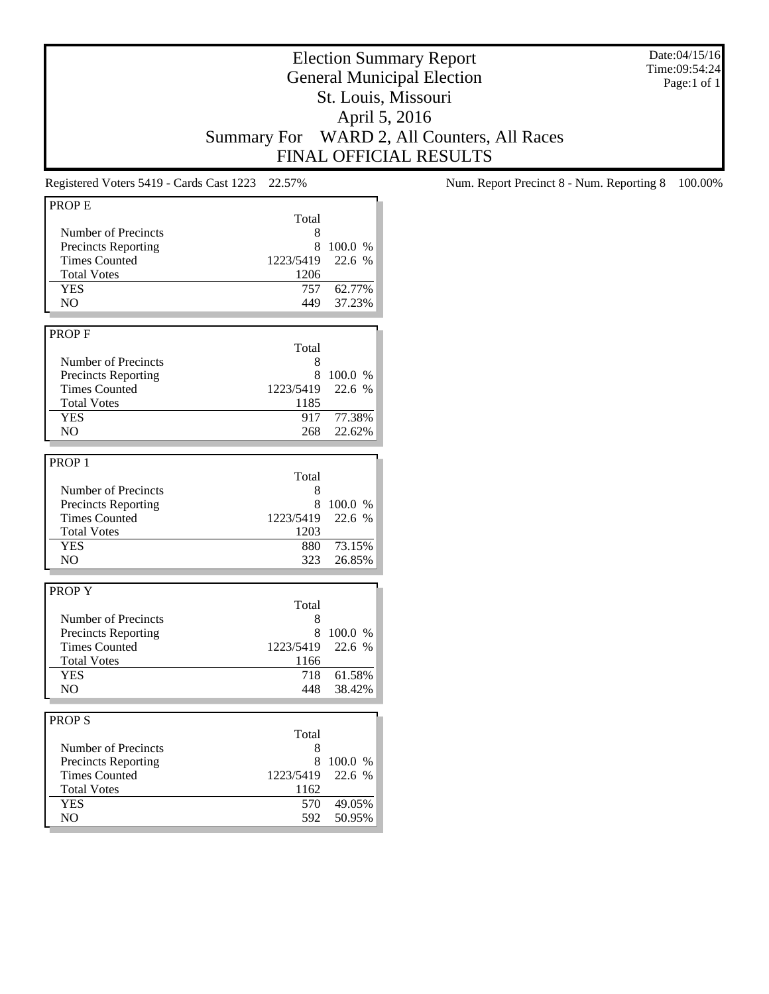Date:04/15/16 Time:09:54:24 Page:1 of 1

## Election Summary Report General Municipal Election St. Louis, Missouri April 5, 2016 Summary For WARD 2, All Counters, All Races FINAL OFFICIAL RESULTS

| Total<br>Number of Precincts<br>8<br><b>Precincts Reporting</b><br>8<br>100.0 %<br><b>Times Counted</b><br>1223/5419<br>22.6 %<br><b>Total Votes</b><br>1206<br><b>YES</b><br>62.77%<br>757<br>N <sub>O</sub><br>37.23%<br>449<br><b>PROPF</b><br>Total<br>Number of Precincts<br>8<br><b>Precincts Reporting</b><br>8<br>100.0 %<br><b>Times Counted</b><br>1223/5419<br>22.6 %<br><b>Total Votes</b><br>1185<br><b>YES</b><br>917<br>77.38%<br>NO.<br>268<br>22.62%<br>PROP <sub>1</sub><br>Total<br>Number of Precincts<br>8<br>8<br><b>Precincts Reporting</b><br>100.0 %<br><b>Times Counted</b><br>22.6 %<br>1223/5419<br><b>Total Votes</b><br>1203<br><b>YES</b><br>880<br>73.15%<br>N <sub>O</sub><br>323<br>26.85%<br><b>PROPY</b><br>Total<br>Number of Precincts<br>8<br><b>Precincts Reporting</b><br>8<br>100.0 %<br><b>Times Counted</b><br>1223/5419<br>22.6 %<br><b>Total Votes</b><br>1166<br><b>YES</b><br>61.58%<br>718<br>NO<br>448<br>38.42%<br><b>PROPS</b><br>Total<br>Number of Precincts<br>8<br>8<br>100.0 %<br><b>Precincts Reporting</b><br>22.6 %<br><b>Times Counted</b><br>1223/5419<br><b>Total Votes</b><br>1162<br>49.05%<br><b>YES</b><br>570<br>NO<br>592<br>50.95% | <b>PROPE</b> |  |
|----------------------------------------------------------------------------------------------------------------------------------------------------------------------------------------------------------------------------------------------------------------------------------------------------------------------------------------------------------------------------------------------------------------------------------------------------------------------------------------------------------------------------------------------------------------------------------------------------------------------------------------------------------------------------------------------------------------------------------------------------------------------------------------------------------------------------------------------------------------------------------------------------------------------------------------------------------------------------------------------------------------------------------------------------------------------------------------------------------------------------------------------------------------------------------------------------------|--------------|--|
|                                                                                                                                                                                                                                                                                                                                                                                                                                                                                                                                                                                                                                                                                                                                                                                                                                                                                                                                                                                                                                                                                                                                                                                                          |              |  |
|                                                                                                                                                                                                                                                                                                                                                                                                                                                                                                                                                                                                                                                                                                                                                                                                                                                                                                                                                                                                                                                                                                                                                                                                          |              |  |
|                                                                                                                                                                                                                                                                                                                                                                                                                                                                                                                                                                                                                                                                                                                                                                                                                                                                                                                                                                                                                                                                                                                                                                                                          |              |  |
|                                                                                                                                                                                                                                                                                                                                                                                                                                                                                                                                                                                                                                                                                                                                                                                                                                                                                                                                                                                                                                                                                                                                                                                                          |              |  |
|                                                                                                                                                                                                                                                                                                                                                                                                                                                                                                                                                                                                                                                                                                                                                                                                                                                                                                                                                                                                                                                                                                                                                                                                          |              |  |
|                                                                                                                                                                                                                                                                                                                                                                                                                                                                                                                                                                                                                                                                                                                                                                                                                                                                                                                                                                                                                                                                                                                                                                                                          |              |  |
|                                                                                                                                                                                                                                                                                                                                                                                                                                                                                                                                                                                                                                                                                                                                                                                                                                                                                                                                                                                                                                                                                                                                                                                                          |              |  |
|                                                                                                                                                                                                                                                                                                                                                                                                                                                                                                                                                                                                                                                                                                                                                                                                                                                                                                                                                                                                                                                                                                                                                                                                          |              |  |
|                                                                                                                                                                                                                                                                                                                                                                                                                                                                                                                                                                                                                                                                                                                                                                                                                                                                                                                                                                                                                                                                                                                                                                                                          |              |  |
|                                                                                                                                                                                                                                                                                                                                                                                                                                                                                                                                                                                                                                                                                                                                                                                                                                                                                                                                                                                                                                                                                                                                                                                                          |              |  |
|                                                                                                                                                                                                                                                                                                                                                                                                                                                                                                                                                                                                                                                                                                                                                                                                                                                                                                                                                                                                                                                                                                                                                                                                          |              |  |
|                                                                                                                                                                                                                                                                                                                                                                                                                                                                                                                                                                                                                                                                                                                                                                                                                                                                                                                                                                                                                                                                                                                                                                                                          |              |  |
|                                                                                                                                                                                                                                                                                                                                                                                                                                                                                                                                                                                                                                                                                                                                                                                                                                                                                                                                                                                                                                                                                                                                                                                                          |              |  |
|                                                                                                                                                                                                                                                                                                                                                                                                                                                                                                                                                                                                                                                                                                                                                                                                                                                                                                                                                                                                                                                                                                                                                                                                          |              |  |
|                                                                                                                                                                                                                                                                                                                                                                                                                                                                                                                                                                                                                                                                                                                                                                                                                                                                                                                                                                                                                                                                                                                                                                                                          |              |  |
|                                                                                                                                                                                                                                                                                                                                                                                                                                                                                                                                                                                                                                                                                                                                                                                                                                                                                                                                                                                                                                                                                                                                                                                                          |              |  |
|                                                                                                                                                                                                                                                                                                                                                                                                                                                                                                                                                                                                                                                                                                                                                                                                                                                                                                                                                                                                                                                                                                                                                                                                          |              |  |
|                                                                                                                                                                                                                                                                                                                                                                                                                                                                                                                                                                                                                                                                                                                                                                                                                                                                                                                                                                                                                                                                                                                                                                                                          |              |  |
|                                                                                                                                                                                                                                                                                                                                                                                                                                                                                                                                                                                                                                                                                                                                                                                                                                                                                                                                                                                                                                                                                                                                                                                                          |              |  |
|                                                                                                                                                                                                                                                                                                                                                                                                                                                                                                                                                                                                                                                                                                                                                                                                                                                                                                                                                                                                                                                                                                                                                                                                          |              |  |
|                                                                                                                                                                                                                                                                                                                                                                                                                                                                                                                                                                                                                                                                                                                                                                                                                                                                                                                                                                                                                                                                                                                                                                                                          |              |  |
|                                                                                                                                                                                                                                                                                                                                                                                                                                                                                                                                                                                                                                                                                                                                                                                                                                                                                                                                                                                                                                                                                                                                                                                                          |              |  |
|                                                                                                                                                                                                                                                                                                                                                                                                                                                                                                                                                                                                                                                                                                                                                                                                                                                                                                                                                                                                                                                                                                                                                                                                          |              |  |
|                                                                                                                                                                                                                                                                                                                                                                                                                                                                                                                                                                                                                                                                                                                                                                                                                                                                                                                                                                                                                                                                                                                                                                                                          |              |  |
|                                                                                                                                                                                                                                                                                                                                                                                                                                                                                                                                                                                                                                                                                                                                                                                                                                                                                                                                                                                                                                                                                                                                                                                                          |              |  |
|                                                                                                                                                                                                                                                                                                                                                                                                                                                                                                                                                                                                                                                                                                                                                                                                                                                                                                                                                                                                                                                                                                                                                                                                          |              |  |
|                                                                                                                                                                                                                                                                                                                                                                                                                                                                                                                                                                                                                                                                                                                                                                                                                                                                                                                                                                                                                                                                                                                                                                                                          |              |  |
|                                                                                                                                                                                                                                                                                                                                                                                                                                                                                                                                                                                                                                                                                                                                                                                                                                                                                                                                                                                                                                                                                                                                                                                                          |              |  |
|                                                                                                                                                                                                                                                                                                                                                                                                                                                                                                                                                                                                                                                                                                                                                                                                                                                                                                                                                                                                                                                                                                                                                                                                          |              |  |
|                                                                                                                                                                                                                                                                                                                                                                                                                                                                                                                                                                                                                                                                                                                                                                                                                                                                                                                                                                                                                                                                                                                                                                                                          |              |  |
|                                                                                                                                                                                                                                                                                                                                                                                                                                                                                                                                                                                                                                                                                                                                                                                                                                                                                                                                                                                                                                                                                                                                                                                                          |              |  |
|                                                                                                                                                                                                                                                                                                                                                                                                                                                                                                                                                                                                                                                                                                                                                                                                                                                                                                                                                                                                                                                                                                                                                                                                          |              |  |
|                                                                                                                                                                                                                                                                                                                                                                                                                                                                                                                                                                                                                                                                                                                                                                                                                                                                                                                                                                                                                                                                                                                                                                                                          |              |  |
|                                                                                                                                                                                                                                                                                                                                                                                                                                                                                                                                                                                                                                                                                                                                                                                                                                                                                                                                                                                                                                                                                                                                                                                                          |              |  |
|                                                                                                                                                                                                                                                                                                                                                                                                                                                                                                                                                                                                                                                                                                                                                                                                                                                                                                                                                                                                                                                                                                                                                                                                          |              |  |
|                                                                                                                                                                                                                                                                                                                                                                                                                                                                                                                                                                                                                                                                                                                                                                                                                                                                                                                                                                                                                                                                                                                                                                                                          |              |  |
|                                                                                                                                                                                                                                                                                                                                                                                                                                                                                                                                                                                                                                                                                                                                                                                                                                                                                                                                                                                                                                                                                                                                                                                                          |              |  |
|                                                                                                                                                                                                                                                                                                                                                                                                                                                                                                                                                                                                                                                                                                                                                                                                                                                                                                                                                                                                                                                                                                                                                                                                          |              |  |
|                                                                                                                                                                                                                                                                                                                                                                                                                                                                                                                                                                                                                                                                                                                                                                                                                                                                                                                                                                                                                                                                                                                                                                                                          |              |  |
|                                                                                                                                                                                                                                                                                                                                                                                                                                                                                                                                                                                                                                                                                                                                                                                                                                                                                                                                                                                                                                                                                                                                                                                                          |              |  |
|                                                                                                                                                                                                                                                                                                                                                                                                                                                                                                                                                                                                                                                                                                                                                                                                                                                                                                                                                                                                                                                                                                                                                                                                          |              |  |
|                                                                                                                                                                                                                                                                                                                                                                                                                                                                                                                                                                                                                                                                                                                                                                                                                                                                                                                                                                                                                                                                                                                                                                                                          |              |  |
|                                                                                                                                                                                                                                                                                                                                                                                                                                                                                                                                                                                                                                                                                                                                                                                                                                                                                                                                                                                                                                                                                                                                                                                                          |              |  |
|                                                                                                                                                                                                                                                                                                                                                                                                                                                                                                                                                                                                                                                                                                                                                                                                                                                                                                                                                                                                                                                                                                                                                                                                          |              |  |
|                                                                                                                                                                                                                                                                                                                                                                                                                                                                                                                                                                                                                                                                                                                                                                                                                                                                                                                                                                                                                                                                                                                                                                                                          |              |  |
|                                                                                                                                                                                                                                                                                                                                                                                                                                                                                                                                                                                                                                                                                                                                                                                                                                                                                                                                                                                                                                                                                                                                                                                                          |              |  |
|                                                                                                                                                                                                                                                                                                                                                                                                                                                                                                                                                                                                                                                                                                                                                                                                                                                                                                                                                                                                                                                                                                                                                                                                          |              |  |

Registered Voters 5419 - Cards Cast 1223 22.57% Num. Report Precinct 8 - Num. Reporting 8 100.00%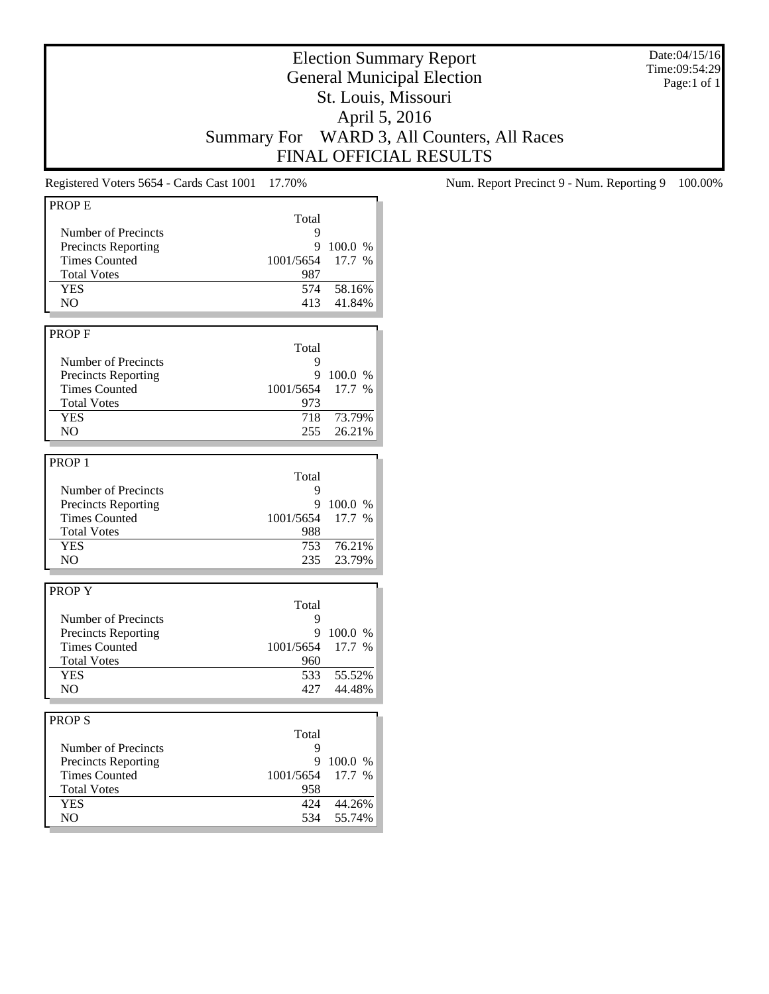Date:04/15/16 Time:09:54:29 Page:1 of 1

## Election Summary Report General Municipal Election St. Louis, Missouri April 5, 2016 Summary For WARD 3, All Counters, All Races FINAL OFFICIAL RESULTS

| <b>PROPE</b>               |           |         |
|----------------------------|-----------|---------|
|                            |           |         |
|                            | Total     |         |
| Number of Precincts        | 9         |         |
| <b>Precincts Reporting</b> | 9         | 100.0 % |
| <b>Times Counted</b>       | 1001/5654 | 17.7 %  |
| <b>Total Votes</b>         | 987       |         |
| <b>YES</b>                 | 574       | 58.16%  |
| N <sub>O</sub>             | 413       | 41.84%  |
|                            |           |         |
|                            |           |         |
| PROP <sub>F</sub>          |           |         |
|                            | Total     |         |
| Number of Precincts        | 9         |         |
| <b>Precincts Reporting</b> | 9         | 100.0 % |
| <b>Times Counted</b>       | 1001/5654 | 17.7 %  |
|                            |           |         |
| <b>Total Votes</b>         | 973       |         |
| <b>YES</b>                 | 718       | 73.79%  |
| NO.                        | 255       | 26.21%  |
|                            |           |         |
| PROP <sub>1</sub>          |           |         |
|                            | Total     |         |
|                            |           |         |
| Number of Precincts        | 9         |         |
| <b>Precincts Reporting</b> | 9         | 100.0 % |
| <b>Times Counted</b>       | 1001/5654 | 17.7 %  |
| <b>Total Votes</b>         | 988       |         |
| <b>YES</b>                 | 753       | 76.21%  |
| NO.                        | 235       | 23.79%  |
|                            |           |         |
|                            |           |         |
| <b>PROPY</b>               |           |         |
|                            | Total     |         |
| Number of Precincts        | 9         |         |
| <b>Precincts Reporting</b> | 9         | 100.0 % |
| <b>Times Counted</b>       | 1001/5654 | 17.7 %  |
| <b>Total Votes</b>         | 960       |         |
|                            |           |         |
| <b>YES</b>                 | 533       | 55.52%  |
| NO                         | 427       | 44.48%  |
|                            |           |         |
| PROP <sub>S</sub>          |           |         |
|                            | Total     |         |
| Number of Precincts        | 9         |         |
|                            |           |         |
| <b>Precincts Reporting</b> | 9         | 100.0 % |
| <b>Times Counted</b>       | 1001/5654 | 17.7 %  |
| <b>Total Votes</b>         | 958       |         |
| <b>YES</b>                 | 424       | 44.26%  |
| NO.                        | 534       | 55.74%  |
|                            |           |         |

Registered Voters 5654 - Cards Cast 1001 17.70% Num. Report Precinct 9 - Num. Reporting 9 100.00%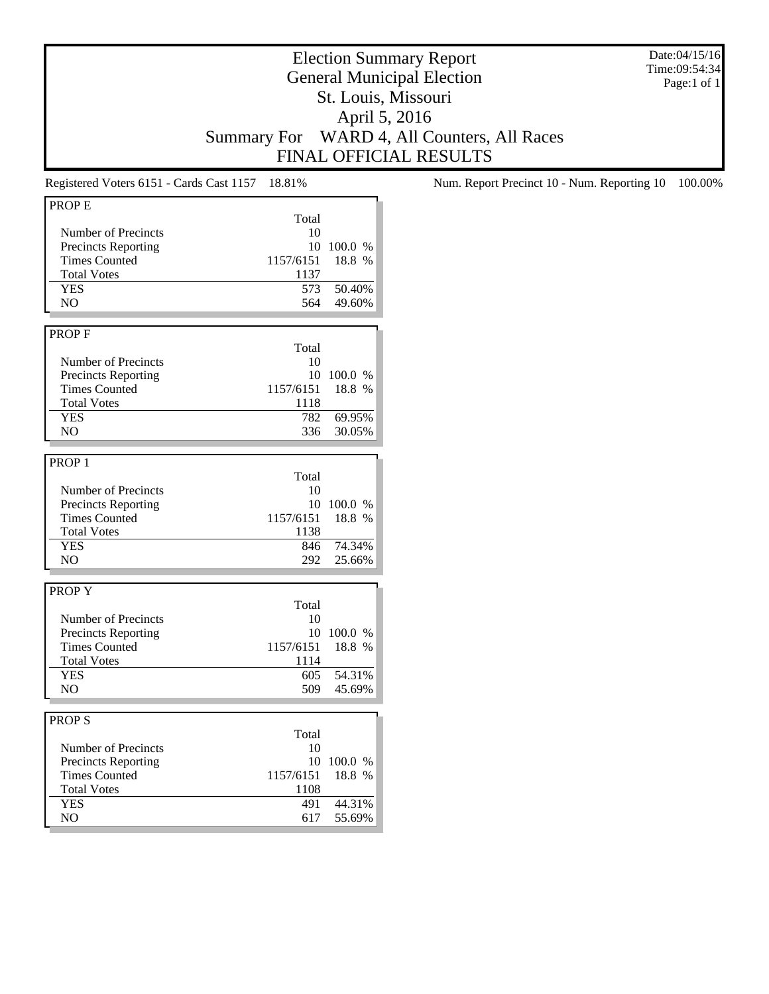Date:04/15/16 Time:09:54:34 Page:1 of 1

## Election Summary Report General Municipal Election St. Louis, Missouri April 5, 2016 Summary For WARD 4, All Counters, All Races FINAL OFFICIAL RESULTS

| <b>PROPE</b>               |           |         |
|----------------------------|-----------|---------|
|                            | Total     |         |
|                            |           |         |
| Number of Precincts        | 10        |         |
| <b>Precincts Reporting</b> | 10        | 100.0 % |
| <b>Times Counted</b>       | 1157/6151 | 18.8 %  |
| <b>Total Votes</b>         | 1137      |         |
| <b>YES</b>                 | 573       | 50.40%  |
| N <sub>O</sub>             | 564       | 49.60%  |
|                            |           |         |
|                            |           |         |
| <b>PROPF</b>               |           |         |
|                            | Total     |         |
| Number of Precincts        | 10        |         |
| <b>Precincts Reporting</b> | 10        | 100.0 % |
| <b>Times Counted</b>       | 1157/6151 | 18.8 %  |
| <b>Total Votes</b>         | 1118      |         |
| <b>YES</b>                 | 782       | 69.95%  |
| N <sub>O</sub>             |           |         |
|                            | 336       | 30.05%  |
|                            |           |         |
| PROP <sub>1</sub>          |           |         |
|                            | Total     |         |
| Number of Precincts        | 10        |         |
| <b>Precincts Reporting</b> | 10        | 100.0 % |
| <b>Times Counted</b>       |           | 18.8 %  |
|                            | 1157/6151 |         |
| <b>Total Votes</b>         | 1138      |         |
| <b>YES</b>                 | 846       | 74.34%  |
| N <sub>O</sub>             | 292       | 25.66%  |
|                            |           |         |
| <b>PROPY</b>               |           |         |
|                            | Total     |         |
|                            |           |         |
| Number of Precincts        | 10        |         |
| <b>Precincts Reporting</b> | 10        | 100.0 % |
| <b>Times Counted</b>       | 1157/6151 | 18.8 %  |
| <b>Total Votes</b>         | 1114      |         |
| <b>YES</b>                 | 605       | 54.31%  |
| N <sub>O</sub>             | 509       | 45.69%  |
|                            |           |         |
|                            |           |         |
| <b>PROPS</b>               |           |         |
|                            | Total     |         |
| Number of Precincts        | 10        |         |
| <b>Precincts Reporting</b> | 10        | 100.0%  |
| <b>Times Counted</b>       | 1157/6151 | 18.8 %  |
| <b>Total Votes</b>         | 1108      |         |
| <b>YES</b>                 | 491       | 44.31%  |
| N <sub>O</sub>             | 617       | 55.69%  |
|                            |           |         |

Registered Voters 6151 - Cards Cast 1157 18.81% Num. Report Precinct 10 - Num. Reporting 10 100.00%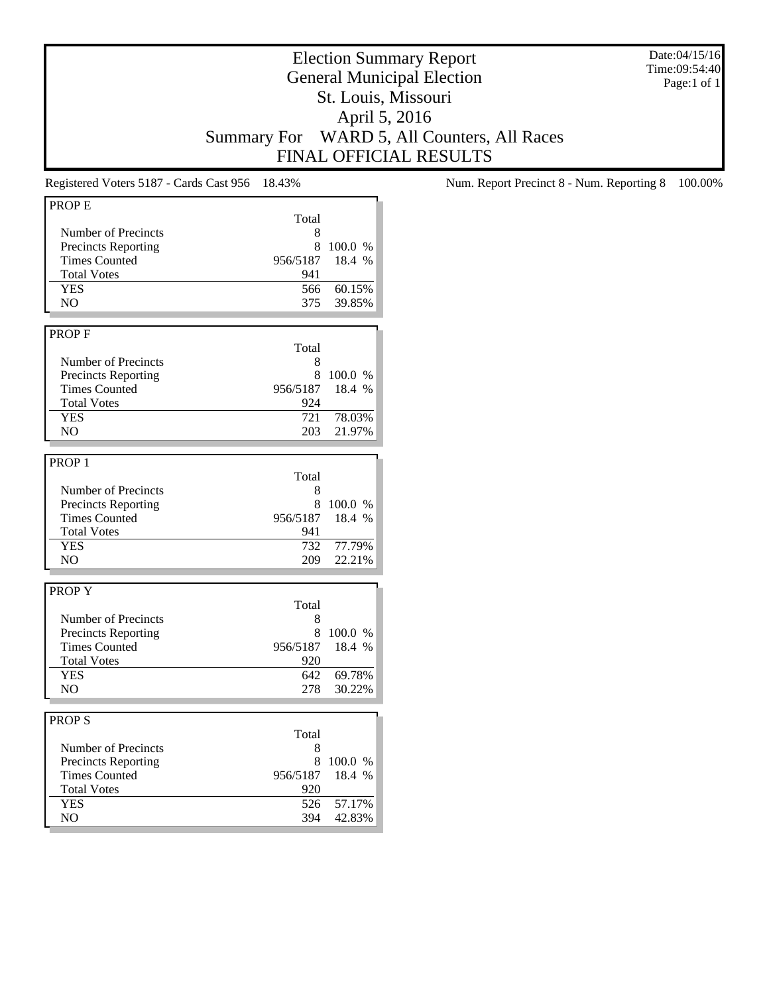Date:04/15/16 Time:09:54:40 Page:1 of 1

# Election Summary Report General Municipal Election St. Louis, Missouri April 5, 2016 Summary For WARD 5, All Counters, All Races FINAL OFFICIAL RESULTS

| <b>PROPE</b>               |          |         |
|----------------------------|----------|---------|
|                            | Total    |         |
| Number of Precincts        | 8        |         |
| <b>Precincts Reporting</b> | 8        | 100.0 % |
| <b>Times Counted</b>       | 956/5187 | 18.4 %  |
|                            |          |         |
| <b>Total Votes</b>         | 941      |         |
| <b>YES</b>                 | 566      | 60.15%  |
| NO.                        | 375      | 39.85%  |
|                            |          |         |
| <b>PROPF</b>               |          |         |
|                            | Total    |         |
| Number of Precincts        | 8        |         |
| <b>Precincts Reporting</b> | 8        | 100.0%  |
| <b>Times Counted</b>       | 956/5187 | 18.4 %  |
| <b>Total Votes</b>         | 924      |         |
| <b>YES</b>                 | 721      | 78.03%  |
|                            |          |         |
| NO.                        | 203      | 21.97%  |
|                            |          |         |
| PROP <sub>1</sub>          |          |         |
|                            | Total    |         |
| Number of Precincts        | 8        |         |
| <b>Precincts Reporting</b> | 8        | 100.0 % |
| <b>Times Counted</b>       | 956/5187 | 18.4 %  |
| <b>Total Votes</b>         | 941      |         |
| <b>YES</b>                 | 732      | 77.79%  |
| N <sub>O</sub>             | 209      | 22.21%  |
|                            |          |         |
|                            |          |         |
| <b>PROPY</b>               |          |         |
|                            | Total    |         |
| Number of Precincts        | 8        |         |
| <b>Precincts Reporting</b> | 8        | 100.0 % |
| <b>Times Counted</b>       | 956/5187 | 18.4 %  |
| <b>Total Votes</b>         | 920      |         |
| <b>YES</b>                 | 642      | 69.78%  |
| N <sub>O</sub>             | 278      | 30.22%  |
|                            |          |         |
| <b>PROPS</b>               |          |         |
|                            |          |         |
|                            | Total    |         |
| Number of Precincts        | 8        |         |
| <b>Precincts Reporting</b> | 8        | 100.0 % |
| <b>Times Counted</b>       | 956/5187 | 18.4 %  |
| <b>Total Votes</b>         | 920      |         |
| <b>YES</b>                 | 526      | 57.17%  |
| NO.                        | 394      | 42.83%  |
|                            |          |         |

Registered Voters 5187 - Cards Cast 956 18.43% Num. Report Precinct 8 - Num. Reporting 8 100.00%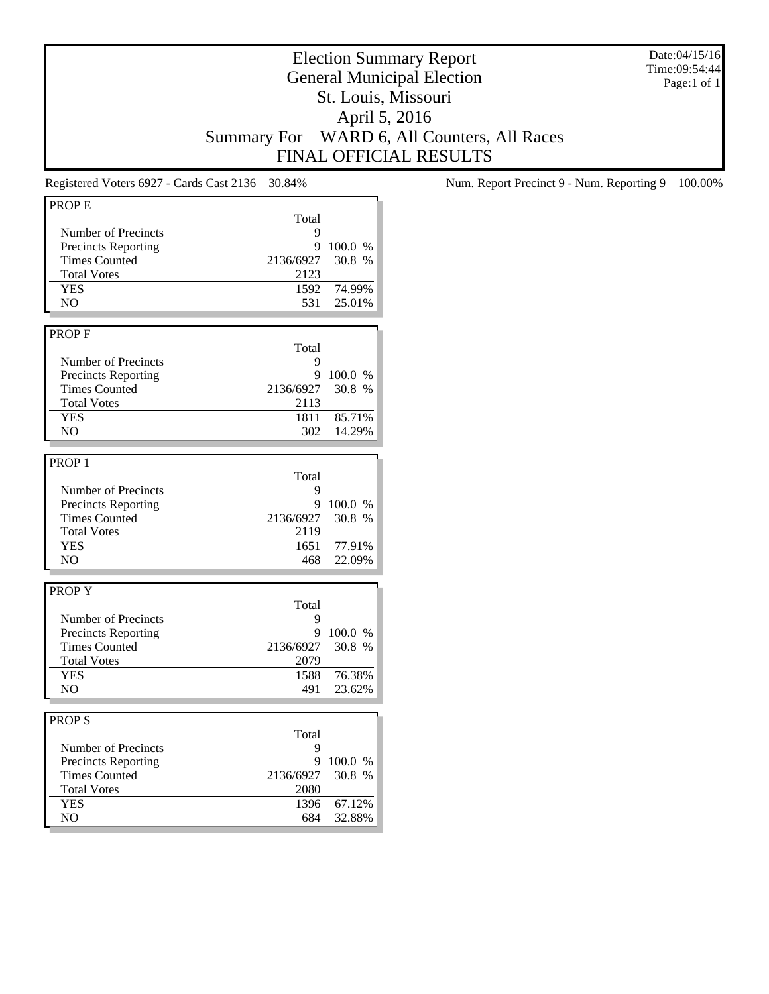Date:04/15/16 Time:09:54:44 Page:1 of 1

# Election Summary Report General Municipal Election St. Louis, Missouri April 5, 2016 Summary For WARD 6, All Counters, All Races FINAL OFFICIAL RESULTS

| PROP <sub>E</sub>          |           |         |
|----------------------------|-----------|---------|
|                            | Total     |         |
| Number of Precincts        | 9         |         |
| <b>Precincts Reporting</b> | 9         | 100.0 % |
| <b>Times Counted</b>       | 2136/6927 | 30.8 %  |
|                            |           |         |
| <b>Total Votes</b>         | 2123      |         |
| <b>YES</b>                 | 1592      | 74.99%  |
| NO.                        | 531       | 25.01%  |
|                            |           |         |
| <b>PROPF</b>               |           |         |
|                            | Total     |         |
| Number of Precincts        | 9         |         |
| <b>Precincts Reporting</b> | 9         | 100.0 % |
| <b>Times Counted</b>       | 2136/6927 | 30.8 %  |
| <b>Total Votes</b>         | 2113      |         |
|                            |           |         |
| <b>YES</b>                 | 1811      | 85.71%  |
| NO.                        | 302       | 14.29%  |
|                            |           |         |
| PROP <sub>1</sub>          |           |         |
|                            | Total     |         |
| Number of Precincts        | 9         |         |
| <b>Precincts Reporting</b> | 9         | 100.0 % |
| <b>Times Counted</b>       | 2136/6927 | 30.8%   |
| <b>Total Votes</b>         | 2119      |         |
| <b>YES</b>                 | 1651      |         |
|                            |           | 77.91%  |
| N <sub>O</sub>             | 468       | 22.09%  |
|                            |           |         |
| <b>PROPY</b>               |           |         |
|                            | Total     |         |
| Number of Precincts        | 9         |         |
| <b>Precincts Reporting</b> | 9         | 100.0 % |
| <b>Times Counted</b>       | 2136/6927 | 30.8 %  |
| <b>Total Votes</b>         | 2079      |         |
| <b>YES</b>                 | 1588      | 76.38%  |
| NO.                        | 491       | 23.62%  |
|                            |           |         |
|                            |           |         |
| <b>PROPS</b>               |           |         |
|                            | Total     |         |
| Number of Precincts        | 9         |         |
| <b>Precincts Reporting</b> | 9         | 100.0 % |
| <b>Times Counted</b>       | 2136/6927 | 30.8 %  |
| <b>Total Votes</b>         | 2080      |         |
| <b>YES</b>                 | 1396      | 67.12%  |
| NO                         | 684       | 32.88%  |
|                            |           |         |

Registered Voters 6927 - Cards Cast 2136 30.84% Num. Report Precinct 9 - Num. Reporting 9 100.00%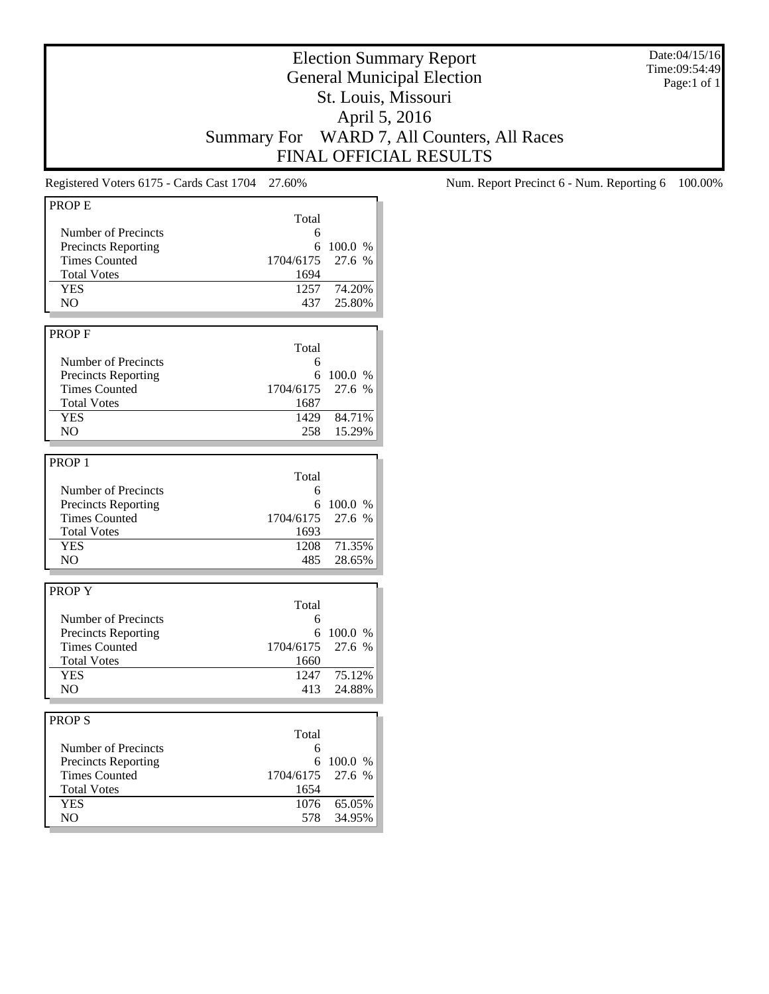Date:04/15/16 Time:09:54:49 Page:1 of 1

## Election Summary Report General Municipal Election St. Louis, Missouri April 5, 2016 Summary For WARD 7, All Counters, All Races FINAL OFFICIAL RESULTS

| Total<br>Number of Precincts<br>6<br><b>Precincts Reporting</b><br>6<br>100.0 %<br><b>Times Counted</b><br>27.6 %<br>1704/6175<br><b>Total Votes</b><br>1694<br><b>YES</b><br>1257<br>74.20%<br>NO.<br>437<br>25.80%<br><b>PROPF</b><br>Total<br>Number of Precincts<br>6<br><b>Precincts Reporting</b><br>6<br>100.0 %<br><b>Times Counted</b><br>27.6 %<br>1704/6175<br><b>Total Votes</b><br>1687<br><b>YES</b><br>1429<br>84.71%<br>NO<br>258<br>15.29%<br>PROP <sub>1</sub><br>Total<br>Number of Precincts<br>6<br><b>Precincts Reporting</b><br>6<br>100.0 %<br><b>Times Counted</b><br>27.6 %<br>1704/6175<br><b>Total Votes</b><br>1693<br><b>YES</b><br>71.35%<br>1208<br>NO<br>485<br>28.65%<br><b>PROPY</b><br>Total<br>Number of Precincts<br>6<br><b>Precincts Reporting</b><br>6<br>100.0 %<br><b>Times Counted</b><br>1704/6175<br>27.6 %<br><b>Total Votes</b><br>1660<br><b>YES</b><br>75.12%<br>1247<br>NO<br>24.88%<br>413<br><b>PROPS</b><br>Total<br>Number of Precincts<br>6<br><b>Precincts Reporting</b><br>6<br>100.0 %<br><b>Times Counted</b><br>27.6 %<br>1704/6175<br><b>Total Votes</b><br>1654<br><b>YES</b><br>65.05%<br>1076<br>N <sub>O</sub><br>578<br>34.95% | PROP <sub>E</sub> |  |
|---------------------------------------------------------------------------------------------------------------------------------------------------------------------------------------------------------------------------------------------------------------------------------------------------------------------------------------------------------------------------------------------------------------------------------------------------------------------------------------------------------------------------------------------------------------------------------------------------------------------------------------------------------------------------------------------------------------------------------------------------------------------------------------------------------------------------------------------------------------------------------------------------------------------------------------------------------------------------------------------------------------------------------------------------------------------------------------------------------------------------------------------------------------------------------------------------|-------------------|--|
|                                                                                                                                                                                                                                                                                                                                                                                                                                                                                                                                                                                                                                                                                                                                                                                                                                                                                                                                                                                                                                                                                                                                                                                                   |                   |  |
|                                                                                                                                                                                                                                                                                                                                                                                                                                                                                                                                                                                                                                                                                                                                                                                                                                                                                                                                                                                                                                                                                                                                                                                                   |                   |  |
|                                                                                                                                                                                                                                                                                                                                                                                                                                                                                                                                                                                                                                                                                                                                                                                                                                                                                                                                                                                                                                                                                                                                                                                                   |                   |  |
|                                                                                                                                                                                                                                                                                                                                                                                                                                                                                                                                                                                                                                                                                                                                                                                                                                                                                                                                                                                                                                                                                                                                                                                                   |                   |  |
|                                                                                                                                                                                                                                                                                                                                                                                                                                                                                                                                                                                                                                                                                                                                                                                                                                                                                                                                                                                                                                                                                                                                                                                                   |                   |  |
|                                                                                                                                                                                                                                                                                                                                                                                                                                                                                                                                                                                                                                                                                                                                                                                                                                                                                                                                                                                                                                                                                                                                                                                                   |                   |  |
|                                                                                                                                                                                                                                                                                                                                                                                                                                                                                                                                                                                                                                                                                                                                                                                                                                                                                                                                                                                                                                                                                                                                                                                                   |                   |  |
|                                                                                                                                                                                                                                                                                                                                                                                                                                                                                                                                                                                                                                                                                                                                                                                                                                                                                                                                                                                                                                                                                                                                                                                                   |                   |  |
|                                                                                                                                                                                                                                                                                                                                                                                                                                                                                                                                                                                                                                                                                                                                                                                                                                                                                                                                                                                                                                                                                                                                                                                                   |                   |  |
|                                                                                                                                                                                                                                                                                                                                                                                                                                                                                                                                                                                                                                                                                                                                                                                                                                                                                                                                                                                                                                                                                                                                                                                                   |                   |  |
|                                                                                                                                                                                                                                                                                                                                                                                                                                                                                                                                                                                                                                                                                                                                                                                                                                                                                                                                                                                                                                                                                                                                                                                                   |                   |  |
|                                                                                                                                                                                                                                                                                                                                                                                                                                                                                                                                                                                                                                                                                                                                                                                                                                                                                                                                                                                                                                                                                                                                                                                                   |                   |  |
|                                                                                                                                                                                                                                                                                                                                                                                                                                                                                                                                                                                                                                                                                                                                                                                                                                                                                                                                                                                                                                                                                                                                                                                                   |                   |  |
|                                                                                                                                                                                                                                                                                                                                                                                                                                                                                                                                                                                                                                                                                                                                                                                                                                                                                                                                                                                                                                                                                                                                                                                                   |                   |  |
|                                                                                                                                                                                                                                                                                                                                                                                                                                                                                                                                                                                                                                                                                                                                                                                                                                                                                                                                                                                                                                                                                                                                                                                                   |                   |  |
|                                                                                                                                                                                                                                                                                                                                                                                                                                                                                                                                                                                                                                                                                                                                                                                                                                                                                                                                                                                                                                                                                                                                                                                                   |                   |  |
|                                                                                                                                                                                                                                                                                                                                                                                                                                                                                                                                                                                                                                                                                                                                                                                                                                                                                                                                                                                                                                                                                                                                                                                                   |                   |  |
|                                                                                                                                                                                                                                                                                                                                                                                                                                                                                                                                                                                                                                                                                                                                                                                                                                                                                                                                                                                                                                                                                                                                                                                                   |                   |  |
|                                                                                                                                                                                                                                                                                                                                                                                                                                                                                                                                                                                                                                                                                                                                                                                                                                                                                                                                                                                                                                                                                                                                                                                                   |                   |  |
|                                                                                                                                                                                                                                                                                                                                                                                                                                                                                                                                                                                                                                                                                                                                                                                                                                                                                                                                                                                                                                                                                                                                                                                                   |                   |  |
|                                                                                                                                                                                                                                                                                                                                                                                                                                                                                                                                                                                                                                                                                                                                                                                                                                                                                                                                                                                                                                                                                                                                                                                                   |                   |  |
|                                                                                                                                                                                                                                                                                                                                                                                                                                                                                                                                                                                                                                                                                                                                                                                                                                                                                                                                                                                                                                                                                                                                                                                                   |                   |  |
|                                                                                                                                                                                                                                                                                                                                                                                                                                                                                                                                                                                                                                                                                                                                                                                                                                                                                                                                                                                                                                                                                                                                                                                                   |                   |  |
|                                                                                                                                                                                                                                                                                                                                                                                                                                                                                                                                                                                                                                                                                                                                                                                                                                                                                                                                                                                                                                                                                                                                                                                                   |                   |  |
|                                                                                                                                                                                                                                                                                                                                                                                                                                                                                                                                                                                                                                                                                                                                                                                                                                                                                                                                                                                                                                                                                                                                                                                                   |                   |  |
|                                                                                                                                                                                                                                                                                                                                                                                                                                                                                                                                                                                                                                                                                                                                                                                                                                                                                                                                                                                                                                                                                                                                                                                                   |                   |  |
|                                                                                                                                                                                                                                                                                                                                                                                                                                                                                                                                                                                                                                                                                                                                                                                                                                                                                                                                                                                                                                                                                                                                                                                                   |                   |  |
|                                                                                                                                                                                                                                                                                                                                                                                                                                                                                                                                                                                                                                                                                                                                                                                                                                                                                                                                                                                                                                                                                                                                                                                                   |                   |  |
|                                                                                                                                                                                                                                                                                                                                                                                                                                                                                                                                                                                                                                                                                                                                                                                                                                                                                                                                                                                                                                                                                                                                                                                                   |                   |  |
|                                                                                                                                                                                                                                                                                                                                                                                                                                                                                                                                                                                                                                                                                                                                                                                                                                                                                                                                                                                                                                                                                                                                                                                                   |                   |  |
|                                                                                                                                                                                                                                                                                                                                                                                                                                                                                                                                                                                                                                                                                                                                                                                                                                                                                                                                                                                                                                                                                                                                                                                                   |                   |  |
|                                                                                                                                                                                                                                                                                                                                                                                                                                                                                                                                                                                                                                                                                                                                                                                                                                                                                                                                                                                                                                                                                                                                                                                                   |                   |  |
|                                                                                                                                                                                                                                                                                                                                                                                                                                                                                                                                                                                                                                                                                                                                                                                                                                                                                                                                                                                                                                                                                                                                                                                                   |                   |  |
|                                                                                                                                                                                                                                                                                                                                                                                                                                                                                                                                                                                                                                                                                                                                                                                                                                                                                                                                                                                                                                                                                                                                                                                                   |                   |  |
|                                                                                                                                                                                                                                                                                                                                                                                                                                                                                                                                                                                                                                                                                                                                                                                                                                                                                                                                                                                                                                                                                                                                                                                                   |                   |  |
|                                                                                                                                                                                                                                                                                                                                                                                                                                                                                                                                                                                                                                                                                                                                                                                                                                                                                                                                                                                                                                                                                                                                                                                                   |                   |  |
|                                                                                                                                                                                                                                                                                                                                                                                                                                                                                                                                                                                                                                                                                                                                                                                                                                                                                                                                                                                                                                                                                                                                                                                                   |                   |  |
|                                                                                                                                                                                                                                                                                                                                                                                                                                                                                                                                                                                                                                                                                                                                                                                                                                                                                                                                                                                                                                                                                                                                                                                                   |                   |  |
|                                                                                                                                                                                                                                                                                                                                                                                                                                                                                                                                                                                                                                                                                                                                                                                                                                                                                                                                                                                                                                                                                                                                                                                                   |                   |  |
|                                                                                                                                                                                                                                                                                                                                                                                                                                                                                                                                                                                                                                                                                                                                                                                                                                                                                                                                                                                                                                                                                                                                                                                                   |                   |  |
|                                                                                                                                                                                                                                                                                                                                                                                                                                                                                                                                                                                                                                                                                                                                                                                                                                                                                                                                                                                                                                                                                                                                                                                                   |                   |  |
|                                                                                                                                                                                                                                                                                                                                                                                                                                                                                                                                                                                                                                                                                                                                                                                                                                                                                                                                                                                                                                                                                                                                                                                                   |                   |  |
|                                                                                                                                                                                                                                                                                                                                                                                                                                                                                                                                                                                                                                                                                                                                                                                                                                                                                                                                                                                                                                                                                                                                                                                                   |                   |  |
|                                                                                                                                                                                                                                                                                                                                                                                                                                                                                                                                                                                                                                                                                                                                                                                                                                                                                                                                                                                                                                                                                                                                                                                                   |                   |  |
|                                                                                                                                                                                                                                                                                                                                                                                                                                                                                                                                                                                                                                                                                                                                                                                                                                                                                                                                                                                                                                                                                                                                                                                                   |                   |  |
|                                                                                                                                                                                                                                                                                                                                                                                                                                                                                                                                                                                                                                                                                                                                                                                                                                                                                                                                                                                                                                                                                                                                                                                                   |                   |  |
|                                                                                                                                                                                                                                                                                                                                                                                                                                                                                                                                                                                                                                                                                                                                                                                                                                                                                                                                                                                                                                                                                                                                                                                                   |                   |  |
|                                                                                                                                                                                                                                                                                                                                                                                                                                                                                                                                                                                                                                                                                                                                                                                                                                                                                                                                                                                                                                                                                                                                                                                                   |                   |  |
|                                                                                                                                                                                                                                                                                                                                                                                                                                                                                                                                                                                                                                                                                                                                                                                                                                                                                                                                                                                                                                                                                                                                                                                                   |                   |  |

Registered Voters 6175 - Cards Cast 1704 27.60% Num. Report Precinct 6 - Num. Reporting 6 100.00%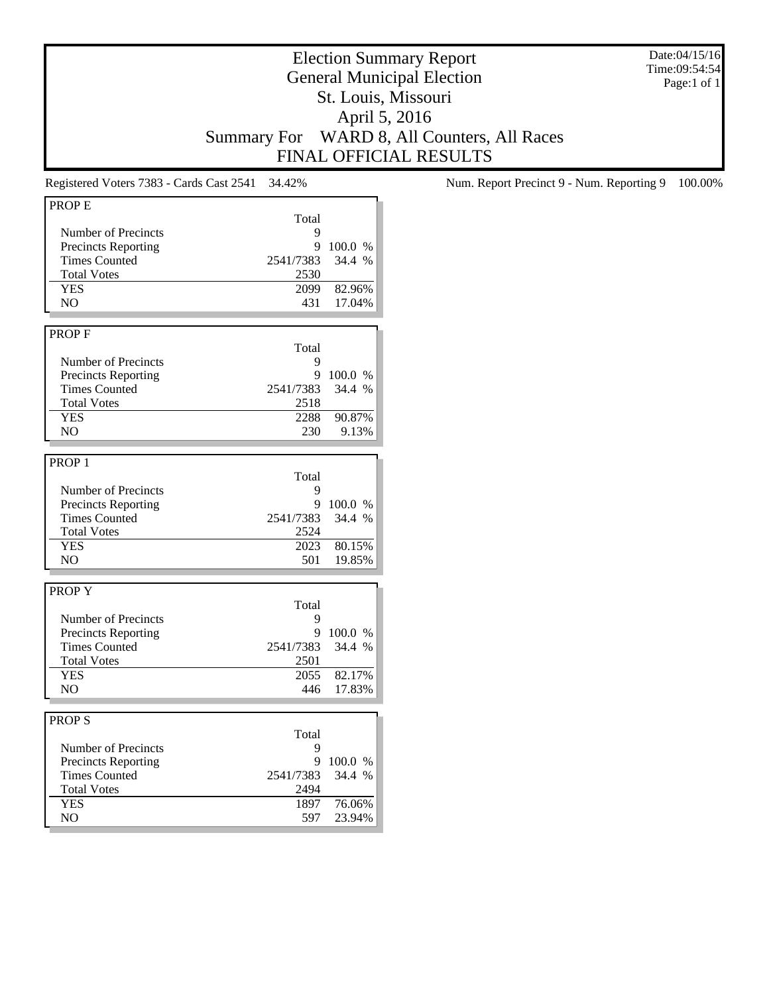Date:04/15/16 Time:09:54:54 Page:1 of 1

## Election Summary Report General Municipal Election St. Louis, Missouri April 5, 2016 Summary For WARD 8, All Counters, All Races FINAL OFFICIAL RESULTS

| <b>PROPE</b>               |           |         |
|----------------------------|-----------|---------|
|                            |           |         |
|                            | Total     |         |
| Number of Precincts        | 9         |         |
| Precincts Reporting        | 9         | 100.0 % |
| <b>Times Counted</b>       | 2541/7383 | 34.4 %  |
| <b>Total Votes</b>         | 2530      |         |
| <b>YES</b>                 | 2099      | 82.96%  |
| N <sub>O</sub>             | 431       | 17.04%  |
|                            |           |         |
|                            |           |         |
| <b>PROPF</b>               |           |         |
|                            | Total     |         |
| Number of Precincts        | 9         |         |
| <b>Precincts Reporting</b> | 9         | 100.0 % |
| <b>Times Counted</b>       | 2541/7383 | 34.4 %  |
| <b>Total Votes</b>         | 2518      |         |
|                            |           |         |
| <b>YES</b>                 | 2288      | 90.87%  |
| NO.                        | 230       | 9.13%   |
|                            |           |         |
| PROP <sub>1</sub>          |           |         |
|                            | Total     |         |
| Number of Precincts        | 9         |         |
|                            |           |         |
| <b>Precincts Reporting</b> | 9         | 100.0 % |
| <b>Times Counted</b>       | 2541/7383 | 34.4%   |
| <b>Total Votes</b>         | 2524      |         |
| <b>YES</b>                 | 2023      | 80.15%  |
| NO.                        | 501       | 19.85%  |
|                            |           |         |
|                            |           |         |
| <b>PROPY</b>               |           |         |
|                            | Total     |         |
| Number of Precincts        | 9         |         |
| <b>Precincts Reporting</b> | 9         | 100.0 % |
| <b>Times Counted</b>       | 2541/7383 | 34.4 %  |
| <b>Total Votes</b>         | 2501      |         |
| <b>YES</b>                 | 2055      | 82.17%  |
| NO.                        | 446       | 17.83%  |
|                            |           |         |
|                            |           |         |
| <b>PROPS</b>               |           |         |
|                            | Total     |         |
| Number of Precincts        | 9         |         |
| <b>Precincts Reporting</b> | 9         | 100.0%  |
|                            |           |         |
| <b>Times Counted</b>       | 2541/7383 | 34.4 %  |
| <b>Total Votes</b>         | 2494      |         |
| <b>YES</b>                 | 1897      | 76.06%  |
| NO                         | 597       | 23.94%  |
|                            |           |         |

Registered Voters 7383 - Cards Cast 2541 34.42% Num. Report Precinct 9 - Num. Reporting 9 100.00%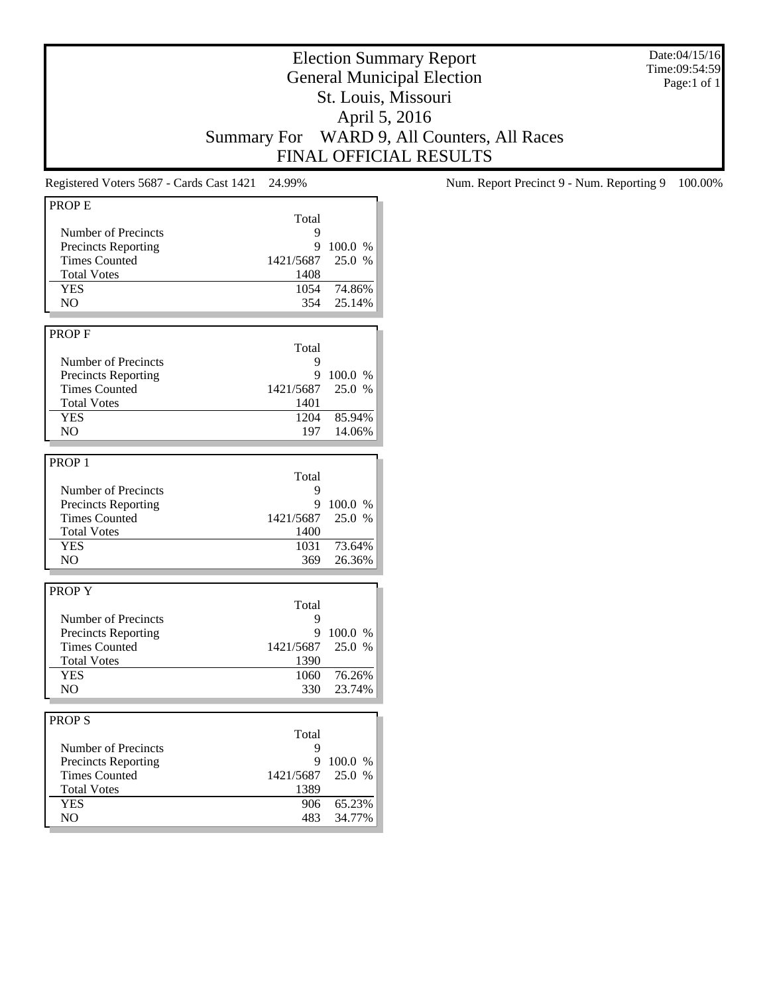Date:04/15/16 Time:09:54:59 Page:1 of 1

## Election Summary Report General Municipal Election St. Louis, Missouri April 5, 2016 Summary For WARD 9, All Counters, All Races FINAL OFFICIAL RESULTS

| Total<br><b>Number of Precincts</b><br>9<br><b>Precincts Reporting</b><br>9<br>100.0 %<br><b>Times Counted</b><br>1421/5687<br>25.0 %<br><b>Total Votes</b><br>1408<br><b>YES</b><br>74.86%<br>1054<br>NO.<br>354<br>25.14%<br><b>PROPF</b><br>Total<br>Number of Precincts<br>9<br><b>Precincts Reporting</b><br>9<br>100.0 %<br><b>Times Counted</b><br>25.0 %<br>1421/5687<br><b>Total Votes</b><br>1401<br><b>YES</b><br>1204<br>85.94%<br>N <sub>O</sub><br>197<br>14.06%<br>PROP <sub>1</sub><br>Total<br>Number of Precincts<br>9<br><b>Precincts Reporting</b><br>9<br>100.0 %<br>25.0 %<br><b>Times Counted</b><br>1421/5687<br><b>Total Votes</b><br>1400<br><b>YES</b><br>1031<br>73.64%<br>NO<br>369<br>26.36%<br><b>PROPY</b><br>Total<br>Number of Precincts<br>9<br>9<br><b>Precincts Reporting</b><br>100.0 %<br>25.0 %<br><b>Times Counted</b><br>1421/5687<br><b>Total Votes</b><br>1390<br><b>YES</b><br>76.26%<br>1060<br>N <sub>O</sub><br>330<br>23.74%<br><b>PROPS</b><br>Total<br>Number of Precincts<br>9<br><b>Precincts Reporting</b><br>9<br>100.0 %<br><b>Times Counted</b><br>25.0 %<br>1421/5687<br><b>Total Votes</b><br>1389<br>65.23%<br><b>YES</b><br>906<br>N <sub>O</sub><br>34.77%<br>483 | <b>PROPE</b> |  |
|---------------------------------------------------------------------------------------------------------------------------------------------------------------------------------------------------------------------------------------------------------------------------------------------------------------------------------------------------------------------------------------------------------------------------------------------------------------------------------------------------------------------------------------------------------------------------------------------------------------------------------------------------------------------------------------------------------------------------------------------------------------------------------------------------------------------------------------------------------------------------------------------------------------------------------------------------------------------------------------------------------------------------------------------------------------------------------------------------------------------------------------------------------------------------------------------------------------------------------|--------------|--|
|                                                                                                                                                                                                                                                                                                                                                                                                                                                                                                                                                                                                                                                                                                                                                                                                                                                                                                                                                                                                                                                                                                                                                                                                                                 |              |  |
|                                                                                                                                                                                                                                                                                                                                                                                                                                                                                                                                                                                                                                                                                                                                                                                                                                                                                                                                                                                                                                                                                                                                                                                                                                 |              |  |
|                                                                                                                                                                                                                                                                                                                                                                                                                                                                                                                                                                                                                                                                                                                                                                                                                                                                                                                                                                                                                                                                                                                                                                                                                                 |              |  |
|                                                                                                                                                                                                                                                                                                                                                                                                                                                                                                                                                                                                                                                                                                                                                                                                                                                                                                                                                                                                                                                                                                                                                                                                                                 |              |  |
|                                                                                                                                                                                                                                                                                                                                                                                                                                                                                                                                                                                                                                                                                                                                                                                                                                                                                                                                                                                                                                                                                                                                                                                                                                 |              |  |
|                                                                                                                                                                                                                                                                                                                                                                                                                                                                                                                                                                                                                                                                                                                                                                                                                                                                                                                                                                                                                                                                                                                                                                                                                                 |              |  |
|                                                                                                                                                                                                                                                                                                                                                                                                                                                                                                                                                                                                                                                                                                                                                                                                                                                                                                                                                                                                                                                                                                                                                                                                                                 |              |  |
|                                                                                                                                                                                                                                                                                                                                                                                                                                                                                                                                                                                                                                                                                                                                                                                                                                                                                                                                                                                                                                                                                                                                                                                                                                 |              |  |
|                                                                                                                                                                                                                                                                                                                                                                                                                                                                                                                                                                                                                                                                                                                                                                                                                                                                                                                                                                                                                                                                                                                                                                                                                                 |              |  |
|                                                                                                                                                                                                                                                                                                                                                                                                                                                                                                                                                                                                                                                                                                                                                                                                                                                                                                                                                                                                                                                                                                                                                                                                                                 |              |  |
|                                                                                                                                                                                                                                                                                                                                                                                                                                                                                                                                                                                                                                                                                                                                                                                                                                                                                                                                                                                                                                                                                                                                                                                                                                 |              |  |
|                                                                                                                                                                                                                                                                                                                                                                                                                                                                                                                                                                                                                                                                                                                                                                                                                                                                                                                                                                                                                                                                                                                                                                                                                                 |              |  |
|                                                                                                                                                                                                                                                                                                                                                                                                                                                                                                                                                                                                                                                                                                                                                                                                                                                                                                                                                                                                                                                                                                                                                                                                                                 |              |  |
|                                                                                                                                                                                                                                                                                                                                                                                                                                                                                                                                                                                                                                                                                                                                                                                                                                                                                                                                                                                                                                                                                                                                                                                                                                 |              |  |
|                                                                                                                                                                                                                                                                                                                                                                                                                                                                                                                                                                                                                                                                                                                                                                                                                                                                                                                                                                                                                                                                                                                                                                                                                                 |              |  |
|                                                                                                                                                                                                                                                                                                                                                                                                                                                                                                                                                                                                                                                                                                                                                                                                                                                                                                                                                                                                                                                                                                                                                                                                                                 |              |  |
|                                                                                                                                                                                                                                                                                                                                                                                                                                                                                                                                                                                                                                                                                                                                                                                                                                                                                                                                                                                                                                                                                                                                                                                                                                 |              |  |
|                                                                                                                                                                                                                                                                                                                                                                                                                                                                                                                                                                                                                                                                                                                                                                                                                                                                                                                                                                                                                                                                                                                                                                                                                                 |              |  |
|                                                                                                                                                                                                                                                                                                                                                                                                                                                                                                                                                                                                                                                                                                                                                                                                                                                                                                                                                                                                                                                                                                                                                                                                                                 |              |  |
|                                                                                                                                                                                                                                                                                                                                                                                                                                                                                                                                                                                                                                                                                                                                                                                                                                                                                                                                                                                                                                                                                                                                                                                                                                 |              |  |
|                                                                                                                                                                                                                                                                                                                                                                                                                                                                                                                                                                                                                                                                                                                                                                                                                                                                                                                                                                                                                                                                                                                                                                                                                                 |              |  |
|                                                                                                                                                                                                                                                                                                                                                                                                                                                                                                                                                                                                                                                                                                                                                                                                                                                                                                                                                                                                                                                                                                                                                                                                                                 |              |  |
|                                                                                                                                                                                                                                                                                                                                                                                                                                                                                                                                                                                                                                                                                                                                                                                                                                                                                                                                                                                                                                                                                                                                                                                                                                 |              |  |
|                                                                                                                                                                                                                                                                                                                                                                                                                                                                                                                                                                                                                                                                                                                                                                                                                                                                                                                                                                                                                                                                                                                                                                                                                                 |              |  |
|                                                                                                                                                                                                                                                                                                                                                                                                                                                                                                                                                                                                                                                                                                                                                                                                                                                                                                                                                                                                                                                                                                                                                                                                                                 |              |  |
|                                                                                                                                                                                                                                                                                                                                                                                                                                                                                                                                                                                                                                                                                                                                                                                                                                                                                                                                                                                                                                                                                                                                                                                                                                 |              |  |
|                                                                                                                                                                                                                                                                                                                                                                                                                                                                                                                                                                                                                                                                                                                                                                                                                                                                                                                                                                                                                                                                                                                                                                                                                                 |              |  |
|                                                                                                                                                                                                                                                                                                                                                                                                                                                                                                                                                                                                                                                                                                                                                                                                                                                                                                                                                                                                                                                                                                                                                                                                                                 |              |  |
|                                                                                                                                                                                                                                                                                                                                                                                                                                                                                                                                                                                                                                                                                                                                                                                                                                                                                                                                                                                                                                                                                                                                                                                                                                 |              |  |
|                                                                                                                                                                                                                                                                                                                                                                                                                                                                                                                                                                                                                                                                                                                                                                                                                                                                                                                                                                                                                                                                                                                                                                                                                                 |              |  |
|                                                                                                                                                                                                                                                                                                                                                                                                                                                                                                                                                                                                                                                                                                                                                                                                                                                                                                                                                                                                                                                                                                                                                                                                                                 |              |  |
|                                                                                                                                                                                                                                                                                                                                                                                                                                                                                                                                                                                                                                                                                                                                                                                                                                                                                                                                                                                                                                                                                                                                                                                                                                 |              |  |
|                                                                                                                                                                                                                                                                                                                                                                                                                                                                                                                                                                                                                                                                                                                                                                                                                                                                                                                                                                                                                                                                                                                                                                                                                                 |              |  |
|                                                                                                                                                                                                                                                                                                                                                                                                                                                                                                                                                                                                                                                                                                                                                                                                                                                                                                                                                                                                                                                                                                                                                                                                                                 |              |  |
|                                                                                                                                                                                                                                                                                                                                                                                                                                                                                                                                                                                                                                                                                                                                                                                                                                                                                                                                                                                                                                                                                                                                                                                                                                 |              |  |
|                                                                                                                                                                                                                                                                                                                                                                                                                                                                                                                                                                                                                                                                                                                                                                                                                                                                                                                                                                                                                                                                                                                                                                                                                                 |              |  |
|                                                                                                                                                                                                                                                                                                                                                                                                                                                                                                                                                                                                                                                                                                                                                                                                                                                                                                                                                                                                                                                                                                                                                                                                                                 |              |  |
|                                                                                                                                                                                                                                                                                                                                                                                                                                                                                                                                                                                                                                                                                                                                                                                                                                                                                                                                                                                                                                                                                                                                                                                                                                 |              |  |
|                                                                                                                                                                                                                                                                                                                                                                                                                                                                                                                                                                                                                                                                                                                                                                                                                                                                                                                                                                                                                                                                                                                                                                                                                                 |              |  |
|                                                                                                                                                                                                                                                                                                                                                                                                                                                                                                                                                                                                                                                                                                                                                                                                                                                                                                                                                                                                                                                                                                                                                                                                                                 |              |  |
|                                                                                                                                                                                                                                                                                                                                                                                                                                                                                                                                                                                                                                                                                                                                                                                                                                                                                                                                                                                                                                                                                                                                                                                                                                 |              |  |
|                                                                                                                                                                                                                                                                                                                                                                                                                                                                                                                                                                                                                                                                                                                                                                                                                                                                                                                                                                                                                                                                                                                                                                                                                                 |              |  |
|                                                                                                                                                                                                                                                                                                                                                                                                                                                                                                                                                                                                                                                                                                                                                                                                                                                                                                                                                                                                                                                                                                                                                                                                                                 |              |  |
|                                                                                                                                                                                                                                                                                                                                                                                                                                                                                                                                                                                                                                                                                                                                                                                                                                                                                                                                                                                                                                                                                                                                                                                                                                 |              |  |
|                                                                                                                                                                                                                                                                                                                                                                                                                                                                                                                                                                                                                                                                                                                                                                                                                                                                                                                                                                                                                                                                                                                                                                                                                                 |              |  |
|                                                                                                                                                                                                                                                                                                                                                                                                                                                                                                                                                                                                                                                                                                                                                                                                                                                                                                                                                                                                                                                                                                                                                                                                                                 |              |  |

Registered Voters 5687 - Cards Cast 1421 24.99% Num. Report Precinct 9 - Num. Reporting 9 100.00%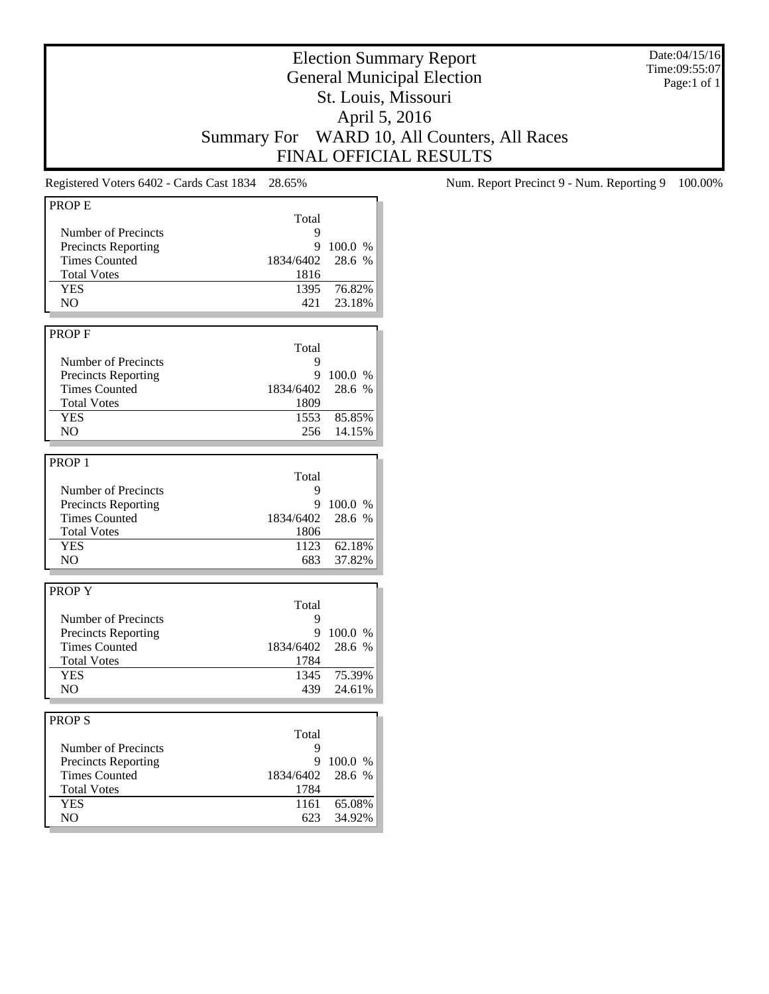Date:04/15/16 Time:09:55:07 Page:1 of 1

## Election Summary Report General Municipal Election St. Louis, Missouri April 5, 2016 Summary For WARD 10, All Counters, All Races FINAL OFFICIAL RESULTS

| Total<br>Number of Precincts<br>9<br><b>Precincts Reporting</b><br>9<br>100.0 %<br><b>Times Counted</b><br>28.6 %<br>1834/6402<br><b>Total Votes</b><br>1816<br><b>YES</b><br>1395<br>76.82%<br>NO<br>421<br>23.18%<br><b>PROPF</b><br>Total<br>Number of Precincts<br>9<br><b>Precincts Reporting</b><br>9<br>100.0%<br><b>Times Counted</b><br>28.6 %<br>1834/6402<br><b>Total Votes</b><br>1809<br><b>YES</b><br>1553<br>85.85%<br>N <sub>O</sub><br>256<br>14.15%<br>Total<br>Number of Precincts<br>9<br><b>Precincts Reporting</b><br>9<br>100.0 %<br><b>Times Counted</b><br>1834/6402<br>28.6 %<br><b>Total Votes</b><br>1806<br><b>YES</b><br>1123<br>62.18%<br>NO<br>683<br>37.82%<br><b>PROPY</b><br>Total<br>Number of Precincts<br>9<br>9<br><b>Precincts Reporting</b><br>100.0 %<br><b>Times Counted</b><br>1834/6402<br>28.6 %<br><b>Total Votes</b><br>1784<br>1345<br><b>YES</b><br>75.39%<br>N <sub>O</sub><br>439<br>24.61%<br>Total<br>Number of Precincts<br>9<br>9<br><b>Precincts Reporting</b><br>100.0 %<br>28.6 %<br><b>Times Counted</b><br>1834/6402<br><b>Total Votes</b><br>1784<br><b>YES</b><br>65.08%<br>1161<br>NO<br>623<br>34.92% | <b>PROPE</b>      |  |
|------------------------------------------------------------------------------------------------------------------------------------------------------------------------------------------------------------------------------------------------------------------------------------------------------------------------------------------------------------------------------------------------------------------------------------------------------------------------------------------------------------------------------------------------------------------------------------------------------------------------------------------------------------------------------------------------------------------------------------------------------------------------------------------------------------------------------------------------------------------------------------------------------------------------------------------------------------------------------------------------------------------------------------------------------------------------------------------------------------------------------------------------------------------------|-------------------|--|
|                                                                                                                                                                                                                                                                                                                                                                                                                                                                                                                                                                                                                                                                                                                                                                                                                                                                                                                                                                                                                                                                                                                                                                        |                   |  |
|                                                                                                                                                                                                                                                                                                                                                                                                                                                                                                                                                                                                                                                                                                                                                                                                                                                                                                                                                                                                                                                                                                                                                                        |                   |  |
|                                                                                                                                                                                                                                                                                                                                                                                                                                                                                                                                                                                                                                                                                                                                                                                                                                                                                                                                                                                                                                                                                                                                                                        |                   |  |
|                                                                                                                                                                                                                                                                                                                                                                                                                                                                                                                                                                                                                                                                                                                                                                                                                                                                                                                                                                                                                                                                                                                                                                        |                   |  |
|                                                                                                                                                                                                                                                                                                                                                                                                                                                                                                                                                                                                                                                                                                                                                                                                                                                                                                                                                                                                                                                                                                                                                                        |                   |  |
|                                                                                                                                                                                                                                                                                                                                                                                                                                                                                                                                                                                                                                                                                                                                                                                                                                                                                                                                                                                                                                                                                                                                                                        |                   |  |
|                                                                                                                                                                                                                                                                                                                                                                                                                                                                                                                                                                                                                                                                                                                                                                                                                                                                                                                                                                                                                                                                                                                                                                        |                   |  |
|                                                                                                                                                                                                                                                                                                                                                                                                                                                                                                                                                                                                                                                                                                                                                                                                                                                                                                                                                                                                                                                                                                                                                                        |                   |  |
|                                                                                                                                                                                                                                                                                                                                                                                                                                                                                                                                                                                                                                                                                                                                                                                                                                                                                                                                                                                                                                                                                                                                                                        |                   |  |
|                                                                                                                                                                                                                                                                                                                                                                                                                                                                                                                                                                                                                                                                                                                                                                                                                                                                                                                                                                                                                                                                                                                                                                        |                   |  |
|                                                                                                                                                                                                                                                                                                                                                                                                                                                                                                                                                                                                                                                                                                                                                                                                                                                                                                                                                                                                                                                                                                                                                                        |                   |  |
|                                                                                                                                                                                                                                                                                                                                                                                                                                                                                                                                                                                                                                                                                                                                                                                                                                                                                                                                                                                                                                                                                                                                                                        |                   |  |
|                                                                                                                                                                                                                                                                                                                                                                                                                                                                                                                                                                                                                                                                                                                                                                                                                                                                                                                                                                                                                                                                                                                                                                        |                   |  |
|                                                                                                                                                                                                                                                                                                                                                                                                                                                                                                                                                                                                                                                                                                                                                                                                                                                                                                                                                                                                                                                                                                                                                                        |                   |  |
|                                                                                                                                                                                                                                                                                                                                                                                                                                                                                                                                                                                                                                                                                                                                                                                                                                                                                                                                                                                                                                                                                                                                                                        |                   |  |
|                                                                                                                                                                                                                                                                                                                                                                                                                                                                                                                                                                                                                                                                                                                                                                                                                                                                                                                                                                                                                                                                                                                                                                        |                   |  |
|                                                                                                                                                                                                                                                                                                                                                                                                                                                                                                                                                                                                                                                                                                                                                                                                                                                                                                                                                                                                                                                                                                                                                                        |                   |  |
|                                                                                                                                                                                                                                                                                                                                                                                                                                                                                                                                                                                                                                                                                                                                                                                                                                                                                                                                                                                                                                                                                                                                                                        |                   |  |
|                                                                                                                                                                                                                                                                                                                                                                                                                                                                                                                                                                                                                                                                                                                                                                                                                                                                                                                                                                                                                                                                                                                                                                        | PROP <sub>1</sub> |  |
|                                                                                                                                                                                                                                                                                                                                                                                                                                                                                                                                                                                                                                                                                                                                                                                                                                                                                                                                                                                                                                                                                                                                                                        |                   |  |
|                                                                                                                                                                                                                                                                                                                                                                                                                                                                                                                                                                                                                                                                                                                                                                                                                                                                                                                                                                                                                                                                                                                                                                        |                   |  |
|                                                                                                                                                                                                                                                                                                                                                                                                                                                                                                                                                                                                                                                                                                                                                                                                                                                                                                                                                                                                                                                                                                                                                                        |                   |  |
|                                                                                                                                                                                                                                                                                                                                                                                                                                                                                                                                                                                                                                                                                                                                                                                                                                                                                                                                                                                                                                                                                                                                                                        |                   |  |
|                                                                                                                                                                                                                                                                                                                                                                                                                                                                                                                                                                                                                                                                                                                                                                                                                                                                                                                                                                                                                                                                                                                                                                        |                   |  |
|                                                                                                                                                                                                                                                                                                                                                                                                                                                                                                                                                                                                                                                                                                                                                                                                                                                                                                                                                                                                                                                                                                                                                                        |                   |  |
|                                                                                                                                                                                                                                                                                                                                                                                                                                                                                                                                                                                                                                                                                                                                                                                                                                                                                                                                                                                                                                                                                                                                                                        |                   |  |
|                                                                                                                                                                                                                                                                                                                                                                                                                                                                                                                                                                                                                                                                                                                                                                                                                                                                                                                                                                                                                                                                                                                                                                        |                   |  |
|                                                                                                                                                                                                                                                                                                                                                                                                                                                                                                                                                                                                                                                                                                                                                                                                                                                                                                                                                                                                                                                                                                                                                                        |                   |  |
|                                                                                                                                                                                                                                                                                                                                                                                                                                                                                                                                                                                                                                                                                                                                                                                                                                                                                                                                                                                                                                                                                                                                                                        |                   |  |
|                                                                                                                                                                                                                                                                                                                                                                                                                                                                                                                                                                                                                                                                                                                                                                                                                                                                                                                                                                                                                                                                                                                                                                        |                   |  |
|                                                                                                                                                                                                                                                                                                                                                                                                                                                                                                                                                                                                                                                                                                                                                                                                                                                                                                                                                                                                                                                                                                                                                                        |                   |  |
|                                                                                                                                                                                                                                                                                                                                                                                                                                                                                                                                                                                                                                                                                                                                                                                                                                                                                                                                                                                                                                                                                                                                                                        |                   |  |
|                                                                                                                                                                                                                                                                                                                                                                                                                                                                                                                                                                                                                                                                                                                                                                                                                                                                                                                                                                                                                                                                                                                                                                        |                   |  |
|                                                                                                                                                                                                                                                                                                                                                                                                                                                                                                                                                                                                                                                                                                                                                                                                                                                                                                                                                                                                                                                                                                                                                                        |                   |  |
|                                                                                                                                                                                                                                                                                                                                                                                                                                                                                                                                                                                                                                                                                                                                                                                                                                                                                                                                                                                                                                                                                                                                                                        |                   |  |
|                                                                                                                                                                                                                                                                                                                                                                                                                                                                                                                                                                                                                                                                                                                                                                                                                                                                                                                                                                                                                                                                                                                                                                        |                   |  |
|                                                                                                                                                                                                                                                                                                                                                                                                                                                                                                                                                                                                                                                                                                                                                                                                                                                                                                                                                                                                                                                                                                                                                                        |                   |  |
|                                                                                                                                                                                                                                                                                                                                                                                                                                                                                                                                                                                                                                                                                                                                                                                                                                                                                                                                                                                                                                                                                                                                                                        | <b>PROPS</b>      |  |
|                                                                                                                                                                                                                                                                                                                                                                                                                                                                                                                                                                                                                                                                                                                                                                                                                                                                                                                                                                                                                                                                                                                                                                        |                   |  |
|                                                                                                                                                                                                                                                                                                                                                                                                                                                                                                                                                                                                                                                                                                                                                                                                                                                                                                                                                                                                                                                                                                                                                                        |                   |  |
|                                                                                                                                                                                                                                                                                                                                                                                                                                                                                                                                                                                                                                                                                                                                                                                                                                                                                                                                                                                                                                                                                                                                                                        |                   |  |
|                                                                                                                                                                                                                                                                                                                                                                                                                                                                                                                                                                                                                                                                                                                                                                                                                                                                                                                                                                                                                                                                                                                                                                        |                   |  |
|                                                                                                                                                                                                                                                                                                                                                                                                                                                                                                                                                                                                                                                                                                                                                                                                                                                                                                                                                                                                                                                                                                                                                                        |                   |  |
|                                                                                                                                                                                                                                                                                                                                                                                                                                                                                                                                                                                                                                                                                                                                                                                                                                                                                                                                                                                                                                                                                                                                                                        |                   |  |
|                                                                                                                                                                                                                                                                                                                                                                                                                                                                                                                                                                                                                                                                                                                                                                                                                                                                                                                                                                                                                                                                                                                                                                        |                   |  |
|                                                                                                                                                                                                                                                                                                                                                                                                                                                                                                                                                                                                                                                                                                                                                                                                                                                                                                                                                                                                                                                                                                                                                                        |                   |  |

Registered Voters 6402 - Cards Cast 1834 28.65% Num. Report Precinct 9 - Num. Reporting 9 100.00%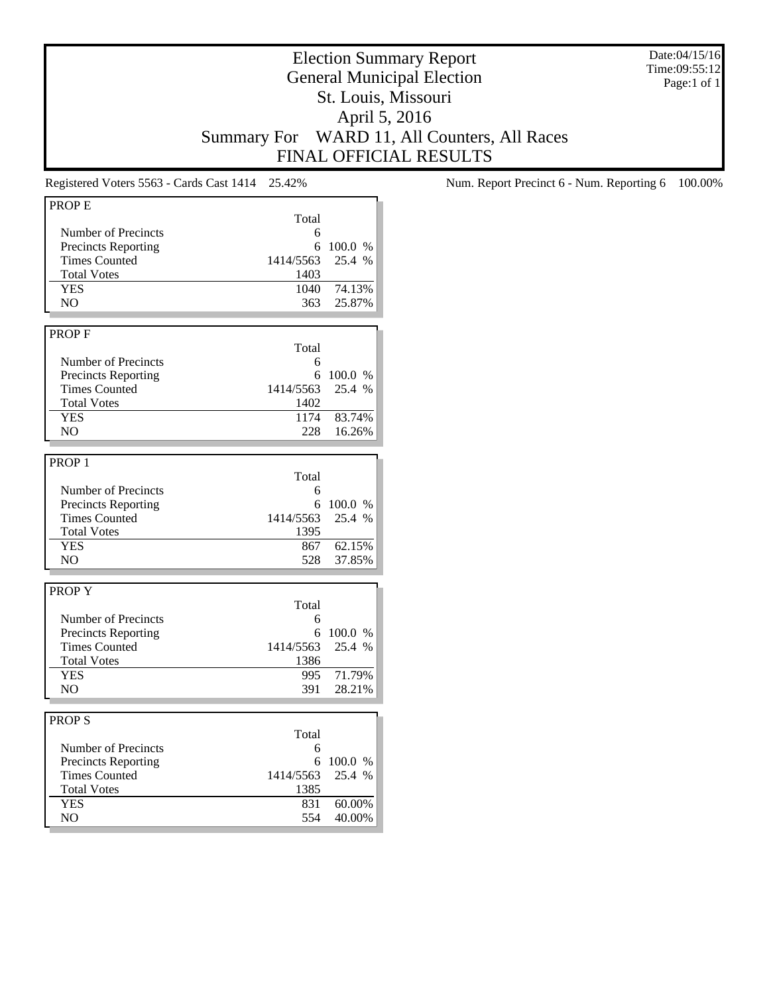Date:04/15/16 Time:09:55:12 Page:1 of 1

## Election Summary Report General Municipal Election St. Louis, Missouri April 5, 2016 Summary For WARD 11, All Counters, All Races FINAL OFFICIAL RESULTS

| Total<br>Number of Precincts<br>6<br><b>Precincts Reporting</b><br>100.0 %<br>6<br><b>Times Counted</b><br>1414/5563<br>25.4 %<br><b>Total Votes</b><br>1403<br><b>YES</b><br>74.13%<br>1040<br>25.87%<br>NO.<br>363<br>PROP <sub>F</sub><br>Total<br>Number of Precincts<br>6<br><b>Precincts Reporting</b><br>6<br>100.0 %<br>25.4 %<br><b>Times Counted</b><br>1414/5563<br><b>Total Votes</b><br>1402<br><b>YES</b><br>1174<br>83.74%<br>16.26%<br>N <sub>O</sub><br>228<br>PROP <sub>1</sub><br>Total<br>Number of Precincts<br>6<br><b>Precincts Reporting</b><br>6<br>100.0 %<br><b>Times Counted</b><br>1414/5563<br>25.4 %<br>1395<br><b>Total Votes</b><br><b>YES</b><br>62.15%<br>867<br>N <sub>O</sub><br>528<br>37.85%<br><b>PROPY</b><br>Total<br>Number of Precincts<br>6<br><b>Precincts Reporting</b><br>6<br>100.0 %<br><b>Times Counted</b><br>1414/5563<br>25.4 %<br><b>Total Votes</b><br>1386<br>71.79%<br><b>YES</b><br>995<br>NO<br>391<br>28.21%<br><b>PROPS</b><br>Total<br>Number of Precincts<br>6<br><b>Precincts Reporting</b><br>6<br>100.0 %<br><b>Times Counted</b><br>1414/5563<br>25.4 %<br><b>Total Votes</b><br>1385<br><b>YES</b><br>831<br>60.00%<br>N <sub>O</sub><br>554<br>40.00% | <b>PROPE</b> |  |
|-----------------------------------------------------------------------------------------------------------------------------------------------------------------------------------------------------------------------------------------------------------------------------------------------------------------------------------------------------------------------------------------------------------------------------------------------------------------------------------------------------------------------------------------------------------------------------------------------------------------------------------------------------------------------------------------------------------------------------------------------------------------------------------------------------------------------------------------------------------------------------------------------------------------------------------------------------------------------------------------------------------------------------------------------------------------------------------------------------------------------------------------------------------------------------------------------------------------------------|--------------|--|
|                                                                                                                                                                                                                                                                                                                                                                                                                                                                                                                                                                                                                                                                                                                                                                                                                                                                                                                                                                                                                                                                                                                                                                                                                             |              |  |
|                                                                                                                                                                                                                                                                                                                                                                                                                                                                                                                                                                                                                                                                                                                                                                                                                                                                                                                                                                                                                                                                                                                                                                                                                             |              |  |
|                                                                                                                                                                                                                                                                                                                                                                                                                                                                                                                                                                                                                                                                                                                                                                                                                                                                                                                                                                                                                                                                                                                                                                                                                             |              |  |
|                                                                                                                                                                                                                                                                                                                                                                                                                                                                                                                                                                                                                                                                                                                                                                                                                                                                                                                                                                                                                                                                                                                                                                                                                             |              |  |
|                                                                                                                                                                                                                                                                                                                                                                                                                                                                                                                                                                                                                                                                                                                                                                                                                                                                                                                                                                                                                                                                                                                                                                                                                             |              |  |
|                                                                                                                                                                                                                                                                                                                                                                                                                                                                                                                                                                                                                                                                                                                                                                                                                                                                                                                                                                                                                                                                                                                                                                                                                             |              |  |
|                                                                                                                                                                                                                                                                                                                                                                                                                                                                                                                                                                                                                                                                                                                                                                                                                                                                                                                                                                                                                                                                                                                                                                                                                             |              |  |
|                                                                                                                                                                                                                                                                                                                                                                                                                                                                                                                                                                                                                                                                                                                                                                                                                                                                                                                                                                                                                                                                                                                                                                                                                             |              |  |
|                                                                                                                                                                                                                                                                                                                                                                                                                                                                                                                                                                                                                                                                                                                                                                                                                                                                                                                                                                                                                                                                                                                                                                                                                             |              |  |
|                                                                                                                                                                                                                                                                                                                                                                                                                                                                                                                                                                                                                                                                                                                                                                                                                                                                                                                                                                                                                                                                                                                                                                                                                             |              |  |
|                                                                                                                                                                                                                                                                                                                                                                                                                                                                                                                                                                                                                                                                                                                                                                                                                                                                                                                                                                                                                                                                                                                                                                                                                             |              |  |
|                                                                                                                                                                                                                                                                                                                                                                                                                                                                                                                                                                                                                                                                                                                                                                                                                                                                                                                                                                                                                                                                                                                                                                                                                             |              |  |
|                                                                                                                                                                                                                                                                                                                                                                                                                                                                                                                                                                                                                                                                                                                                                                                                                                                                                                                                                                                                                                                                                                                                                                                                                             |              |  |
|                                                                                                                                                                                                                                                                                                                                                                                                                                                                                                                                                                                                                                                                                                                                                                                                                                                                                                                                                                                                                                                                                                                                                                                                                             |              |  |
|                                                                                                                                                                                                                                                                                                                                                                                                                                                                                                                                                                                                                                                                                                                                                                                                                                                                                                                                                                                                                                                                                                                                                                                                                             |              |  |
|                                                                                                                                                                                                                                                                                                                                                                                                                                                                                                                                                                                                                                                                                                                                                                                                                                                                                                                                                                                                                                                                                                                                                                                                                             |              |  |
|                                                                                                                                                                                                                                                                                                                                                                                                                                                                                                                                                                                                                                                                                                                                                                                                                                                                                                                                                                                                                                                                                                                                                                                                                             |              |  |
|                                                                                                                                                                                                                                                                                                                                                                                                                                                                                                                                                                                                                                                                                                                                                                                                                                                                                                                                                                                                                                                                                                                                                                                                                             |              |  |
|                                                                                                                                                                                                                                                                                                                                                                                                                                                                                                                                                                                                                                                                                                                                                                                                                                                                                                                                                                                                                                                                                                                                                                                                                             |              |  |
|                                                                                                                                                                                                                                                                                                                                                                                                                                                                                                                                                                                                                                                                                                                                                                                                                                                                                                                                                                                                                                                                                                                                                                                                                             |              |  |
|                                                                                                                                                                                                                                                                                                                                                                                                                                                                                                                                                                                                                                                                                                                                                                                                                                                                                                                                                                                                                                                                                                                                                                                                                             |              |  |
|                                                                                                                                                                                                                                                                                                                                                                                                                                                                                                                                                                                                                                                                                                                                                                                                                                                                                                                                                                                                                                                                                                                                                                                                                             |              |  |
|                                                                                                                                                                                                                                                                                                                                                                                                                                                                                                                                                                                                                                                                                                                                                                                                                                                                                                                                                                                                                                                                                                                                                                                                                             |              |  |
|                                                                                                                                                                                                                                                                                                                                                                                                                                                                                                                                                                                                                                                                                                                                                                                                                                                                                                                                                                                                                                                                                                                                                                                                                             |              |  |
|                                                                                                                                                                                                                                                                                                                                                                                                                                                                                                                                                                                                                                                                                                                                                                                                                                                                                                                                                                                                                                                                                                                                                                                                                             |              |  |
|                                                                                                                                                                                                                                                                                                                                                                                                                                                                                                                                                                                                                                                                                                                                                                                                                                                                                                                                                                                                                                                                                                                                                                                                                             |              |  |
|                                                                                                                                                                                                                                                                                                                                                                                                                                                                                                                                                                                                                                                                                                                                                                                                                                                                                                                                                                                                                                                                                                                                                                                                                             |              |  |
|                                                                                                                                                                                                                                                                                                                                                                                                                                                                                                                                                                                                                                                                                                                                                                                                                                                                                                                                                                                                                                                                                                                                                                                                                             |              |  |
|                                                                                                                                                                                                                                                                                                                                                                                                                                                                                                                                                                                                                                                                                                                                                                                                                                                                                                                                                                                                                                                                                                                                                                                                                             |              |  |
|                                                                                                                                                                                                                                                                                                                                                                                                                                                                                                                                                                                                                                                                                                                                                                                                                                                                                                                                                                                                                                                                                                                                                                                                                             |              |  |
|                                                                                                                                                                                                                                                                                                                                                                                                                                                                                                                                                                                                                                                                                                                                                                                                                                                                                                                                                                                                                                                                                                                                                                                                                             |              |  |
|                                                                                                                                                                                                                                                                                                                                                                                                                                                                                                                                                                                                                                                                                                                                                                                                                                                                                                                                                                                                                                                                                                                                                                                                                             |              |  |
|                                                                                                                                                                                                                                                                                                                                                                                                                                                                                                                                                                                                                                                                                                                                                                                                                                                                                                                                                                                                                                                                                                                                                                                                                             |              |  |
|                                                                                                                                                                                                                                                                                                                                                                                                                                                                                                                                                                                                                                                                                                                                                                                                                                                                                                                                                                                                                                                                                                                                                                                                                             |              |  |
|                                                                                                                                                                                                                                                                                                                                                                                                                                                                                                                                                                                                                                                                                                                                                                                                                                                                                                                                                                                                                                                                                                                                                                                                                             |              |  |
|                                                                                                                                                                                                                                                                                                                                                                                                                                                                                                                                                                                                                                                                                                                                                                                                                                                                                                                                                                                                                                                                                                                                                                                                                             |              |  |
|                                                                                                                                                                                                                                                                                                                                                                                                                                                                                                                                                                                                                                                                                                                                                                                                                                                                                                                                                                                                                                                                                                                                                                                                                             |              |  |
|                                                                                                                                                                                                                                                                                                                                                                                                                                                                                                                                                                                                                                                                                                                                                                                                                                                                                                                                                                                                                                                                                                                                                                                                                             |              |  |
|                                                                                                                                                                                                                                                                                                                                                                                                                                                                                                                                                                                                                                                                                                                                                                                                                                                                                                                                                                                                                                                                                                                                                                                                                             |              |  |
|                                                                                                                                                                                                                                                                                                                                                                                                                                                                                                                                                                                                                                                                                                                                                                                                                                                                                                                                                                                                                                                                                                                                                                                                                             |              |  |
|                                                                                                                                                                                                                                                                                                                                                                                                                                                                                                                                                                                                                                                                                                                                                                                                                                                                                                                                                                                                                                                                                                                                                                                                                             |              |  |
|                                                                                                                                                                                                                                                                                                                                                                                                                                                                                                                                                                                                                                                                                                                                                                                                                                                                                                                                                                                                                                                                                                                                                                                                                             |              |  |
|                                                                                                                                                                                                                                                                                                                                                                                                                                                                                                                                                                                                                                                                                                                                                                                                                                                                                                                                                                                                                                                                                                                                                                                                                             |              |  |
|                                                                                                                                                                                                                                                                                                                                                                                                                                                                                                                                                                                                                                                                                                                                                                                                                                                                                                                                                                                                                                                                                                                                                                                                                             |              |  |
|                                                                                                                                                                                                                                                                                                                                                                                                                                                                                                                                                                                                                                                                                                                                                                                                                                                                                                                                                                                                                                                                                                                                                                                                                             |              |  |
|                                                                                                                                                                                                                                                                                                                                                                                                                                                                                                                                                                                                                                                                                                                                                                                                                                                                                                                                                                                                                                                                                                                                                                                                                             |              |  |
|                                                                                                                                                                                                                                                                                                                                                                                                                                                                                                                                                                                                                                                                                                                                                                                                                                                                                                                                                                                                                                                                                                                                                                                                                             |              |  |
|                                                                                                                                                                                                                                                                                                                                                                                                                                                                                                                                                                                                                                                                                                                                                                                                                                                                                                                                                                                                                                                                                                                                                                                                                             |              |  |
|                                                                                                                                                                                                                                                                                                                                                                                                                                                                                                                                                                                                                                                                                                                                                                                                                                                                                                                                                                                                                                                                                                                                                                                                                             |              |  |

Registered Voters 5563 - Cards Cast 1414 25.42% Num. Report Precinct 6 - Num. Reporting 6 100.00%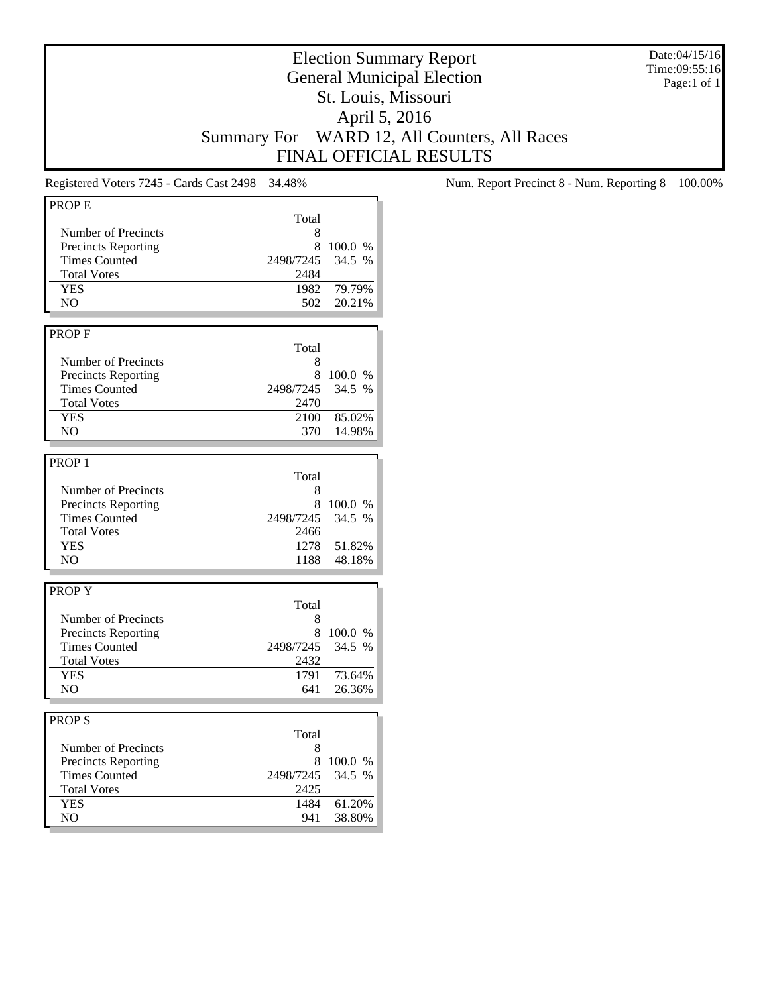Date:04/15/16 Time:09:55:16 Page:1 of 1

## Election Summary Report General Municipal Election St. Louis, Missouri April 5, 2016 Summary For WARD 12, All Counters, All Races FINAL OFFICIAL RESULTS

| Total<br>Number of Precincts<br>8<br>8<br><b>Precincts Reporting</b><br>100.0 %<br><b>Times Counted</b><br>2498/7245<br>34.5 %<br><b>Total Votes</b><br>2484<br><b>YES</b><br>1982<br>79.79%<br>20.21%<br>NO.<br>502<br><b>PROPF</b><br>Total<br>Number of Precincts<br>8<br><b>Precincts Reporting</b><br>8<br>100.0 %<br>34.5 %<br><b>Times Counted</b><br>2498/7245<br><b>Total Votes</b><br>2470<br><b>YES</b><br>85.02%<br>2100<br>NO.<br>14.98%<br>370<br>Total<br>Number of Precincts<br>8<br><b>Precincts Reporting</b><br>8<br>100.0 %<br><b>Times Counted</b><br>34.5 %<br>2498/7245<br><b>Total Votes</b><br>2466<br><b>YES</b><br>51.82%<br>1278<br>NO.<br>1188<br>48.18%<br>Total<br>Number of Precincts<br>8<br>8<br><b>Precincts Reporting</b><br>100.0 %<br>34.5 %<br><b>Times Counted</b><br>2498/7245<br><b>Total Votes</b><br>2432<br><b>YES</b><br>73.64%<br>1791<br>NO<br>641<br>26.36%<br>Total<br>Number of Precincts<br>8<br><b>Precincts Reporting</b><br>8 100.0 %<br>2498/7245<br><b>Times Counted</b><br>34.5 %<br><b>Total Votes</b><br>2425<br>61.20%<br><b>YES</b><br>1484<br>NO.<br>38.80%<br>941 | PROP <sub>E</sub> |  |
|-----------------------------------------------------------------------------------------------------------------------------------------------------------------------------------------------------------------------------------------------------------------------------------------------------------------------------------------------------------------------------------------------------------------------------------------------------------------------------------------------------------------------------------------------------------------------------------------------------------------------------------------------------------------------------------------------------------------------------------------------------------------------------------------------------------------------------------------------------------------------------------------------------------------------------------------------------------------------------------------------------------------------------------------------------------------------------------------------------------------------------------|-------------------|--|
|                                                                                                                                                                                                                                                                                                                                                                                                                                                                                                                                                                                                                                                                                                                                                                                                                                                                                                                                                                                                                                                                                                                                   |                   |  |
|                                                                                                                                                                                                                                                                                                                                                                                                                                                                                                                                                                                                                                                                                                                                                                                                                                                                                                                                                                                                                                                                                                                                   |                   |  |
|                                                                                                                                                                                                                                                                                                                                                                                                                                                                                                                                                                                                                                                                                                                                                                                                                                                                                                                                                                                                                                                                                                                                   |                   |  |
|                                                                                                                                                                                                                                                                                                                                                                                                                                                                                                                                                                                                                                                                                                                                                                                                                                                                                                                                                                                                                                                                                                                                   |                   |  |
|                                                                                                                                                                                                                                                                                                                                                                                                                                                                                                                                                                                                                                                                                                                                                                                                                                                                                                                                                                                                                                                                                                                                   |                   |  |
|                                                                                                                                                                                                                                                                                                                                                                                                                                                                                                                                                                                                                                                                                                                                                                                                                                                                                                                                                                                                                                                                                                                                   |                   |  |
|                                                                                                                                                                                                                                                                                                                                                                                                                                                                                                                                                                                                                                                                                                                                                                                                                                                                                                                                                                                                                                                                                                                                   |                   |  |
|                                                                                                                                                                                                                                                                                                                                                                                                                                                                                                                                                                                                                                                                                                                                                                                                                                                                                                                                                                                                                                                                                                                                   |                   |  |
|                                                                                                                                                                                                                                                                                                                                                                                                                                                                                                                                                                                                                                                                                                                                                                                                                                                                                                                                                                                                                                                                                                                                   |                   |  |
|                                                                                                                                                                                                                                                                                                                                                                                                                                                                                                                                                                                                                                                                                                                                                                                                                                                                                                                                                                                                                                                                                                                                   |                   |  |
|                                                                                                                                                                                                                                                                                                                                                                                                                                                                                                                                                                                                                                                                                                                                                                                                                                                                                                                                                                                                                                                                                                                                   |                   |  |
|                                                                                                                                                                                                                                                                                                                                                                                                                                                                                                                                                                                                                                                                                                                                                                                                                                                                                                                                                                                                                                                                                                                                   |                   |  |
|                                                                                                                                                                                                                                                                                                                                                                                                                                                                                                                                                                                                                                                                                                                                                                                                                                                                                                                                                                                                                                                                                                                                   |                   |  |
|                                                                                                                                                                                                                                                                                                                                                                                                                                                                                                                                                                                                                                                                                                                                                                                                                                                                                                                                                                                                                                                                                                                                   |                   |  |
|                                                                                                                                                                                                                                                                                                                                                                                                                                                                                                                                                                                                                                                                                                                                                                                                                                                                                                                                                                                                                                                                                                                                   |                   |  |
|                                                                                                                                                                                                                                                                                                                                                                                                                                                                                                                                                                                                                                                                                                                                                                                                                                                                                                                                                                                                                                                                                                                                   |                   |  |
|                                                                                                                                                                                                                                                                                                                                                                                                                                                                                                                                                                                                                                                                                                                                                                                                                                                                                                                                                                                                                                                                                                                                   |                   |  |
|                                                                                                                                                                                                                                                                                                                                                                                                                                                                                                                                                                                                                                                                                                                                                                                                                                                                                                                                                                                                                                                                                                                                   |                   |  |
|                                                                                                                                                                                                                                                                                                                                                                                                                                                                                                                                                                                                                                                                                                                                                                                                                                                                                                                                                                                                                                                                                                                                   |                   |  |
|                                                                                                                                                                                                                                                                                                                                                                                                                                                                                                                                                                                                                                                                                                                                                                                                                                                                                                                                                                                                                                                                                                                                   | PROP <sub>1</sub> |  |
|                                                                                                                                                                                                                                                                                                                                                                                                                                                                                                                                                                                                                                                                                                                                                                                                                                                                                                                                                                                                                                                                                                                                   |                   |  |
|                                                                                                                                                                                                                                                                                                                                                                                                                                                                                                                                                                                                                                                                                                                                                                                                                                                                                                                                                                                                                                                                                                                                   |                   |  |
|                                                                                                                                                                                                                                                                                                                                                                                                                                                                                                                                                                                                                                                                                                                                                                                                                                                                                                                                                                                                                                                                                                                                   |                   |  |
|                                                                                                                                                                                                                                                                                                                                                                                                                                                                                                                                                                                                                                                                                                                                                                                                                                                                                                                                                                                                                                                                                                                                   |                   |  |
|                                                                                                                                                                                                                                                                                                                                                                                                                                                                                                                                                                                                                                                                                                                                                                                                                                                                                                                                                                                                                                                                                                                                   |                   |  |
|                                                                                                                                                                                                                                                                                                                                                                                                                                                                                                                                                                                                                                                                                                                                                                                                                                                                                                                                                                                                                                                                                                                                   |                   |  |
|                                                                                                                                                                                                                                                                                                                                                                                                                                                                                                                                                                                                                                                                                                                                                                                                                                                                                                                                                                                                                                                                                                                                   |                   |  |
|                                                                                                                                                                                                                                                                                                                                                                                                                                                                                                                                                                                                                                                                                                                                                                                                                                                                                                                                                                                                                                                                                                                                   |                   |  |
|                                                                                                                                                                                                                                                                                                                                                                                                                                                                                                                                                                                                                                                                                                                                                                                                                                                                                                                                                                                                                                                                                                                                   |                   |  |
|                                                                                                                                                                                                                                                                                                                                                                                                                                                                                                                                                                                                                                                                                                                                                                                                                                                                                                                                                                                                                                                                                                                                   | <b>PROPY</b>      |  |
|                                                                                                                                                                                                                                                                                                                                                                                                                                                                                                                                                                                                                                                                                                                                                                                                                                                                                                                                                                                                                                                                                                                                   |                   |  |
|                                                                                                                                                                                                                                                                                                                                                                                                                                                                                                                                                                                                                                                                                                                                                                                                                                                                                                                                                                                                                                                                                                                                   |                   |  |
|                                                                                                                                                                                                                                                                                                                                                                                                                                                                                                                                                                                                                                                                                                                                                                                                                                                                                                                                                                                                                                                                                                                                   |                   |  |
|                                                                                                                                                                                                                                                                                                                                                                                                                                                                                                                                                                                                                                                                                                                                                                                                                                                                                                                                                                                                                                                                                                                                   |                   |  |
|                                                                                                                                                                                                                                                                                                                                                                                                                                                                                                                                                                                                                                                                                                                                                                                                                                                                                                                                                                                                                                                                                                                                   |                   |  |
|                                                                                                                                                                                                                                                                                                                                                                                                                                                                                                                                                                                                                                                                                                                                                                                                                                                                                                                                                                                                                                                                                                                                   |                   |  |
|                                                                                                                                                                                                                                                                                                                                                                                                                                                                                                                                                                                                                                                                                                                                                                                                                                                                                                                                                                                                                                                                                                                                   |                   |  |
|                                                                                                                                                                                                                                                                                                                                                                                                                                                                                                                                                                                                                                                                                                                                                                                                                                                                                                                                                                                                                                                                                                                                   |                   |  |
|                                                                                                                                                                                                                                                                                                                                                                                                                                                                                                                                                                                                                                                                                                                                                                                                                                                                                                                                                                                                                                                                                                                                   |                   |  |
|                                                                                                                                                                                                                                                                                                                                                                                                                                                                                                                                                                                                                                                                                                                                                                                                                                                                                                                                                                                                                                                                                                                                   | <b>PROPS</b>      |  |
|                                                                                                                                                                                                                                                                                                                                                                                                                                                                                                                                                                                                                                                                                                                                                                                                                                                                                                                                                                                                                                                                                                                                   |                   |  |
|                                                                                                                                                                                                                                                                                                                                                                                                                                                                                                                                                                                                                                                                                                                                                                                                                                                                                                                                                                                                                                                                                                                                   |                   |  |
|                                                                                                                                                                                                                                                                                                                                                                                                                                                                                                                                                                                                                                                                                                                                                                                                                                                                                                                                                                                                                                                                                                                                   |                   |  |
|                                                                                                                                                                                                                                                                                                                                                                                                                                                                                                                                                                                                                                                                                                                                                                                                                                                                                                                                                                                                                                                                                                                                   |                   |  |
|                                                                                                                                                                                                                                                                                                                                                                                                                                                                                                                                                                                                                                                                                                                                                                                                                                                                                                                                                                                                                                                                                                                                   |                   |  |
|                                                                                                                                                                                                                                                                                                                                                                                                                                                                                                                                                                                                                                                                                                                                                                                                                                                                                                                                                                                                                                                                                                                                   |                   |  |
|                                                                                                                                                                                                                                                                                                                                                                                                                                                                                                                                                                                                                                                                                                                                                                                                                                                                                                                                                                                                                                                                                                                                   |                   |  |
|                                                                                                                                                                                                                                                                                                                                                                                                                                                                                                                                                                                                                                                                                                                                                                                                                                                                                                                                                                                                                                                                                                                                   |                   |  |

Registered Voters 7245 - Cards Cast 2498 34.48% Num. Report Precinct 8 - Num. Reporting 8 100.00%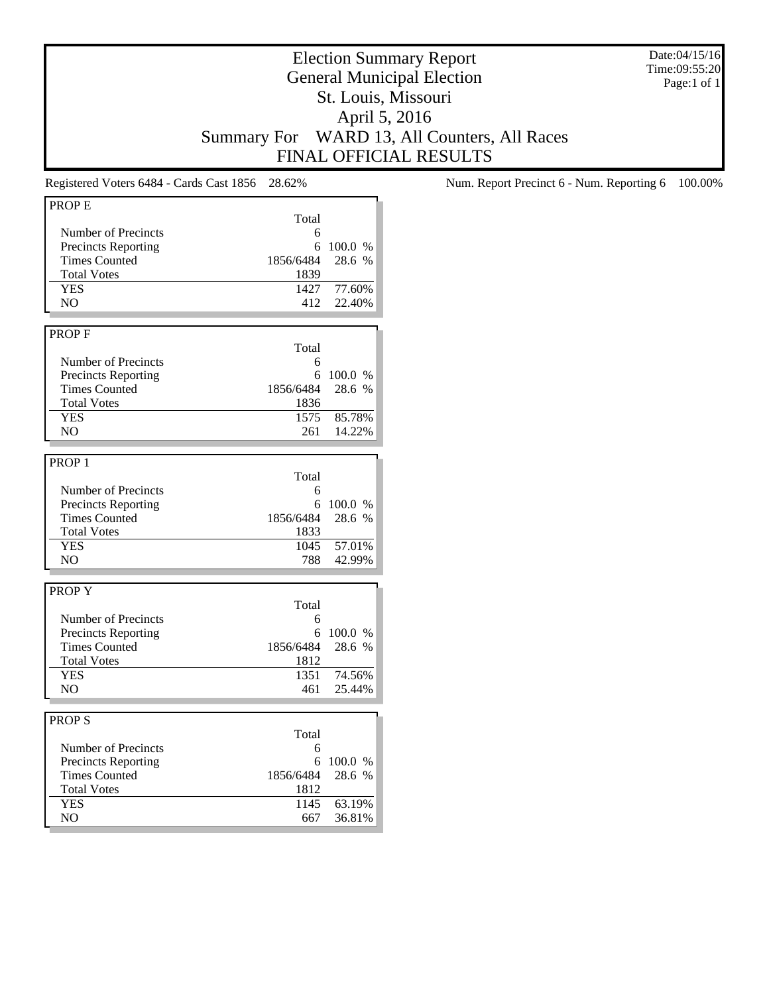Date:04/15/16 Time:09:55:20 Page:1 of 1

## Election Summary Report General Municipal Election St. Louis, Missouri April 5, 2016 Summary For WARD 13, All Counters, All Races FINAL OFFICIAL RESULTS

| <b>PROPE</b>                         |             |                  |
|--------------------------------------|-------------|------------------|
|                                      | Total       |                  |
| Number of Precincts                  | 6           |                  |
| <b>Precincts Reporting</b>           | 6           | 100.0 %          |
| <b>Times Counted</b>                 | 1856/6484   | 28.6 %           |
| <b>Total Votes</b>                   | 1839        |                  |
| <b>YES</b>                           | 1427        | 77.60%           |
| NO                                   | 412         | 22.40%           |
|                                      |             |                  |
| <b>PROPF</b>                         |             |                  |
|                                      | Total       |                  |
| Number of Precincts                  | 6           |                  |
| <b>Precincts Reporting</b>           | 6           | 100.0 %          |
| <b>Times Counted</b>                 | 1856/6484   | 28.6 %           |
| <b>Total Votes</b>                   | 1836        |                  |
| <b>YES</b>                           | 1575        | 85.78%           |
| NO                                   | 261         | 14.22%           |
|                                      |             |                  |
|                                      |             |                  |
| PROP <sub>1</sub>                    |             |                  |
|                                      | Total       |                  |
| Number of Precincts                  | 6           |                  |
| <b>Precincts Reporting</b>           | 6           | 100.0 %          |
| <b>Times Counted</b>                 | 1856/6484   | 28.6 %           |
| <b>Total Votes</b>                   | 1833        |                  |
| <b>YES</b>                           | 1045        | 57.01%           |
| NO.                                  | 788         | 42.99%           |
|                                      |             |                  |
| <b>PROPY</b>                         |             |                  |
|                                      | Total       |                  |
| Number of Precincts                  | 6           |                  |
| <b>Precincts Reporting</b>           | 6           | 100.0 %          |
| <b>Times Counted</b>                 | 1856/6484   | 28.6 %           |
| <b>Total Votes</b>                   | 1812        |                  |
| <b>YES</b>                           | 1351        | 74.56%           |
|                                      |             |                  |
|                                      |             |                  |
| NO                                   | 461         | 25.44%           |
|                                      |             |                  |
|                                      |             |                  |
|                                      | Total       |                  |
| Number of Precincts                  | 6           |                  |
| <b>Precincts Reporting</b>           | 6           | 100.0 %          |
| <b>PROPS</b><br><b>Times Counted</b> | 1856/6484   | 28.6 %           |
| <b>Total Votes</b>                   | 1812        |                  |
| <b>YES</b><br>NO                     | 1145<br>667 | 63.19%<br>36.81% |

Registered Voters 6484 - Cards Cast 1856 28.62% Num. Report Precinct 6 - Num. Reporting 6 100.00%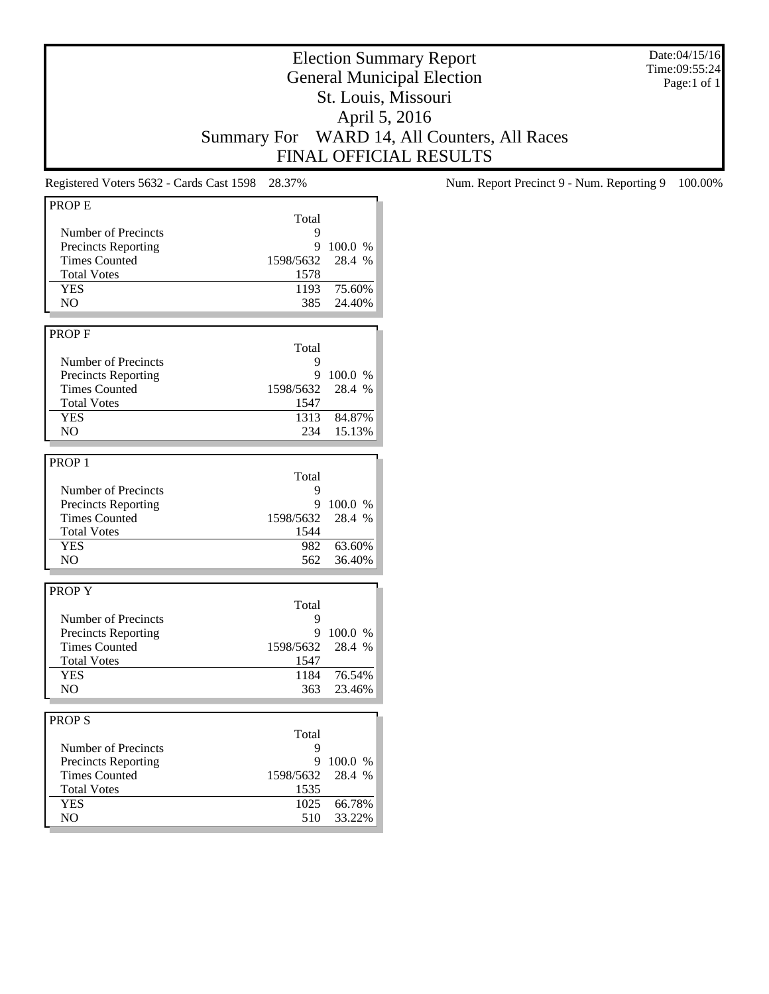Date:04/15/16 Time:09:55:24 Page:1 of 1

## Election Summary Report General Municipal Election St. Louis, Missouri April 5, 2016 Summary For WARD 14, All Counters, All Races FINAL OFFICIAL RESULTS

| PROP E                     |           |           |
|----------------------------|-----------|-----------|
|                            | Total     |           |
| Number of Precincts        | 9         |           |
| <b>Precincts Reporting</b> | 9         | 100.0 %   |
| <b>Times Counted</b>       | 1598/5632 | 28.4 %    |
|                            |           |           |
| <b>Total Votes</b>         | 1578      |           |
| <b>YES</b>                 | 1193      | 75.60%    |
| NO.                        | 385       | 24.40%    |
|                            |           |           |
| <b>PROPF</b>               |           |           |
|                            | Total     |           |
| Number of Precincts        | 9         |           |
| <b>Precincts Reporting</b> | 9         | 100.0 %   |
|                            |           |           |
| <b>Times Counted</b>       | 1598/5632 | 28.4 %    |
| <b>Total Votes</b>         | 1547      |           |
| <b>YES</b>                 | 1313      | 84.87%    |
| NO.                        | 234       | 15.13%    |
|                            |           |           |
| PROP <sub>1</sub>          |           |           |
|                            | Total     |           |
| Number of Precincts        | 9         |           |
|                            |           |           |
| <b>Precincts Reporting</b> | 9         | 100.0 %   |
| <b>Times Counted</b>       | 1598/5632 | 28.4 %    |
| <b>Total Votes</b>         | 1544      |           |
| <b>YES</b>                 | 982       | 63.60%    |
| NO.                        | 562       | 36.40%    |
|                            |           |           |
| <b>PROPY</b>               |           |           |
|                            | Total     |           |
| Number of Precincts        | 9         |           |
| <b>Precincts Reporting</b> | 9         | 100.0 %   |
|                            |           |           |
| <b>Times Counted</b>       | 1598/5632 | 28.4 %    |
| <b>Total Votes</b>         | 1547      |           |
| <b>YES</b>                 | 1184      | 76.54%    |
| NO                         | 363       | 23.46%    |
|                            |           |           |
| <b>PROPS</b>               |           |           |
|                            | Total     |           |
| Number of Precincts        | 9         |           |
|                            |           |           |
| <b>Precincts Reporting</b> |           | 9 100.0 % |
| <b>Times Counted</b>       | 1598/5632 | 28.4 %    |
| <b>Total Votes</b>         | 1535      |           |
| <b>YES</b>                 | 1025      | 66.78%    |
| NO.                        | 510       | 33.22%    |
|                            |           |           |

Registered Voters 5632 - Cards Cast 1598 28.37% Num. Report Precinct 9 - Num. Reporting 9 100.00%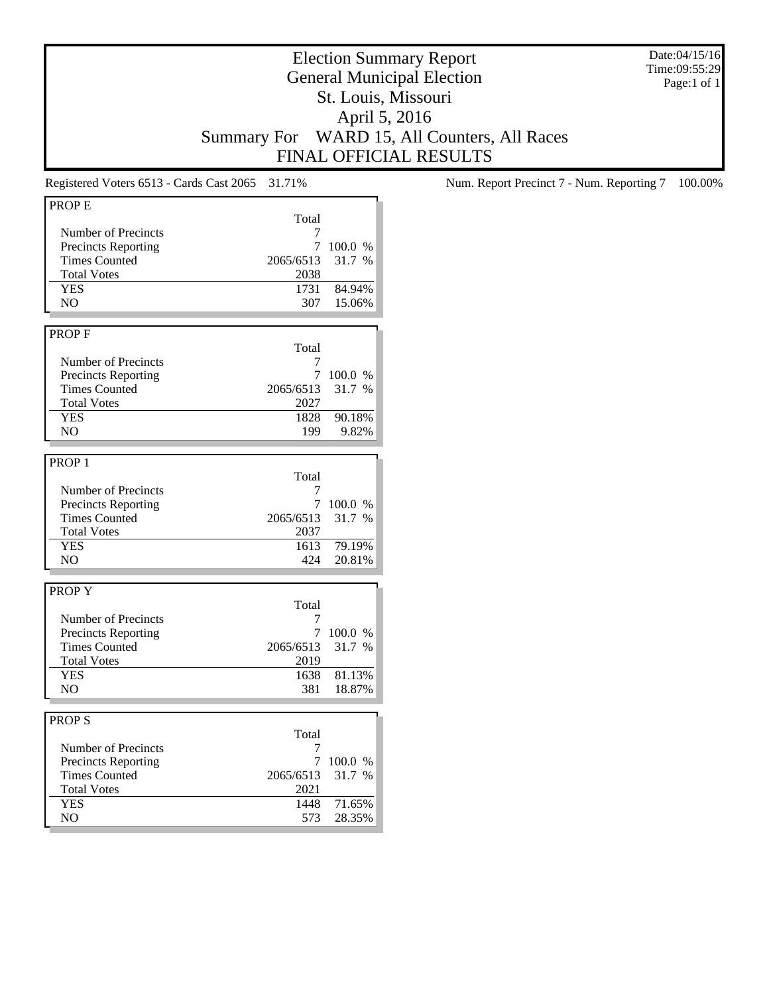Date:04/15/16 Time:09:55:29 Page:1 of 1

## Election Summary Report General Municipal Election St. Louis, Missouri April 5, 2016 Summary For WARD 15, All Counters, All Races FINAL OFFICIAL RESULTS

| <b>PROPE</b>               |           |         |
|----------------------------|-----------|---------|
|                            | Total     |         |
| Number of Precincts        | 7         |         |
|                            | 7         |         |
| <b>Precincts Reporting</b> |           | 100.0 % |
| <b>Times Counted</b>       | 2065/6513 | 31.7 %  |
| <b>Total Votes</b>         | 2038      |         |
| <b>YES</b>                 | 1731      | 84.94%  |
| NO.                        | 307       | 15.06%  |
|                            |           |         |
| <b>PROPF</b>               |           |         |
|                            |           |         |
|                            | Total     |         |
| Number of Precincts        | 7         |         |
| <b>Precincts Reporting</b> | 7         | 100.0 % |
| <b>Times Counted</b>       | 2065/6513 | 31.7 %  |
| <b>Total Votes</b>         | 2027      |         |
| <b>YES</b>                 | 1828      | 90.18%  |
| N <sub>O</sub>             | 199       | 9.82%   |
|                            |           |         |
|                            |           |         |
| PROP <sub>1</sub>          |           |         |
|                            | Total     |         |
| Number of Precincts        | 7         |         |
| <b>Precincts Reporting</b> | 7         | 100.0 % |
| <b>Times Counted</b>       | 2065/6513 | 31.7 %  |
| <b>Total Votes</b>         | 2037      |         |
| <b>YES</b>                 | 1613      | 79.19%  |
| N <sub>O</sub>             | 424       | 20.81%  |
|                            |           |         |
|                            |           |         |
| <b>PROPY</b>               |           |         |
|                            | Total     |         |
| Number of Precincts        | 7         |         |
| <b>Precincts Reporting</b> | 7         | 100.0 % |
| <b>Times Counted</b>       | 2065/6513 | 31.7 %  |
| <b>Total Votes</b>         | 2019      |         |
| <b>YES</b>                 | 1638      | 81.13%  |
| NO.                        | 381       | 18.87%  |
|                            |           |         |
|                            |           |         |
| <b>PROPS</b>               |           |         |
|                            | Total     |         |
| Number of Precincts        | 7         |         |
| <b>Precincts Reporting</b> | 7         | 100.0 % |
| <b>Times Counted</b>       | 2065/6513 | 31.7 %  |
| <b>Total Votes</b>         | 2021      |         |
|                            |           |         |
| <b>YES</b>                 | 1448      | 71.65%  |
| NO.                        | 573       | 28.35%  |
|                            |           |         |

Registered Voters 6513 - Cards Cast 2065 31.71% Num. Report Precinct 7 - Num. Reporting 7 100.00%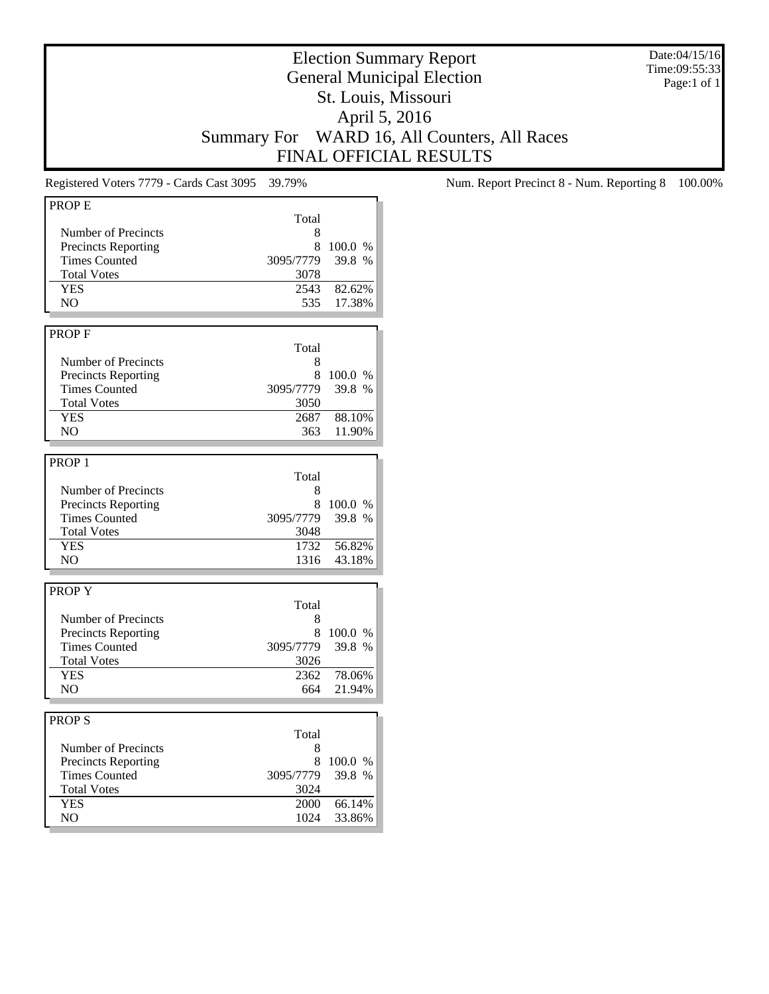Date:04/15/16 Time:09:55:33 Page:1 of 1

## Election Summary Report General Municipal Election St. Louis, Missouri April 5, 2016 Summary For WARD 16, All Counters, All Races FINAL OFFICIAL RESULTS

| PROP <sub>E</sub>          |              |                  |
|----------------------------|--------------|------------------|
|                            | Total        |                  |
| Number of Precincts        | 8            |                  |
| <b>Precincts Reporting</b> | 8            | 100.0 %          |
| <b>Times Counted</b>       | 3095/7779    | 39.8 %           |
| <b>Total Votes</b>         | 3078         |                  |
| <b>YES</b>                 | 2543         | 82.62%           |
| NO                         | 535          | 17.38%           |
|                            |              |                  |
|                            |              |                  |
| PROP F                     |              |                  |
|                            | Total        |                  |
| Number of Precincts        | 8            |                  |
| <b>Precincts Reporting</b> | 8            | 100.0 %          |
| <b>Times Counted</b>       | 3095/7779    | 39.8 %           |
| <b>Total Votes</b>         | 3050         |                  |
| <b>YES</b>                 | 2687         | 88.10%           |
| NO                         | 363          | 11.90%           |
|                            |              |                  |
| PROP <sub>1</sub>          |              |                  |
|                            | Total        |                  |
| Number of Precincts        | 8            |                  |
| <b>Precincts Reporting</b> | 8            | 100.0%           |
| <b>Times Counted</b>       | 3095/7779    | 39.8 %           |
| <b>Total Votes</b>         | 3048         |                  |
|                            | 1732         |                  |
| <b>YES</b>                 |              | 56.82%           |
| NO                         | 1316         | 43.18%           |
|                            |              |                  |
| <b>PROPY</b>               |              |                  |
|                            | Total        |                  |
| Number of Precincts        | 8            |                  |
| <b>Precincts Reporting</b> | 8            | 100.0 %          |
| <b>Times Counted</b>       | 3095/7779    | 39.8 %           |
| <b>Total Votes</b>         | 3026         |                  |
| <b>YES</b>                 | 2362         | 78.06%           |
| NO                         | 664          | 21.94%           |
|                            |              |                  |
| <b>PROPS</b>               |              |                  |
|                            |              |                  |
| Number of Precincts        | Total        |                  |
|                            | 8            |                  |
|                            |              |                  |
| <b>Precincts Reporting</b> | 8            | 100.0%           |
| <b>Times Counted</b>       | 3095/7779    | 39.8 %           |
| <b>Total Votes</b>         | 3024         |                  |
| <b>YES</b><br>NO.          | 2000<br>1024 | 66.14%<br>33.86% |

Registered Voters 7779 - Cards Cast 3095 39.79% Num. Report Precinct 8 - Num. Reporting 8 100.00%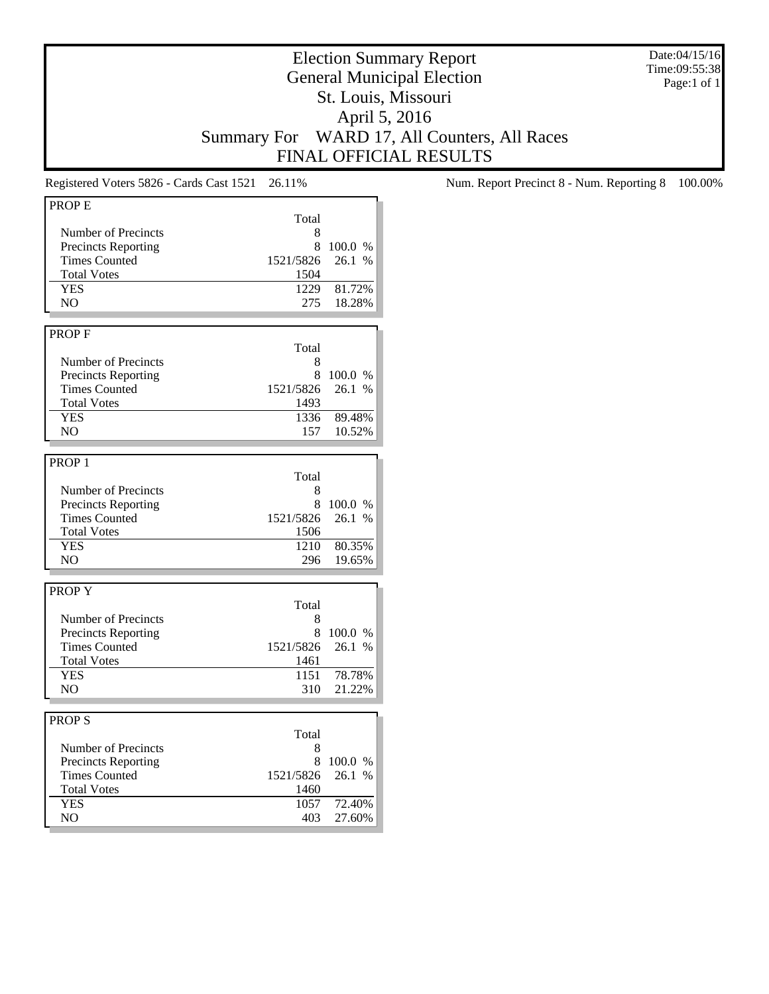Date:04/15/16 Time:09:55:38 Page:1 of 1

## Election Summary Report General Municipal Election St. Louis, Missouri April 5, 2016 Summary For WARD 17, All Counters, All Races FINAL OFFICIAL RESULTS

| Total<br>Number of Precincts<br>8<br>8<br><b>Precincts Reporting</b><br>100.0 %<br><b>Times Counted</b><br>1521/5826<br>26.1 %<br><b>Total Votes</b><br>1504<br><b>YES</b><br>81.72%<br>1229<br>N <sub>O</sub><br>18.28%<br>275<br>PROP F<br>Total<br>Number of Precincts<br>8<br><b>Precincts Reporting</b><br>8<br>100.0 %<br><b>Times Counted</b><br>1521/5826<br>26.1 %<br><b>Total Votes</b><br>1493<br><b>YES</b><br>1336<br>89.48%<br>NO<br>157<br>10.52%<br>PROP <sub>1</sub><br>Total<br>Number of Precincts<br>8<br><b>Precincts Reporting</b><br>8<br>100.0 %<br><b>Times Counted</b><br>1521/5826<br>26.1%<br><b>Total Votes</b><br>1506<br><b>YES</b><br>1210<br>80.35%<br>NO.<br>19.65%<br>296<br>PROP Y<br>Total<br>Number of Precincts<br>8<br><b>Precincts Reporting</b><br>8<br>100.0 %<br><b>Times Counted</b><br>1521/5826<br>26.1 %<br><b>Total Votes</b><br>1461<br><b>YES</b><br>78.78%<br>1151<br>N <sub>O</sub><br>21.22%<br>310<br><b>PROPS</b><br>Total<br>Number of Precincts<br>8<br><b>Precincts Reporting</b><br>8<br>100.0 %<br><b>Times Counted</b><br>1521/5826<br>26.1%<br><b>Total Votes</b><br>1460<br><b>YES</b><br>1057<br>72.40%<br>N <sub>O</sub><br>403<br>27.60% | <b>PROPE</b> |  |
|-------------------------------------------------------------------------------------------------------------------------------------------------------------------------------------------------------------------------------------------------------------------------------------------------------------------------------------------------------------------------------------------------------------------------------------------------------------------------------------------------------------------------------------------------------------------------------------------------------------------------------------------------------------------------------------------------------------------------------------------------------------------------------------------------------------------------------------------------------------------------------------------------------------------------------------------------------------------------------------------------------------------------------------------------------------------------------------------------------------------------------------------------------------------------------------------------------------|--------------|--|
|                                                                                                                                                                                                                                                                                                                                                                                                                                                                                                                                                                                                                                                                                                                                                                                                                                                                                                                                                                                                                                                                                                                                                                                                             |              |  |
|                                                                                                                                                                                                                                                                                                                                                                                                                                                                                                                                                                                                                                                                                                                                                                                                                                                                                                                                                                                                                                                                                                                                                                                                             |              |  |
|                                                                                                                                                                                                                                                                                                                                                                                                                                                                                                                                                                                                                                                                                                                                                                                                                                                                                                                                                                                                                                                                                                                                                                                                             |              |  |
|                                                                                                                                                                                                                                                                                                                                                                                                                                                                                                                                                                                                                                                                                                                                                                                                                                                                                                                                                                                                                                                                                                                                                                                                             |              |  |
|                                                                                                                                                                                                                                                                                                                                                                                                                                                                                                                                                                                                                                                                                                                                                                                                                                                                                                                                                                                                                                                                                                                                                                                                             |              |  |
|                                                                                                                                                                                                                                                                                                                                                                                                                                                                                                                                                                                                                                                                                                                                                                                                                                                                                                                                                                                                                                                                                                                                                                                                             |              |  |
|                                                                                                                                                                                                                                                                                                                                                                                                                                                                                                                                                                                                                                                                                                                                                                                                                                                                                                                                                                                                                                                                                                                                                                                                             |              |  |
|                                                                                                                                                                                                                                                                                                                                                                                                                                                                                                                                                                                                                                                                                                                                                                                                                                                                                                                                                                                                                                                                                                                                                                                                             |              |  |
|                                                                                                                                                                                                                                                                                                                                                                                                                                                                                                                                                                                                                                                                                                                                                                                                                                                                                                                                                                                                                                                                                                                                                                                                             |              |  |
|                                                                                                                                                                                                                                                                                                                                                                                                                                                                                                                                                                                                                                                                                                                                                                                                                                                                                                                                                                                                                                                                                                                                                                                                             |              |  |
|                                                                                                                                                                                                                                                                                                                                                                                                                                                                                                                                                                                                                                                                                                                                                                                                                                                                                                                                                                                                                                                                                                                                                                                                             |              |  |
|                                                                                                                                                                                                                                                                                                                                                                                                                                                                                                                                                                                                                                                                                                                                                                                                                                                                                                                                                                                                                                                                                                                                                                                                             |              |  |
|                                                                                                                                                                                                                                                                                                                                                                                                                                                                                                                                                                                                                                                                                                                                                                                                                                                                                                                                                                                                                                                                                                                                                                                                             |              |  |
|                                                                                                                                                                                                                                                                                                                                                                                                                                                                                                                                                                                                                                                                                                                                                                                                                                                                                                                                                                                                                                                                                                                                                                                                             |              |  |
|                                                                                                                                                                                                                                                                                                                                                                                                                                                                                                                                                                                                                                                                                                                                                                                                                                                                                                                                                                                                                                                                                                                                                                                                             |              |  |
|                                                                                                                                                                                                                                                                                                                                                                                                                                                                                                                                                                                                                                                                                                                                                                                                                                                                                                                                                                                                                                                                                                                                                                                                             |              |  |
|                                                                                                                                                                                                                                                                                                                                                                                                                                                                                                                                                                                                                                                                                                                                                                                                                                                                                                                                                                                                                                                                                                                                                                                                             |              |  |
|                                                                                                                                                                                                                                                                                                                                                                                                                                                                                                                                                                                                                                                                                                                                                                                                                                                                                                                                                                                                                                                                                                                                                                                                             |              |  |
|                                                                                                                                                                                                                                                                                                                                                                                                                                                                                                                                                                                                                                                                                                                                                                                                                                                                                                                                                                                                                                                                                                                                                                                                             |              |  |
|                                                                                                                                                                                                                                                                                                                                                                                                                                                                                                                                                                                                                                                                                                                                                                                                                                                                                                                                                                                                                                                                                                                                                                                                             |              |  |
|                                                                                                                                                                                                                                                                                                                                                                                                                                                                                                                                                                                                                                                                                                                                                                                                                                                                                                                                                                                                                                                                                                                                                                                                             |              |  |
|                                                                                                                                                                                                                                                                                                                                                                                                                                                                                                                                                                                                                                                                                                                                                                                                                                                                                                                                                                                                                                                                                                                                                                                                             |              |  |
|                                                                                                                                                                                                                                                                                                                                                                                                                                                                                                                                                                                                                                                                                                                                                                                                                                                                                                                                                                                                                                                                                                                                                                                                             |              |  |
|                                                                                                                                                                                                                                                                                                                                                                                                                                                                                                                                                                                                                                                                                                                                                                                                                                                                                                                                                                                                                                                                                                                                                                                                             |              |  |
|                                                                                                                                                                                                                                                                                                                                                                                                                                                                                                                                                                                                                                                                                                                                                                                                                                                                                                                                                                                                                                                                                                                                                                                                             |              |  |
|                                                                                                                                                                                                                                                                                                                                                                                                                                                                                                                                                                                                                                                                                                                                                                                                                                                                                                                                                                                                                                                                                                                                                                                                             |              |  |
|                                                                                                                                                                                                                                                                                                                                                                                                                                                                                                                                                                                                                                                                                                                                                                                                                                                                                                                                                                                                                                                                                                                                                                                                             |              |  |
|                                                                                                                                                                                                                                                                                                                                                                                                                                                                                                                                                                                                                                                                                                                                                                                                                                                                                                                                                                                                                                                                                                                                                                                                             |              |  |
|                                                                                                                                                                                                                                                                                                                                                                                                                                                                                                                                                                                                                                                                                                                                                                                                                                                                                                                                                                                                                                                                                                                                                                                                             |              |  |
|                                                                                                                                                                                                                                                                                                                                                                                                                                                                                                                                                                                                                                                                                                                                                                                                                                                                                                                                                                                                                                                                                                                                                                                                             |              |  |
|                                                                                                                                                                                                                                                                                                                                                                                                                                                                                                                                                                                                                                                                                                                                                                                                                                                                                                                                                                                                                                                                                                                                                                                                             |              |  |
|                                                                                                                                                                                                                                                                                                                                                                                                                                                                                                                                                                                                                                                                                                                                                                                                                                                                                                                                                                                                                                                                                                                                                                                                             |              |  |
|                                                                                                                                                                                                                                                                                                                                                                                                                                                                                                                                                                                                                                                                                                                                                                                                                                                                                                                                                                                                                                                                                                                                                                                                             |              |  |
|                                                                                                                                                                                                                                                                                                                                                                                                                                                                                                                                                                                                                                                                                                                                                                                                                                                                                                                                                                                                                                                                                                                                                                                                             |              |  |
|                                                                                                                                                                                                                                                                                                                                                                                                                                                                                                                                                                                                                                                                                                                                                                                                                                                                                                                                                                                                                                                                                                                                                                                                             |              |  |
|                                                                                                                                                                                                                                                                                                                                                                                                                                                                                                                                                                                                                                                                                                                                                                                                                                                                                                                                                                                                                                                                                                                                                                                                             |              |  |
|                                                                                                                                                                                                                                                                                                                                                                                                                                                                                                                                                                                                                                                                                                                                                                                                                                                                                                                                                                                                                                                                                                                                                                                                             |              |  |
|                                                                                                                                                                                                                                                                                                                                                                                                                                                                                                                                                                                                                                                                                                                                                                                                                                                                                                                                                                                                                                                                                                                                                                                                             |              |  |
|                                                                                                                                                                                                                                                                                                                                                                                                                                                                                                                                                                                                                                                                                                                                                                                                                                                                                                                                                                                                                                                                                                                                                                                                             |              |  |
|                                                                                                                                                                                                                                                                                                                                                                                                                                                                                                                                                                                                                                                                                                                                                                                                                                                                                                                                                                                                                                                                                                                                                                                                             |              |  |
|                                                                                                                                                                                                                                                                                                                                                                                                                                                                                                                                                                                                                                                                                                                                                                                                                                                                                                                                                                                                                                                                                                                                                                                                             |              |  |
|                                                                                                                                                                                                                                                                                                                                                                                                                                                                                                                                                                                                                                                                                                                                                                                                                                                                                                                                                                                                                                                                                                                                                                                                             |              |  |
|                                                                                                                                                                                                                                                                                                                                                                                                                                                                                                                                                                                                                                                                                                                                                                                                                                                                                                                                                                                                                                                                                                                                                                                                             |              |  |
|                                                                                                                                                                                                                                                                                                                                                                                                                                                                                                                                                                                                                                                                                                                                                                                                                                                                                                                                                                                                                                                                                                                                                                                                             |              |  |
|                                                                                                                                                                                                                                                                                                                                                                                                                                                                                                                                                                                                                                                                                                                                                                                                                                                                                                                                                                                                                                                                                                                                                                                                             |              |  |
|                                                                                                                                                                                                                                                                                                                                                                                                                                                                                                                                                                                                                                                                                                                                                                                                                                                                                                                                                                                                                                                                                                                                                                                                             |              |  |

Registered Voters 5826 - Cards Cast 1521 26.11% Num. Report Precinct 8 - Num. Reporting 8 100.00%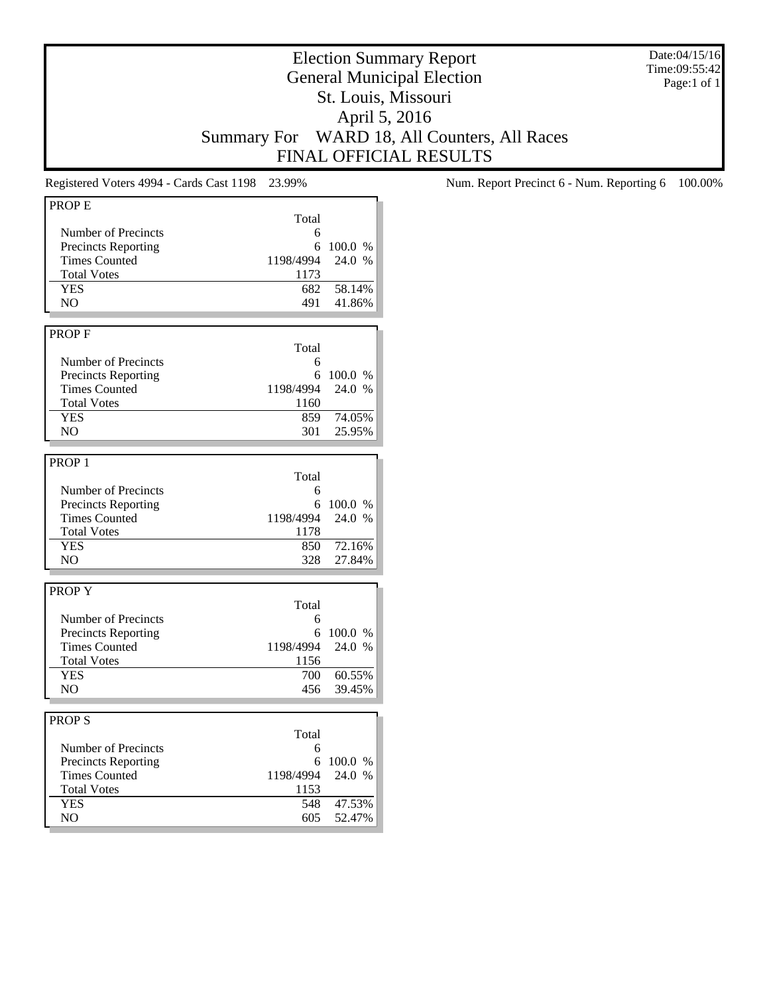Date:04/15/16 Time:09:55:42 Page:1 of 1

## Election Summary Report General Municipal Election St. Louis, Missouri April 5, 2016 Summary For WARD 18, All Counters, All Races FINAL OFFICIAL RESULTS

| <b>PROPE</b>               |           |         |
|----------------------------|-----------|---------|
|                            | Total     |         |
|                            |           |         |
| Number of Precincts        | 6         |         |
| <b>Precincts Reporting</b> | 6         | 100.0 % |
| <b>Times Counted</b>       | 1198/4994 | 24.0 %  |
| <b>Total Votes</b>         | 1173      |         |
| <b>YES</b>                 | 682       | 58.14%  |
| NO                         | 491       | 41.86%  |
|                            |           |         |
| <b>PROPF</b>               |           |         |
|                            | Total     |         |
| Number of Precincts        | 6         |         |
| <b>Precincts Reporting</b> | 6         | 100.0 % |
| <b>Times Counted</b>       | 1198/4994 | 24.0 %  |
|                            |           |         |
| <b>Total Votes</b>         | 1160      |         |
| <b>YES</b>                 | 859       | 74.05%  |
| NO.                        | 301       | 25.95%  |
|                            |           |         |
| PROP <sub>1</sub>          |           |         |
|                            | Total     |         |
| Number of Precincts        | 6         |         |
| <b>Precincts Reporting</b> | 6         | 100.0 % |
| <b>Times Counted</b>       | 1198/4994 | 24.0 %  |
| <b>Total Votes</b>         | 1178      |         |
| <b>YES</b>                 | 850       | 72.16%  |
| NO.                        | 328       | 27.84%  |
|                            |           |         |
|                            |           |         |
| PROPY                      |           |         |
|                            | Total     |         |
| Number of Precincts        | 6         |         |
| <b>Precincts Reporting</b> | 6         | 100.0 % |
| <b>Times Counted</b>       | 1198/4994 | 24.0 %  |
| <b>Total Votes</b>         | 1156      |         |
| <b>YES</b>                 | 700       | 60.55%  |
| NO                         | 456       | 39.45%  |
|                            |           |         |
|                            |           |         |
| <b>PROPS</b>               |           |         |
|                            | Total     |         |
| Number of Precincts        | 6         |         |
| <b>Precincts Reporting</b> | 6         | 100.0 % |
| <b>Times Counted</b>       | 1198/4994 | 24.0 %  |
| <b>Total Votes</b>         | 1153      |         |
| <b>YES</b>                 | 548       | 47.53%  |
| N <sub>O</sub>             | 605       | 52.47%  |
|                            |           |         |

Registered Voters 4994 - Cards Cast 1198 23.99% Num. Report Precinct 6 - Num. Reporting 6 100.00%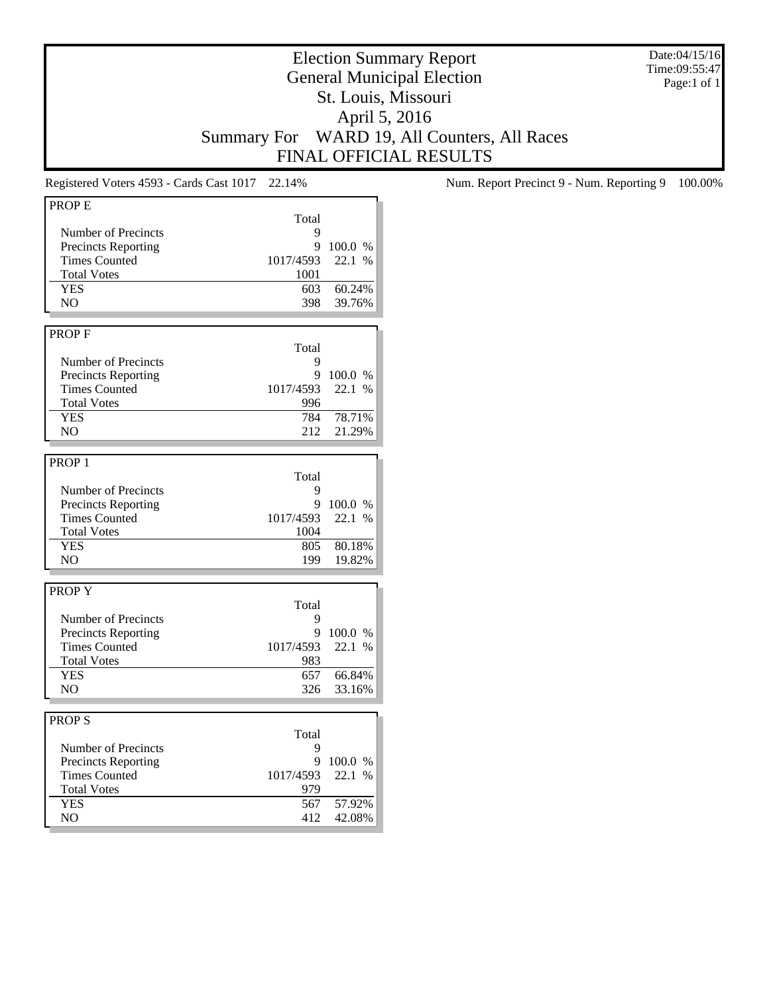Date:04/15/16 Time:09:55:47 Page:1 of 1

## Election Summary Report General Municipal Election St. Louis, Missouri April 5, 2016 Summary For WARD 19, All Counters, All Races FINAL OFFICIAL RESULTS

| <b>PROPE</b>               |           |         |
|----------------------------|-----------|---------|
|                            | Total     |         |
| Number of Precincts        | 9         |         |
| <b>Precincts Reporting</b> | 9         | 100.0 % |
| <b>Times Counted</b>       | 1017/4593 | 22.1 %  |
| <b>Total Votes</b>         |           |         |
|                            | 1001      |         |
| <b>YES</b>                 | 603       | 60.24%  |
| NO                         | 398       | 39.76%  |
|                            |           |         |
| <b>PROPF</b>               |           |         |
|                            | Total     |         |
| Number of Precincts        | 9         |         |
| <b>Precincts Reporting</b> | 9         | 100.0 % |
| <b>Times Counted</b>       | 1017/4593 | 22.1 %  |
| <b>Total Votes</b>         | 996       |         |
| <b>YES</b>                 | 784       | 78.71%  |
|                            |           |         |
| NO                         | 212       | 21.29%  |
|                            |           |         |
| PROP <sub>1</sub>          |           |         |
|                            | Total     |         |
| Number of Precincts        | 9         |         |
| <b>Precincts Reporting</b> | 9         | 100.0%  |
| <b>Times Counted</b>       | 1017/4593 | 22.1 %  |
| <b>Total Votes</b>         | 1004      |         |
| <b>YES</b>                 | 805       | 80.18%  |
| NO                         | 199       | 19.82%  |
|                            |           |         |
|                            |           |         |
| <b>PROPY</b>               |           |         |
|                            | Total     |         |
| Number of Precincts        | 9         |         |
| <b>Precincts Reporting</b> | 9         | 100.0%  |
| Times Counted              | 1017/4593 | 22.1 %  |
| <b>Total Votes</b>         | 983       |         |
| <b>YES</b>                 | 657       | 66.84%  |
| NO                         | 326       | 33.16%  |
|                            |           |         |
|                            |           |         |
| <b>PROPS</b>               |           |         |
|                            | Total     |         |
| Number of Precincts        | 9         |         |
| Precincts Reporting        | 9         | 100.0 % |
| <b>Times Counted</b>       | 1017/4593 | 22.1 %  |
| <b>Total Votes</b>         | 979       |         |
| <b>YES</b>                 | 567       | 57.92%  |
| NO                         | 412       | 42.08%  |
|                            |           |         |

Registered Voters 4593 - Cards Cast 1017 22.14% Num. Report Precinct 9 - Num. Reporting 9 100.00%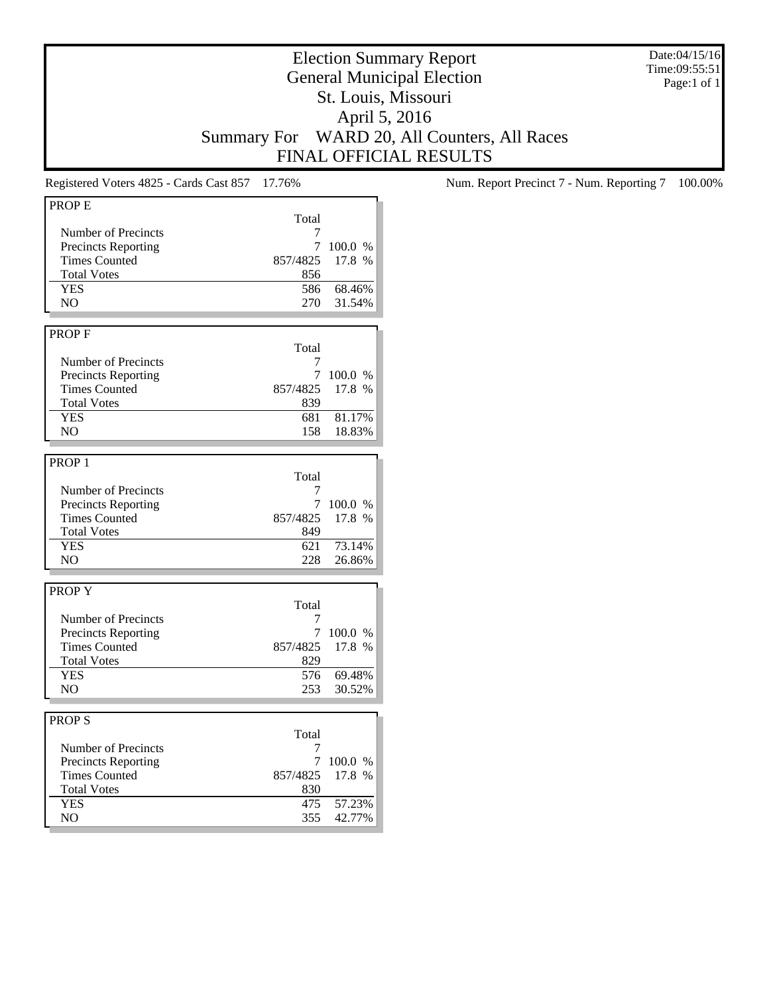Date:04/15/16 Time:09:55:51 Page:1 of 1

## Election Summary Report General Municipal Election St. Louis, Missouri April 5, 2016 Summary For WARD 20, All Counters, All Races FINAL OFFICIAL RESULTS

| <b>PROPE</b>               |          |         |
|----------------------------|----------|---------|
|                            | Total    |         |
| Number of Precincts        | 7        |         |
|                            | 7        | 100.0 % |
| <b>Precincts Reporting</b> |          |         |
| <b>Times Counted</b>       | 857/4825 | 17.8 %  |
| <b>Total Votes</b>         | 856      |         |
| <b>YES</b>                 | 586      | 68.46%  |
| NO.                        | 270      | 31.54%  |
|                            |          |         |
| <b>PROPF</b>               |          |         |
|                            | Total    |         |
|                            | 7        |         |
| Number of Precincts        |          |         |
| <b>Precincts Reporting</b> | 7        | 100.0 % |
| <b>Times Counted</b>       | 857/4825 | 17.8 %  |
| <b>Total Votes</b>         | 839      |         |
| <b>YES</b>                 | 681      | 81.17%  |
| NO.                        | 158      | 18.83%  |
|                            |          |         |
| PROP <sub>1</sub>          |          |         |
|                            |          |         |
|                            | Total    |         |
| Number of Precincts        | 7        |         |
| <b>Precincts Reporting</b> | 7        | 100.0 % |
| <b>Times Counted</b>       | 857/4825 | 17.8 %  |
| <b>Total Votes</b>         | 849      |         |
| <b>YES</b>                 | 621      | 73.14%  |
| N <sub>O</sub>             | 228      | 26.86%  |
|                            |          |         |
|                            |          |         |
| <b>PROPY</b>               |          |         |
|                            | Total    |         |
| Number of Precincts        | 7        |         |
| <b>Precincts Reporting</b> | 7        | 100.0 % |
| <b>Times Counted</b>       | 857/4825 | 17.8 %  |
| <b>Total Votes</b>         | 829      |         |
| <b>YES</b>                 | 576      | 69.48%  |
| NO.                        | 253      | 30.52%  |
|                            |          |         |
|                            |          |         |
| <b>PROPS</b>               |          |         |
|                            | Total    |         |
| Number of Precincts        | 7        |         |
| <b>Precincts Reporting</b> | 7        | 100.0 % |
| <b>Times Counted</b>       | 857/4825 | 17.8 %  |
| <b>Total Votes</b>         | 830      |         |
| <b>YES</b>                 | 475      | 57.23%  |
| NO                         | 355      | 42.77%  |
|                            |          |         |

Registered Voters 4825 - Cards Cast 857 17.76% Num. Report Precinct 7 - Num. Reporting 7 100.00%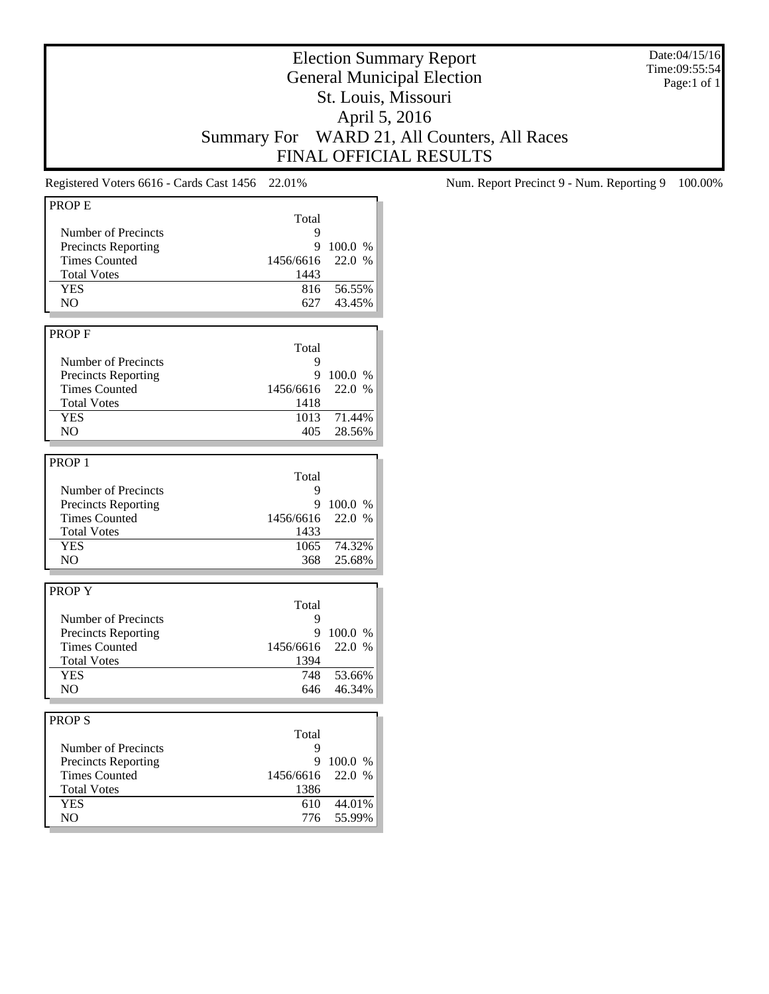Date:04/15/16 Time:09:55:54 Page:1 of 1

## Election Summary Report General Municipal Election St. Louis, Missouri April 5, 2016 Summary For WARD 21, All Counters, All Races FINAL OFFICIAL RESULTS

| <b>PROPE</b>               |           |         |
|----------------------------|-----------|---------|
|                            | Total     |         |
|                            |           |         |
| Number of Precincts        | 9         |         |
| Precincts Reporting        | 9         | 100.0 % |
| <b>Times Counted</b>       | 1456/6616 | 22.0 %  |
| <b>Total Votes</b>         | 1443      |         |
| <b>YES</b>                 | 816       | 56.55%  |
| N <sub>O</sub>             | 627       | 43.45%  |
|                            |           |         |
| <b>PROPF</b>               |           |         |
|                            |           |         |
|                            | Total     |         |
| Number of Precincts        | 9         |         |
| <b>Precincts Reporting</b> | 9         | 100.0 % |
| <b>Times Counted</b>       | 1456/6616 | 22.0 %  |
| <b>Total Votes</b>         | 1418      |         |
| <b>YES</b>                 | 1013      | 71.44%  |
| N <sub>O</sub>             | 405       | 28.56%  |
|                            |           |         |
|                            |           |         |
| PROP <sub>1</sub>          |           |         |
|                            | Total     |         |
| Number of Precincts        | 9         |         |
| <b>Precincts Reporting</b> | 9         | 100.0 % |
| <b>Times Counted</b>       | 1456/6616 | 22.0 %  |
| <b>Total Votes</b>         | 1433      |         |
| <b>YES</b>                 | 1065      | 74.32%  |
| NO.                        | 368       | 25.68%  |
|                            |           |         |
|                            |           |         |
| <b>PROPY</b>               |           |         |
|                            | Total     |         |
| Number of Precincts        | 9         |         |
| <b>Precincts Reporting</b> | 9         | 100.0 % |
| <b>Times Counted</b>       | 1456/6616 | 22.0 %  |
| <b>Total Votes</b>         | 1394      |         |
| <b>YES</b>                 | 748       | 53.66%  |
| NO                         | 646       | 46.34%  |
|                            |           |         |
|                            |           |         |
| <b>PROPS</b>               |           |         |
|                            | Total     |         |
| Number of Precincts        | 9         |         |
| <b>Precincts Reporting</b> | 9         | 100.0 % |
| <b>Times Counted</b>       | 1456/6616 | 22.0 %  |
| <b>Total Votes</b>         | 1386      |         |
| <b>YES</b>                 | 610       | 44.01%  |
| NO                         | 776       | 55.99%  |
|                            |           |         |

Registered Voters 6616 - Cards Cast 1456 22.01% Num. Report Precinct 9 - Num. Reporting 9 100.00%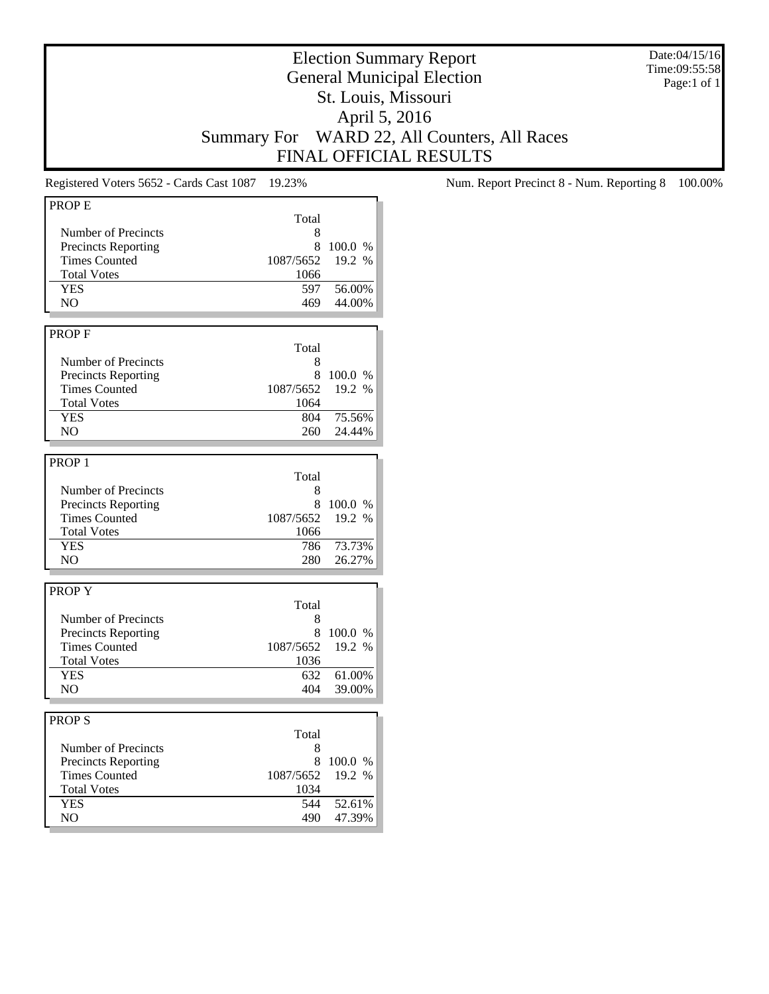Date:04/15/16 Time:09:55:58 Page:1 of 1

## Election Summary Report General Municipal Election St. Louis, Missouri April 5, 2016 Summary For WARD 22, All Counters, All Races FINAL OFFICIAL RESULTS

| <b>PROPE</b>               |           |         |
|----------------------------|-----------|---------|
|                            |           |         |
|                            | Total     |         |
| Number of Precincts        | 8         |         |
| Precincts Reporting        | 8         | 100.0 % |
| <b>Times Counted</b>       | 1087/5652 | 19.2 %  |
| <b>Total Votes</b>         | 1066      |         |
| <b>YES</b>                 | 597       | 56.00%  |
| NO                         | 469       | 44.00%  |
|                            |           |         |
|                            |           |         |
| <b>PROPF</b>               |           |         |
|                            | Total     |         |
| Number of Precincts        | 8         |         |
| <b>Precincts Reporting</b> | 8         | 100.0 % |
| <b>Times Counted</b>       | 1087/5652 | 19.2 %  |
| <b>Total Votes</b>         | 1064      |         |
| <b>YES</b>                 | 804       | 75.56%  |
|                            |           |         |
| NO                         | 260       | 24.44%  |
|                            |           |         |
| PROP <sub>1</sub>          |           |         |
|                            | Total     |         |
| Number of Precincts        | 8         |         |
| <b>Precincts Reporting</b> | 8         | 100.0 % |
| <b>Times Counted</b>       |           | 19.2 %  |
|                            | 1087/5652 |         |
| <b>Total Votes</b>         | 1066      |         |
| <b>YES</b>                 | 786       | 73.73%  |
| N <sub>O</sub>             | 280       | 26.27%  |
|                            |           |         |
| <b>PROPY</b>               |           |         |
|                            | Total     |         |
|                            |           |         |
| Number of Precincts        | 8         |         |
| <b>Precincts Reporting</b> | 8         | 100.0 % |
| <b>Times Counted</b>       | 1087/5652 | 19.2 %  |
| <b>Total Votes</b>         | 1036      |         |
| <b>YES</b>                 | 632       | 61.00%  |
| NO                         | 404       | 39.00%  |
|                            |           |         |
|                            |           |         |
| <b>PROPS</b>               |           |         |
|                            | Total     |         |
| Number of Precincts        | 8         |         |
| <b>Precincts Reporting</b> | 8         | 100.0 % |
| <b>Times Counted</b>       | 1087/5652 | 19.2 %  |
| <b>Total Votes</b>         | 1034      |         |
| <b>YES</b>                 | 544       | 52.61%  |
| N <sub>O</sub>             |           |         |
|                            | 490       | 47.39%  |

Registered Voters 5652 - Cards Cast 1087 19.23% Num. Report Precinct 8 - Num. Reporting 8 100.00%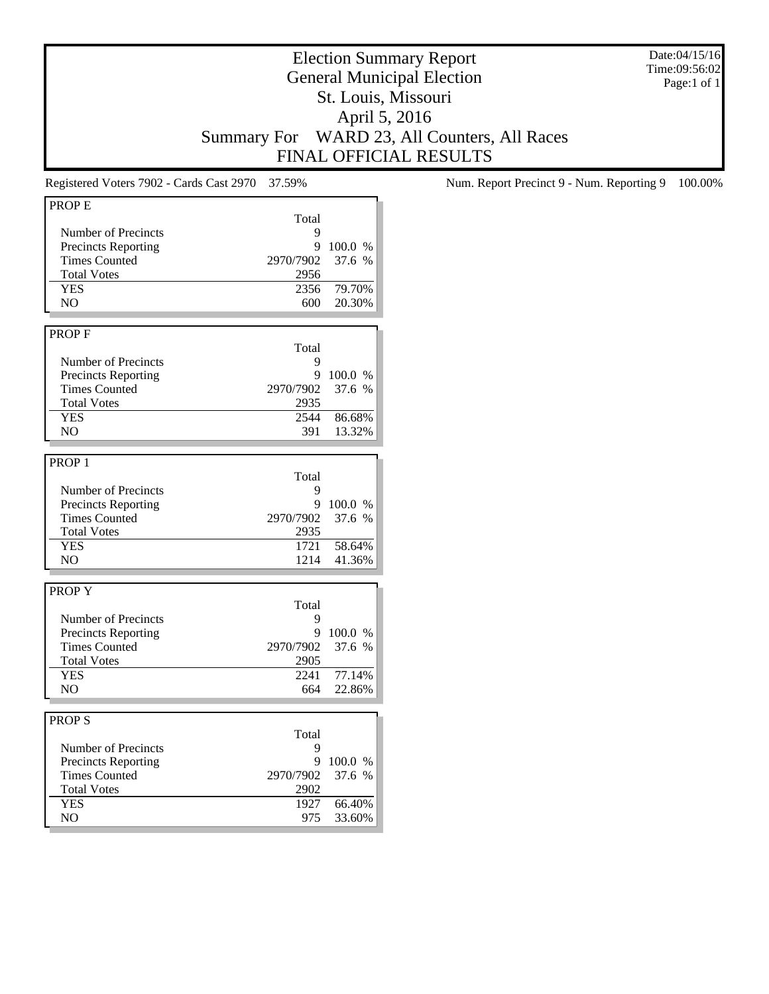Date:04/15/16 Time:09:56:02 Page:1 of 1

## Election Summary Report General Municipal Election St. Louis, Missouri April 5, 2016 Summary For WARD 23, All Counters, All Races FINAL OFFICIAL RESULTS

| PROP <sub>E</sub><br>Number of Precincts<br><b>Precincts Reporting</b> |             |                  |
|------------------------------------------------------------------------|-------------|------------------|
|                                                                        | Total       |                  |
|                                                                        | 9           |                  |
|                                                                        | 9           |                  |
|                                                                        |             | 100.0 %          |
| <b>Times Counted</b>                                                   | 2970/7902   | 37.6 %           |
| <b>Total Votes</b>                                                     | 2956        |                  |
| <b>YES</b>                                                             | 2356        | 79.70%           |
| NO.                                                                    | 600         | 20.30%           |
|                                                                        |             |                  |
| <b>PROPF</b>                                                           |             |                  |
|                                                                        | Total       |                  |
|                                                                        |             |                  |
| Number of Precincts                                                    | 9           |                  |
| <b>Precincts Reporting</b>                                             | 9           | 100.0 %          |
| <b>Times Counted</b>                                                   | 2970/7902   | 37.6 %           |
| <b>Total Votes</b>                                                     | 2935        |                  |
| <b>YES</b>                                                             | 2544        | 86.68%           |
| N <sub>O</sub>                                                         | 391         | 13.32%           |
|                                                                        |             |                  |
| PROP <sub>1</sub>                                                      |             |                  |
|                                                                        |             |                  |
|                                                                        | Total       |                  |
| Number of Precincts                                                    | 9           |                  |
| <b>Precincts Reporting</b>                                             | 9           | 100.0 %          |
| <b>Times Counted</b>                                                   | 2970/7902   | 37.6 %           |
| <b>Total Votes</b>                                                     | 2935        |                  |
| <b>YES</b>                                                             | 1721        | 58.64%           |
| N <sub>O</sub>                                                         | 1214        | 41.36%           |
|                                                                        |             |                  |
|                                                                        |             |                  |
| <b>PROPY</b>                                                           |             |                  |
|                                                                        | Total       |                  |
| Number of Precincts                                                    | 9           |                  |
| <b>Precincts Reporting</b>                                             | 9           | 100.0 %          |
| <b>Times Counted</b>                                                   | 2970/7902   | 37.6 %           |
| <b>Total Votes</b>                                                     | 2905        |                  |
| <b>YES</b>                                                             | 2241        | 77.14%           |
| NO.                                                                    | 664         | 22.86%           |
|                                                                        |             |                  |
|                                                                        |             |                  |
|                                                                        |             |                  |
|                                                                        | Total       |                  |
|                                                                        |             |                  |
|                                                                        | 9           |                  |
| Number of Precincts                                                    |             |                  |
| <b>Precincts Reporting</b>                                             |             | 9 100.0 %        |
| <b>Times Counted</b>                                                   | 2970/7902   | 37.6 %           |
| <b>PROPS</b><br><b>Total Votes</b>                                     | 2902        |                  |
| <b>YES</b><br>NO.                                                      | 1927<br>975 | 66.40%<br>33.60% |

Registered Voters 7902 - Cards Cast 2970 37.59% Num. Report Precinct 9 - Num. Reporting 9 100.00%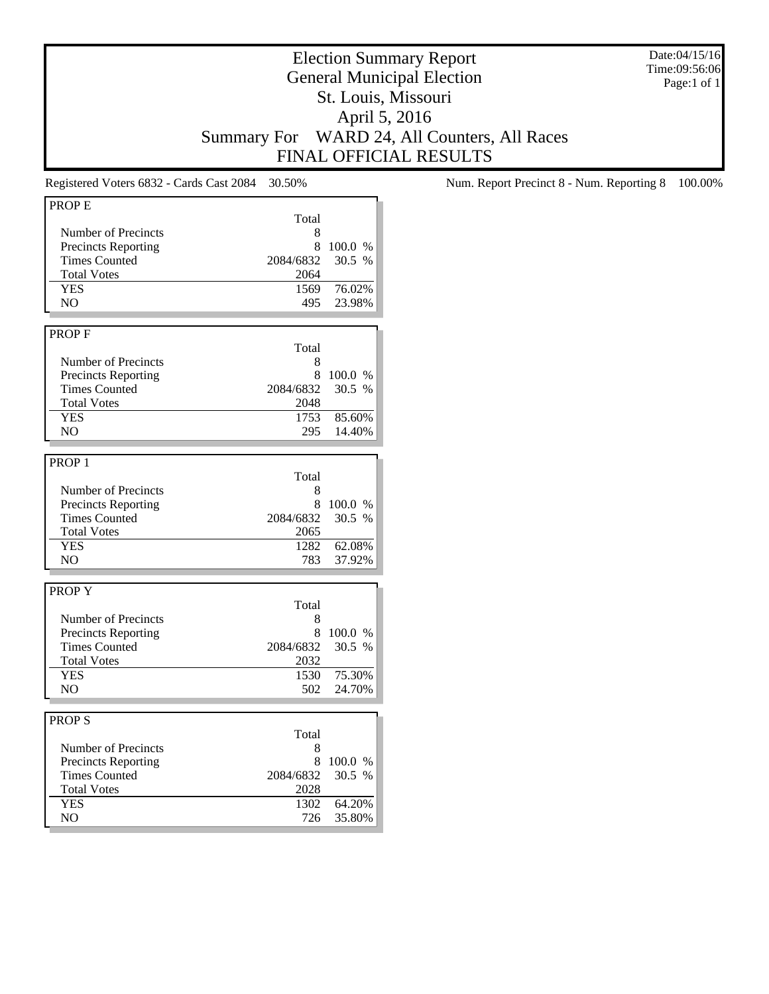Date:04/15/16 Time:09:56:06 Page:1 of 1

# Election Summary Report General Municipal Election St. Louis, Missouri April 5, 2016 Summary For WARD 24, All Counters, All Races FINAL OFFICIAL RESULTS

| <b>PROPE</b>                                 |             |                  |
|----------------------------------------------|-------------|------------------|
|                                              | Total       |                  |
| Number of Precincts                          |             |                  |
|                                              | 8           |                  |
| <b>Precincts Reporting</b>                   | 8           | 100.0%           |
| <b>Times Counted</b>                         | 2084/6832   | 30.5 %           |
| <b>Total Votes</b>                           | 2064        |                  |
| <b>YES</b>                                   | 1569        | 76.02%           |
| N <sub>O</sub>                               | 495         | 23.98%           |
|                                              |             |                  |
| <b>PROPF</b>                                 |             |                  |
|                                              | Total       |                  |
| Number of Precincts                          | 8           |                  |
| <b>Precincts Reporting</b>                   | 8           | 100.0 %          |
| <b>Times Counted</b>                         | 2084/6832   | 30.5 %           |
| <b>Total Votes</b>                           | 2048        |                  |
| YES                                          | 1753        | 85.60%           |
|                                              |             |                  |
| N <sub>O</sub>                               | 295         | 14.40%           |
|                                              |             |                  |
| PROP <sub>1</sub>                            |             |                  |
|                                              | Total       |                  |
| Number of Precincts                          | 8           |                  |
| <b>Precincts Reporting</b>                   | 8           | 100.0 %          |
| <b>Times Counted</b>                         | 2084/6832   | 30.5%            |
| <b>Total Votes</b>                           | 2065        |                  |
| <b>YES</b>                                   | 1282        | 62.08%           |
| NO                                           | 783         | 37.92%           |
|                                              |             |                  |
|                                              |             |                  |
| <b>PROPY</b>                                 |             |                  |
|                                              | Total       |                  |
| Number of Precincts                          | 8           |                  |
| <b>Precincts Reporting</b>                   | 8           | 100.0 %          |
|                                              |             |                  |
| <b>Times Counted</b>                         | 2084/6832   | 30.5 %           |
| <b>Total Votes</b>                           | 2032        |                  |
| <b>YES</b>                                   | 1530        | 75.30%           |
| NO.                                          | 502         | 24.70%           |
|                                              |             |                  |
|                                              |             |                  |
|                                              |             |                  |
|                                              | Total       |                  |
| Number of Precincts                          | 8           |                  |
| <b>Precincts Reporting</b>                   | 8           | 100.0 %          |
| <b>Times Counted</b>                         | 2084/6832   | 30.5%            |
| <b>Total Votes</b>                           | 2028        |                  |
| <b>PROPS</b><br><b>YES</b><br>N <sub>O</sub> | 1302<br>726 | 64.20%<br>35.80% |

Registered Voters 6832 - Cards Cast 2084 30.50% Num. Report Precinct 8 - Num. Reporting 8 100.00%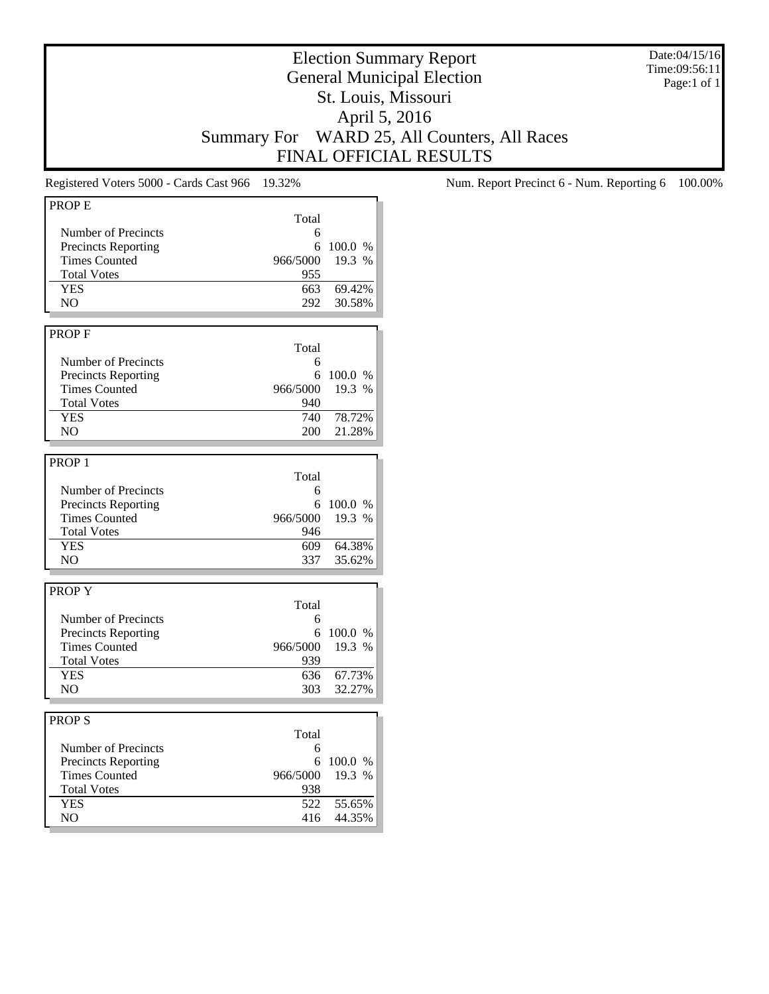Date:04/15/16 Time:09:56:11 Page:1 of 1

# Election Summary Report General Municipal Election St. Louis, Missouri April 5, 2016 Summary For WARD 25, All Counters, All Races FINAL OFFICIAL RESULTS

| <b>PROPE</b>               |          |         |
|----------------------------|----------|---------|
|                            | Total    |         |
| Number of Precincts        | 6        |         |
| <b>Precincts Reporting</b> | 6        | 100.0 % |
| <b>Times Counted</b>       | 966/5000 | 19.3 %  |
| <b>Total Votes</b>         | 955      |         |
| <b>YES</b>                 | 663      | 69.42%  |
| NO.                        | 292      | 30.58%  |
|                            |          |         |
| PROP <sub>F</sub>          |          |         |
|                            |          |         |
|                            | Total    |         |
| Number of Precincts        | 6        |         |
| <b>Precincts Reporting</b> | 6        | 100.0 % |
| <b>Times Counted</b>       | 966/5000 | 19.3 %  |
| <b>Total Votes</b>         | 940      |         |
| <b>YES</b>                 | 740      | 78.72%  |
| N <sub>O</sub>             | 200      | 21.28%  |
|                            |          |         |
| PROP <sub>1</sub>          |          |         |
|                            | Total    |         |
| Number of Precincts        | 6        |         |
| <b>Precincts Reporting</b> | 6        | 100.0 % |
| <b>Times Counted</b>       | 966/5000 | 19.3 %  |
| <b>Total Votes</b>         | 946      |         |
| <b>YES</b>                 |          |         |
|                            | 609      | 64.38%  |
| NO                         | 337      | 35.62%  |
|                            |          |         |
| <b>PROPY</b>               |          |         |
|                            | Total    |         |
| Number of Precincts        | 6        |         |
| <b>Precincts Reporting</b> | 6        | 100.0 % |
| <b>Times Counted</b>       | 966/5000 | 19.3 %  |
| <b>Total Votes</b>         | 939      |         |
| <b>YES</b>                 | 636      | 67.73%  |
| N <sub>O</sub>             | 303      | 32.27%  |
|                            |          |         |
| <b>PROPS</b>               |          |         |
|                            |          |         |
|                            | Total    |         |
| Number of Precincts        | 6        |         |
| <b>Precincts Reporting</b> | 6        | 100.0 % |
| <b>Times Counted</b>       | 966/5000 | 19.3 %  |
| <b>Total Votes</b>         | 938      |         |
| <b>YES</b>                 | 522      | 55.65%  |
| N <sub>O</sub>             | 416      | 44.35%  |
|                            |          |         |

Registered Voters 5000 - Cards Cast 966 19.32% Num. Report Precinct 6 - Num. Reporting 6 100.00%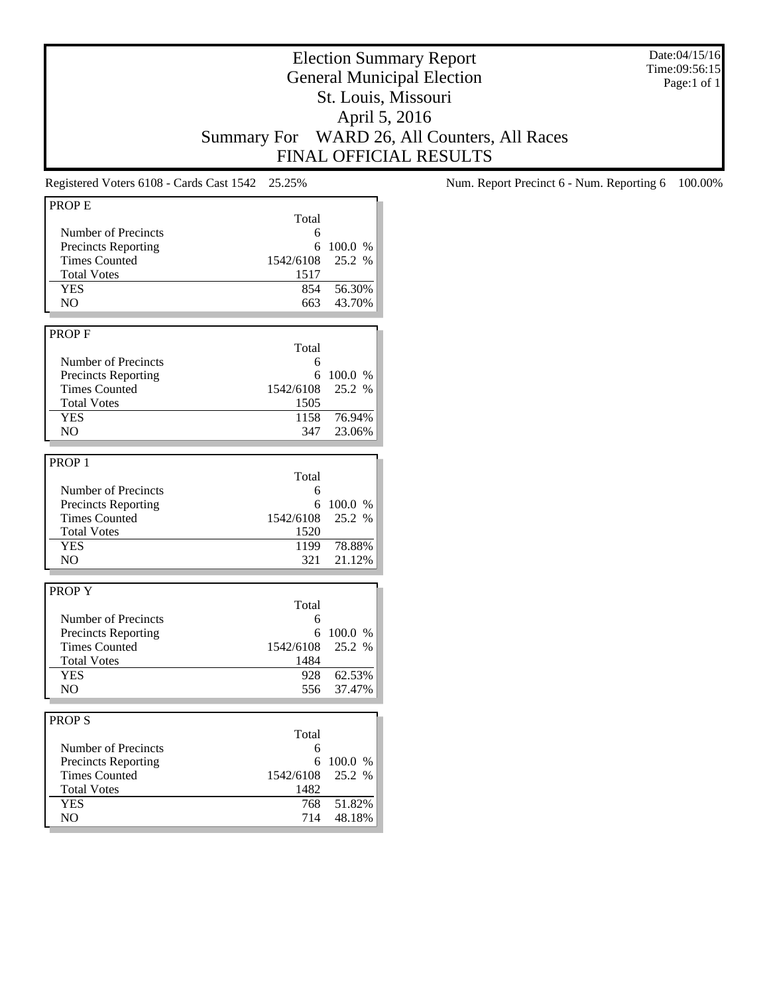Date:04/15/16 Time:09:56:15 Page:1 of 1

## Election Summary Report General Municipal Election St. Louis, Missouri April 5, 2016 Summary For WARD 26, All Counters, All Races FINAL OFFICIAL RESULTS

| PROPE                      |           |         |
|----------------------------|-----------|---------|
|                            | Total     |         |
| Number of Precincts        | 6         |         |
| <b>Precincts Reporting</b> | 6         | 100.0 % |
| <b>Times Counted</b>       | 1542/6108 | 25.2 %  |
| <b>Total Votes</b>         | 1517      |         |
| <b>YES</b>                 | 854       | 56.30%  |
| N <sub>O</sub>             | 663       | 43.70%  |
|                            |           |         |
| <b>PROPF</b>               |           |         |
|                            | Total     |         |
| Number of Precincts        | 6         |         |
| <b>Precincts Reporting</b> | 6         | 100.0 % |
| <b>Times Counted</b>       | 1542/6108 | 25.2 %  |
| <b>Total Votes</b>         | 1505      |         |
| <b>YES</b>                 |           |         |
|                            | 1158      | 76.94%  |
| NO.                        | 347       | 23.06%  |
|                            |           |         |
| PROP <sub>1</sub>          |           |         |
|                            | Total     |         |
| Number of Precincts        | 6         |         |
| <b>Precincts Reporting</b> | 6         | 100.0 % |
| <b>Times Counted</b>       | 1542/6108 | 25.2 %  |
| <b>Total Votes</b>         | 1520      |         |
| <b>YES</b>                 | 1199      | 78.88%  |
| NO.                        | 321       | 21.12%  |
|                            |           |         |
| PROP Y                     |           |         |
|                            | Total     |         |
| Number of Precincts        | 6         |         |
| <b>Precincts Reporting</b> | 6         | 100.0 % |
| <b>Times Counted</b>       | 1542/6108 | 25.2 %  |
| <b>Total Votes</b>         | 1484      |         |
| <b>YES</b>                 | 928       | 62.53%  |
| N <sub>O</sub>             | 556       | 37.47%  |
|                            |           |         |
| <b>PROPS</b>               |           |         |
|                            | Total     |         |
|                            |           |         |
| Number of Precincts        | 6         |         |
| <b>Precincts Reporting</b> | 6         | 100.0 % |
| <b>Times Counted</b>       | 1542/6108 | 25.2 %  |
| <b>Total Votes</b>         | 1482      |         |
| <b>YES</b>                 | 768       | 51.82%  |
| NO.                        | 714       | 48.18%  |

Registered Voters 6108 - Cards Cast 1542 25.25% Num. Report Precinct 6 - Num. Reporting 6 100.00%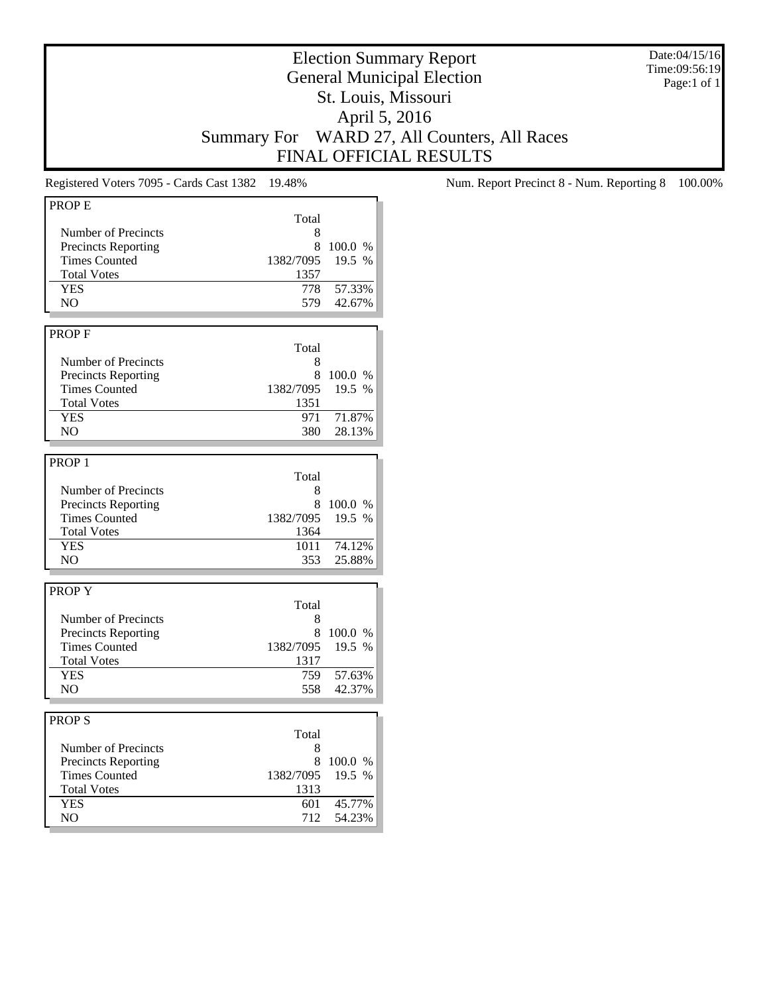Date:04/15/16 Time:09:56:19 Page:1 of 1

## Election Summary Report General Municipal Election St. Louis, Missouri April 5, 2016 Summary For WARD 27, All Counters, All Races FINAL OFFICIAL RESULTS

| <b>PROPE</b>               |           |         |
|----------------------------|-----------|---------|
|                            | Total     |         |
| Number of Precincts        | 8         |         |
| Precincts Reporting        | 8         | 100.0 % |
| <b>Times Counted</b>       |           | 19.5 %  |
|                            | 1382/7095 |         |
| <b>Total Votes</b>         | 1357      |         |
| <b>YES</b>                 | 778       | 57.33%  |
| NO                         | 579       | 42.67%  |
|                            |           |         |
| PROP <sub>F</sub>          |           |         |
|                            | Total     |         |
| Number of Precincts        | 8         |         |
| <b>Precincts Reporting</b> | 8         | 100.0 % |
| <b>Times Counted</b>       | 1382/7095 | 19.5 %  |
| <b>Total Votes</b>         | 1351      |         |
| <b>YES</b>                 | 971       | 71.87%  |
| NO.                        | 380       | 28.13%  |
|                            |           |         |
|                            |           |         |
| PROP <sub>1</sub>          |           |         |
|                            | Total     |         |
| Number of Precincts        | 8         |         |
| <b>Precincts Reporting</b> | 8         | 100.0%  |
| <b>Times Counted</b>       | 1382/7095 | 19.5 %  |
| <b>Total Votes</b>         | 1364      |         |
| <b>YES</b>                 | 1011      | 74.12%  |
| NO                         | 353       | 25.88%  |
|                            |           |         |
| <b>PROPY</b>               |           |         |
|                            | Total     |         |
| Number of Precincts        | 8         |         |
| <b>Precincts Reporting</b> | 8         | 100.0 % |
| <b>Times Counted</b>       | 1382/7095 | 19.5 %  |
| <b>Total Votes</b>         | 1317      |         |
| <b>YES</b>                 |           | 57.63%  |
|                            | 759       |         |
| N <sub>O</sub>             | 558       | 42.37%  |
|                            |           |         |
| <b>PROPS</b>               |           |         |
|                            | Total     |         |
| Number of Precincts        | 8         |         |
| <b>Precincts Reporting</b> | 8         | 100.0 % |
| <b>Times Counted</b>       | 1382/7095 | 19.5 %  |
| <b>Total Votes</b>         | 1313      |         |
| <b>YES</b>                 | 601       | 45.77%  |
| NO.                        | 712       | 54.23%  |
|                            |           |         |

Registered Voters 7095 - Cards Cast 1382 19.48% Num. Report Precinct 8 - Num. Reporting 8 100.00%